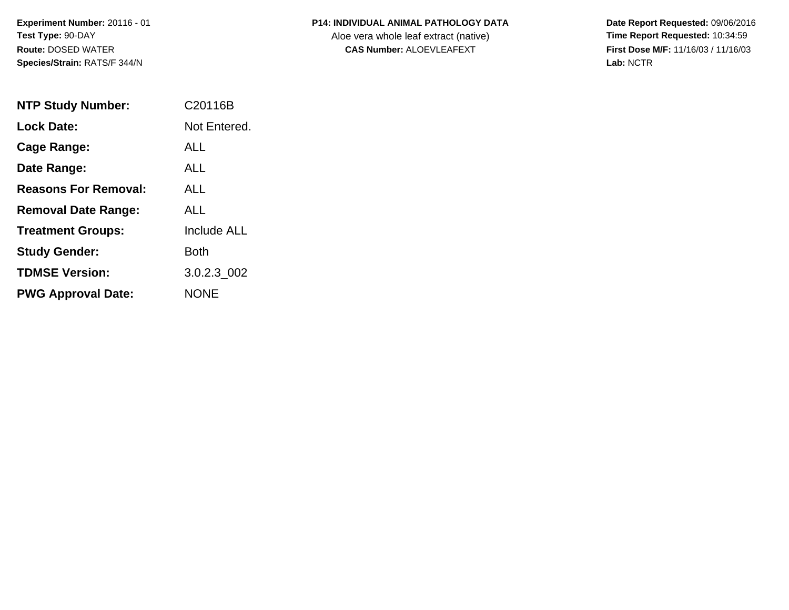**Experiment Number:** 20116 - 01**Test Type:** 90-DAY**Route:** DOSED WATER**Species/Strain:** RATS/F 344/N

| <b>P14: INDIVIDUAL ANIMAL PATHOLOGY DATA</b> |
|----------------------------------------------|
|                                              |

Aloe vera whole leaf extract (native)<br>**CAS Number:** ALOEVLEAFEXT

| <b>NTP Study Number:</b>    | C <sub>20116</sub> B |
|-----------------------------|----------------------|
| Lock Date:                  | Not Entered.         |
| Cage Range:                 | ALL                  |
| Date Range:                 | AI I                 |
| <b>Reasons For Removal:</b> | ALL.                 |
| <b>Removal Date Range:</b>  | ALL                  |
| <b>Treatment Groups:</b>    | <b>Include ALL</b>   |
| <b>Study Gender:</b>        | Both                 |
| <b>TDMSE Version:</b>       | 3.0.2.3 002          |
| <b>PWG Approval Date:</b>   | NONE                 |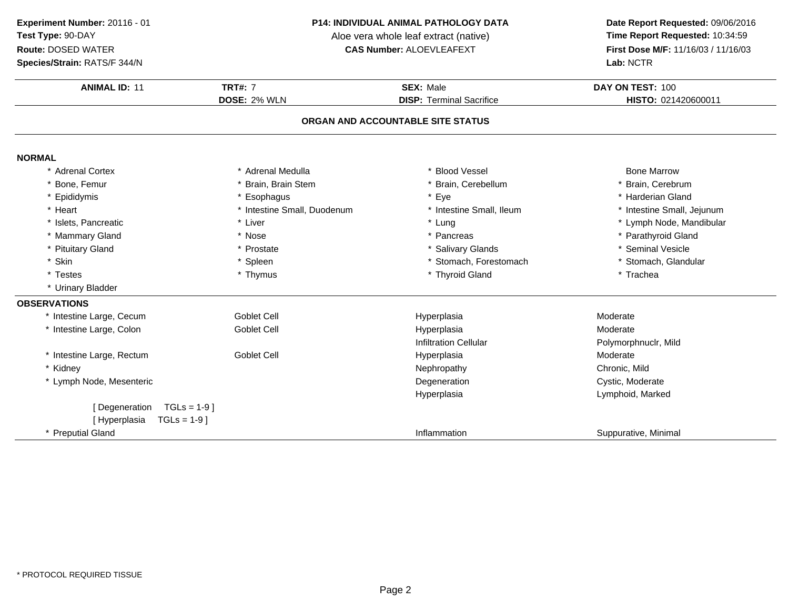### **P14: INDIVIDUAL ANIMAL PATHOLOGY DATA**

Aloe vera whole leaf extract (native)<br>**CAS Number:** ALOEVLEAFEXT

| Species/Strain: RATS/F 344/N    |                             |                                   | Lab: NCTR                  |
|---------------------------------|-----------------------------|-----------------------------------|----------------------------|
| <b>ANIMAL ID: 11</b>            | <b>TRT#: 7</b>              | <b>SEX: Male</b>                  | DAY ON TEST: 100           |
|                                 | DOSE: 2% WLN                | <b>DISP: Terminal Sacrifice</b>   | HISTO: 021420600011        |
|                                 |                             | ORGAN AND ACCOUNTABLE SITE STATUS |                            |
| <b>NORMAL</b>                   |                             |                                   |                            |
| * Adrenal Cortex                | * Adrenal Medulla           | <b>Blood Vessel</b>               | <b>Bone Marrow</b>         |
| * Bone, Femur                   | * Brain, Brain Stem         | Brain, Cerebellum                 | * Brain, Cerebrum          |
| * Epididymis                    | * Esophagus                 | Eye                               | * Harderian Gland          |
| * Heart                         | * Intestine Small, Duodenum | * Intestine Small, Ileum          | * Intestine Small, Jejunum |
| * Islets, Pancreatic            | * Liver                     | * Lung                            | * Lymph Node, Mandibular   |
| * Mammary Gland                 | * Nose                      | * Pancreas                        | * Parathyroid Gland        |
| * Pituitary Gland               | * Prostate                  | * Salivary Glands                 | <b>Seminal Vesicle</b>     |
| * Skin                          | * Spleen                    | Stomach, Forestomach              | * Stomach, Glandular       |
| * Testes                        | * Thymus                    | * Thyroid Gland                   | * Trachea                  |
| * Urinary Bladder               |                             |                                   |                            |
| <b>OBSERVATIONS</b>             |                             |                                   |                            |
| * Intestine Large, Cecum        | <b>Goblet Cell</b>          | Hyperplasia                       | Moderate                   |
| * Intestine Large, Colon        | Goblet Cell                 | Hyperplasia                       | Moderate                   |
|                                 |                             | <b>Infiltration Cellular</b>      | Polymorphnuclr, Mild       |
| * Intestine Large, Rectum       | <b>Goblet Cell</b>          | Hyperplasia                       | Moderate                   |
| * Kidney                        |                             | Nephropathy                       | Chronic, Mild              |
| * Lymph Node, Mesenteric        |                             | Degeneration                      | Cystic, Moderate           |
|                                 |                             | Hyperplasia                       | Lymphoid, Marked           |
| $TGLs = 1-9$ ]<br>[Degeneration |                             |                                   |                            |
| [Hyperplasia<br>$TGLs = 1-9$    |                             |                                   |                            |
| * Preputial Gland               |                             | Inflammation                      | Suppurative, Minimal       |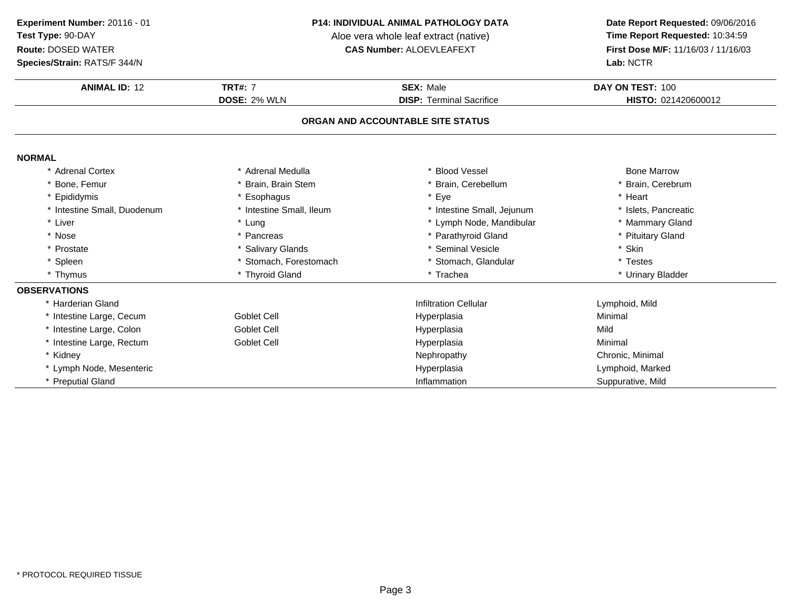**Experiment Number:** 20116 - 01**Test Type:** 90-DAY

### **Route:** DOSED WATER

**Species/Strain:** RATS/F 344/N

#### **P14: INDIVIDUAL ANIMAL PATHOLOGY DATA**

Aloe vera whole leaf extract (native)<br>**CAS Number:** ALOEVLEAFEXT

| <b>ANIMAL ID: 12</b>        | <b>TRT#: 7</b>           | <b>SEX: Male</b>                  | DAY ON TEST: 100     |
|-----------------------------|--------------------------|-----------------------------------|----------------------|
|                             | <b>DOSE: 2% WLN</b>      | <b>DISP: Terminal Sacrifice</b>   | HISTO: 021420600012  |
|                             |                          | ORGAN AND ACCOUNTABLE SITE STATUS |                      |
| <b>NORMAL</b>               |                          |                                   |                      |
| * Adrenal Cortex            | * Adrenal Medulla        | * Blood Vessel                    | <b>Bone Marrow</b>   |
| * Bone, Femur               | * Brain, Brain Stem      | * Brain, Cerebellum               | * Brain, Cerebrum    |
| * Epididymis                | Esophagus                | * Eye                             | * Heart              |
| * Intestine Small, Duodenum | * Intestine Small, Ileum | * Intestine Small, Jejunum        | * Islets. Pancreatic |
| * Liver                     | * Lung                   | * Lymph Node, Mandibular          | * Mammary Gland      |
| * Nose                      | * Pancreas               | * Parathyroid Gland               | * Pituitary Gland    |
| * Prostate                  | * Salivary Glands        | * Seminal Vesicle                 | * Skin               |
| * Spleen                    | * Stomach, Forestomach   | * Stomach, Glandular              | * Testes             |
| * Thymus                    | * Thyroid Gland          | * Trachea                         | * Urinary Bladder    |
| <b>OBSERVATIONS</b>         |                          |                                   |                      |
| * Harderian Gland           |                          | <b>Infiltration Cellular</b>      | Lymphoid, Mild       |
| * Intestine Large, Cecum    | Goblet Cell              | Hyperplasia                       | Minimal              |
| * Intestine Large, Colon    | Goblet Cell              | Hyperplasia                       | Mild                 |
| * Intestine Large, Rectum   | Goblet Cell              | Hyperplasia                       | Minimal              |
| * Kidney                    |                          | Nephropathy                       | Chronic, Minimal     |
| * Lymph Node, Mesenteric    |                          | Hyperplasia                       | Lymphoid, Marked     |
| * Preputial Gland           |                          | Inflammation                      | Suppurative, Mild    |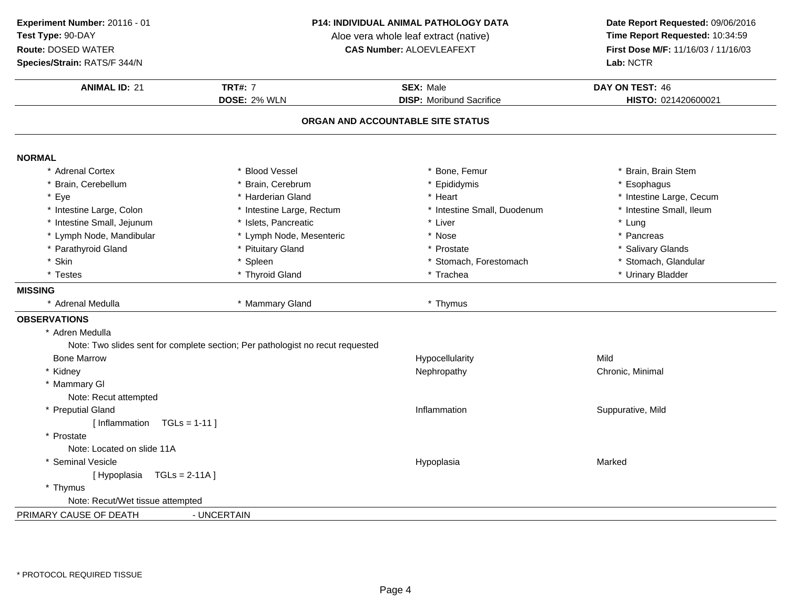**ANIMAL ID:** <sup>21</sup> **TRT#:** <sup>7</sup> **SEX:** Male **DAY ON TEST:** <sup>46</sup> **DOSE:** 2% WLN **DISP:** Moribund Sacrifice **HISTO:** <sup>021420600021</sup> **ORGAN AND ACCOUNTABLE SITE STATUSNORMAL** \* Adrenal Cortexx \* Blood Vessel \* \* Bone, Femur \* Bone, Femur \* \* Brain, Brain Stem \* Brain, Cerebellum \* Brain, Cerebrum \* Epididymis \* Esophagus \* Eyee the second of the second term in the second term in the second term in the second term in the second term in the second term in the second term in the second term in the second term in the second term in the second term \* Intestine Small, Ileum \* Intestine Large, Colon\* Intestine Large, Rectum<br>\* Islets, Pancreatic \* Intestine Small, Duodenum \* \* Intest<br>
\* Liver \* \* Lung \* Intestine Small, Jejunum \* Islets, Pancreatic \* Liver \* Lung \* Lymph Node, Mandibular \* Lymph Node, Mesenteric \* Nose\* Nose  $*$  Pancreas \* Pancreas \* Pancreas \* Pancreas \* Pancreas \* Pancreas \* Salivary Glands \* Parathyroid Glandd **Allen Contains the Contract of Contract Automobile 19 and Street Automobile 19 and Street Automobile 19 and Street Automobile 19 and Street Automobile 19 and Street Automobile 19 and Street Automobile 19 and Street Auto** \* Skinn that is the set of the Spleen term in the store of the store of the store of the store of the store of the store of the store of the store of the store of the store of the store of the store of the store of the store of \* Testes \* Thyroid Gland\* Trachea \* \* Urinary Bladder **MISSING** \* Adrenal Medulla \* Mammary Gland \* Thymus **OBSERVATIONS** \* Adren Medulla Note: Two slides sent for complete section; Per pathologist no recut requestedBone Marroww the contract of the contract of the Hypocellularity that the Mild Mild of the Mild of the Mild of the Mild of the Mild of the Mild of the Mild of the Mild of the Mild of the Mild of the Mild of the Mild of the Mild of th \* Kidneyy Rephropathy Nephropathy Chronic, Minimal \* Mammary Gl Note: Recut attempted\* Preputial Glandd
and
the state of the state of the inflammation
state of the suppurative, Mild
and
the Suppurative, Mild
state of the state of the state of the state of the state of the state of the state of the state of the state of the [ Inflammation TGLs = 1-11 ]\* Prostate Note: Located on slide 11A\* Seminal Vesiclee and the state of the state of the Hypoplasia control of the Marked Marked Street and the Marked Street and Marked Street and Marked Street and Marked Street and Marked Street and Marked Street and Marked Street and Marke [ Hypoplasia TGLs = 2-11A ]\* Thymus Note: Recut/Wet tissue attempted**Experiment Number:** 20116 - 01 **P14: INDIVIDUAL ANIMAL PATHOLOGY DATA Date Report Requested:** 09/06/2016 **Test Type:** 90-DAYAloe vera whole leaf extract (native)<br>**CAS Number:** ALOEVLEAFEXT **Route:** DOSED WATER**First Dose M/F:** 11/16/03 / 11/16/03<br>**Lab:** NCTR **Species/Strain:** RATS/F 344/N**Lab:** NCTR

PRIMARY CAUSE OF DEATH- UNCERTAIN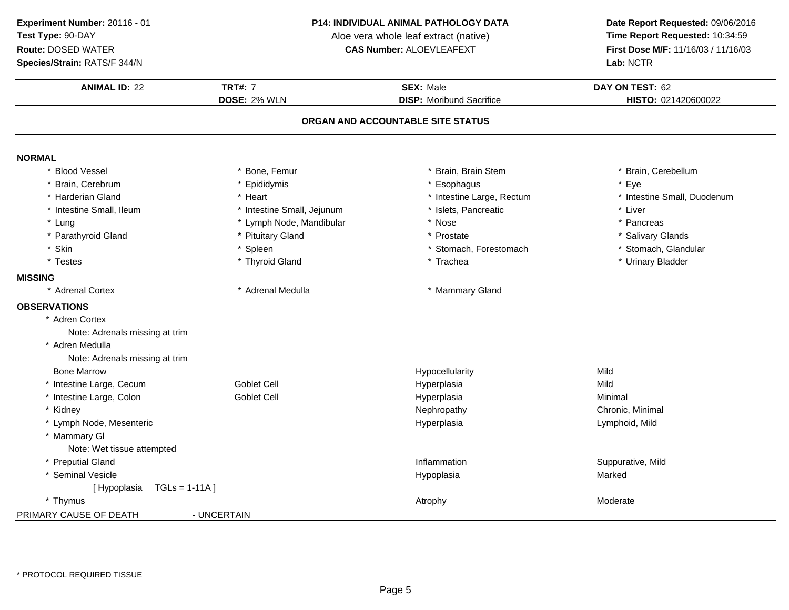**ANIMAL ID:** <sup>22</sup> **TRT#:** <sup>7</sup> **SEX:** Male **DAY ON TEST:** <sup>62</sup> **DOSE:** 2% WLN **DISP:** Moribund Sacrifice **HISTO:** <sup>021420600022</sup> **ORGAN AND ACCOUNTABLE SITE STATUSNORMAL** \*\* Bone, Femur \* Brain, Brain Stem \* Brain, Cerebellum<br>\* Eye \* Brain, Cerebrum \* Epididymis \* Esophagus \* Eye \* Harderian Gland\* Heart \* **Heart** \* intestine Large, Rectum<br>\* Intestine Small. Jeiunum \* \* Islets. Pancreatic \* Intestine Small, Duodenum<br>\* I iver \* Intestine Small, Ileum\* Intestine Small, Jejunum \* \* 1991 \* 1997 \* Islets, Pancreatic \* The state and the state of the state and the state and the state of the state and the state and the state of the state of the state of the state of the stat \* Lung\* Lymph Node, Mandibular \* \* Nose \* \* Pancreas \* Pancreas \* Pancreas \* Pancreas \* Pancreas \* Pancreas \* Pancreas \* Pancreas \* Pancreas \* Pancreas \* Pancreas \* Pancreas \* Pancreas \* Pancreas \* Pancreas \* Pancreas \* Pancreas \* Parathyroid Glandd **the set of the set of the set of the set of the set of the set of the set of the set of the set of the set of the set of the set of the set of the set of the set of the set of the set of the set of the set of the set of** \* Skinn that is the spin of the spin of the spin of the stomach, Forestomach the stomach of the stomach, Glandular \* Testes \* Thyroid Gland\* Trachea \* Vinary Bladder **MISSING** \* Adrenal Cortex \* Adrenal Medulla \* Mammary Gland **OBSERVATIONS** \* Adren Cortex Note: Adrenals missing at trim\* Adren Medulla Note: Adrenals missing at trimBone Marroww the contract of the Hypocellularity and the Mild Mild of the Mild Separate Separate Separate Separate Separate Separate Separate Separate Separate Separate Separate Separate Separate Separate Separate Separate Separate S \* Intestine Large, Cecum Goblet Cell Hyperplasia Mild \* Intestine Large, Colon Goblet Cell Hyperplasia Minimal \* Kidneyy Rephropathy Nephropathy Chronic, Minimal \* Lymph Node, Mesenteric Hyperplasia Lymphoid, Mild \* Mammary Gl Note: Wet tissue attempted\* Preputial Glandd by the contract of the latter of the line of the line of the line of the suppurative, Mild depending to the suppurative, Mild depending to the suppurative, Mild depending to the suppurative,  $\lambda$ \* Seminal Vesiclee and the state of the state of the Hypoplasia control of the Marked Marked State of the Marked State of the Marked State of the Marked State of the Marked State of the Marked State of the State of the Marked State of the [ Hypoplasia TGLs = 1-11A ]\* Thymus Atrophy Moderate**Experiment Number:** 20116 - 01 **P14: INDIVIDUAL ANIMAL PATHOLOGY DATA Date Report Requested:** 09/06/2016 **Test Type:** 90-DAYAloe vera whole leaf extract (native)<br>**CAS Number:** ALOEVLEAFEXT **Route:** DOSED WATER**First Dose M/F:** 11/16/03 / 11/16/03<br>**Lab:** NCTR **Species/Strain:** RATS/F 344/N**Lab:** NCTR

PRIMARY CAUSE OF DEATH- UNCERTAIN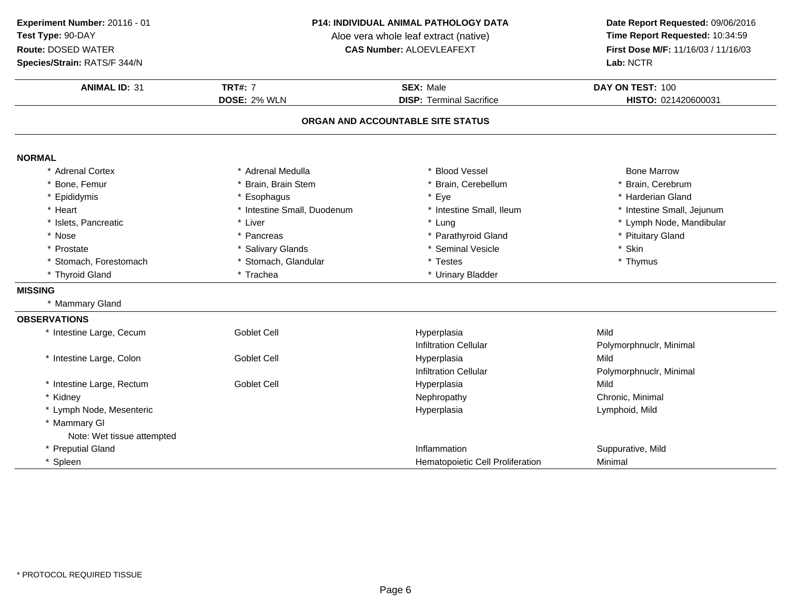**Experiment Number:** 20116 - 01**Test Type:** 90-DAY

### **Route:** DOSED WATER

**Species/Strain:** RATS/F 344/N

#### **P14: INDIVIDUAL ANIMAL PATHOLOGY DATA**

Aloe vera whole leaf extract (native)<br>**CAS Number:** ALOEVLEAFEXT

| <b>ANIMAL ID: 31</b>       | <b>TRT#: 7</b>              | <b>SEX: Male</b>                  | DAY ON TEST: 100           |
|----------------------------|-----------------------------|-----------------------------------|----------------------------|
|                            | <b>DOSE: 2% WLN</b>         | <b>DISP: Terminal Sacrifice</b>   | HISTO: 021420600031        |
|                            |                             | ORGAN AND ACCOUNTABLE SITE STATUS |                            |
| <b>NORMAL</b>              |                             |                                   |                            |
| <b>Adrenal Cortex</b>      | * Adrenal Medulla           | <b>Blood Vessel</b>               | <b>Bone Marrow</b>         |
| Bone, Femur                | * Brain, Brain Stem         | Brain, Cerebellum                 | * Brain, Cerebrum          |
| Epididymis                 | * Esophagus                 | * Eye                             | * Harderian Gland          |
| * Heart                    | * Intestine Small, Duodenum | * Intestine Small, Ileum          | * Intestine Small, Jejunum |
| * Islets, Pancreatic       | * Liver                     | * Lung                            | * Lymph Node, Mandibular   |
| * Nose                     | * Pancreas                  | * Parathyroid Gland               | * Pituitary Gland          |
| Prostate                   | * Salivary Glands           | * Seminal Vesicle                 | * Skin                     |
| * Stomach, Forestomach     | Stomach, Glandular          | * Testes                          | * Thymus                   |
| * Thyroid Gland            | * Trachea                   | * Urinary Bladder                 |                            |
| <b>MISSING</b>             |                             |                                   |                            |
| * Mammary Gland            |                             |                                   |                            |
| <b>OBSERVATIONS</b>        |                             |                                   |                            |
| * Intestine Large, Cecum   | <b>Goblet Cell</b>          | Hyperplasia                       | Mild                       |
|                            |                             | <b>Infiltration Cellular</b>      | Polymorphnuclr, Minimal    |
| * Intestine Large, Colon   | Goblet Cell                 | Hyperplasia                       | Mild                       |
|                            |                             | <b>Infiltration Cellular</b>      | Polymorphnuclr, Minimal    |
| * Intestine Large, Rectum  | Goblet Cell                 | Hyperplasia                       | Mild                       |
| * Kidney                   |                             | Nephropathy                       | Chronic, Minimal           |
| * Lymph Node, Mesenteric   |                             | Hyperplasia                       | Lymphoid, Mild             |
| * Mammary GI               |                             |                                   |                            |
| Note: Wet tissue attempted |                             |                                   |                            |
| * Preputial Gland          |                             | Inflammation                      | Suppurative, Mild          |
| * Spleen                   |                             | Hematopoietic Cell Proliferation  | Minimal                    |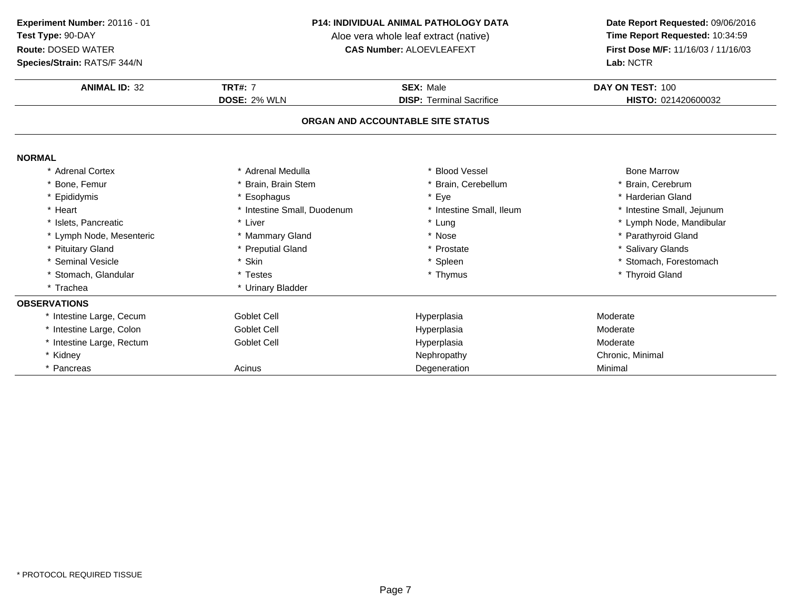**Species/Strain:** RATS/F 344/N

#### **P14: INDIVIDUAL ANIMAL PATHOLOGY DATA**

Aloe vera whole leaf extract (native)<br>**CAS Number:** ALOEVLEAFEXT

| <b>ANIMAL ID: 32</b>      | <b>TRT#: 7</b>              | <b>SEX: Male</b>                  | DAY ON TEST: 100           |
|---------------------------|-----------------------------|-----------------------------------|----------------------------|
|                           | <b>DOSE: 2% WLN</b>         | <b>DISP: Terminal Sacrifice</b>   | HISTO: 021420600032        |
|                           |                             | ORGAN AND ACCOUNTABLE SITE STATUS |                            |
| <b>NORMAL</b>             |                             |                                   |                            |
| * Adrenal Cortex          | * Adrenal Medulla           | * Blood Vessel                    | <b>Bone Marrow</b>         |
| * Bone, Femur             | * Brain, Brain Stem         | * Brain, Cerebellum               | * Brain, Cerebrum          |
| * Epididymis              | * Esophagus                 | * Eye                             | * Harderian Gland          |
| * Heart                   | * Intestine Small, Duodenum | * Intestine Small, Ileum          | * Intestine Small, Jejunum |
| * Islets, Pancreatic      | * Liver                     | * Lung                            | * Lymph Node, Mandibular   |
| * Lymph Node, Mesenteric  | * Mammary Gland             | * Nose                            | * Parathyroid Gland        |
| * Pituitary Gland         | * Preputial Gland           | * Prostate                        | * Salivary Glands          |
| * Seminal Vesicle         | * Skin                      | * Spleen                          | * Stomach, Forestomach     |
| * Stomach, Glandular      | * Testes                    | * Thymus                          | * Thyroid Gland            |
| * Trachea                 | * Urinary Bladder           |                                   |                            |
| <b>OBSERVATIONS</b>       |                             |                                   |                            |
| * Intestine Large, Cecum  | <b>Goblet Cell</b>          | Hyperplasia                       | Moderate                   |
| * Intestine Large, Colon  | Goblet Cell                 | Hyperplasia                       | Moderate                   |
| * Intestine Large, Rectum | Goblet Cell                 | Hyperplasia                       | Moderate                   |
| * Kidney                  |                             | Nephropathy                       | Chronic, Minimal           |
| * Pancreas                | Acinus                      | Degeneration                      | Minimal                    |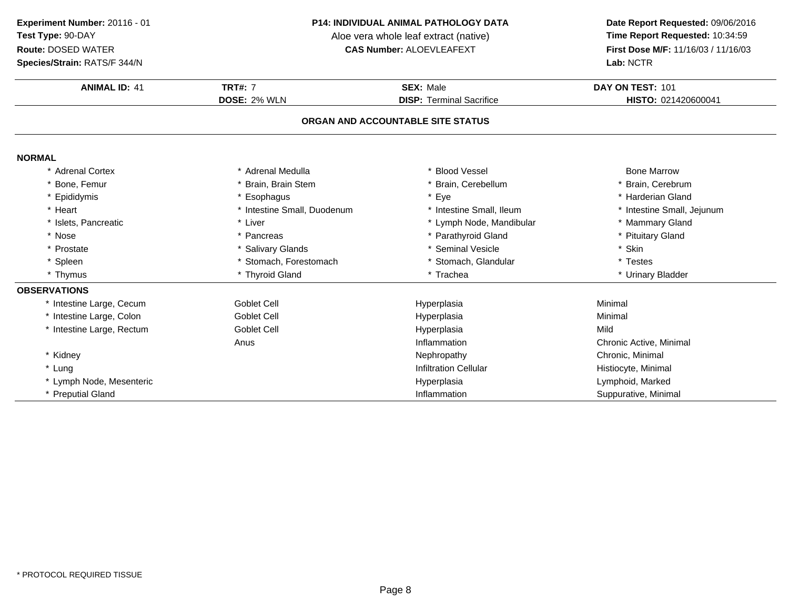### **P14: INDIVIDUAL ANIMAL PATHOLOGY DATA**

Aloe vera whole leaf extract (native)<br>**CAS Number:** ALOEVLEAFEXT

| Species/Strain: RATS/F 344/N |                             |                                   | Lab: NCTR                  |
|------------------------------|-----------------------------|-----------------------------------|----------------------------|
| <b>ANIMAL ID: 41</b>         | <b>TRT#: 7</b>              | <b>SEX: Male</b>                  | DAY ON TEST: 101           |
|                              | <b>DOSE: 2% WLN</b>         | <b>DISP: Terminal Sacrifice</b>   | HISTO: 021420600041        |
|                              |                             | ORGAN AND ACCOUNTABLE SITE STATUS |                            |
| <b>NORMAL</b>                |                             |                                   |                            |
| * Adrenal Cortex             | * Adrenal Medulla           | * Blood Vessel                    | <b>Bone Marrow</b>         |
| * Bone, Femur                | * Brain, Brain Stem         | * Brain, Cerebellum               | Brain, Cerebrum            |
| * Epididymis                 | * Esophagus                 | * Eye                             | <b>Harderian Gland</b>     |
| * Heart                      | * Intestine Small, Duodenum | * Intestine Small, Ileum          | * Intestine Small, Jejunum |
| * Islets, Pancreatic         | * Liver                     | * Lymph Node, Mandibular          | * Mammary Gland            |
| * Nose                       | * Pancreas                  | * Parathyroid Gland               | * Pituitary Gland          |
| * Prostate                   | * Salivary Glands           | * Seminal Vesicle                 | * Skin                     |
| * Spleen                     | * Stomach, Forestomach      | * Stomach, Glandular              | * Testes                   |
| * Thymus                     | * Thyroid Gland             | * Trachea                         | * Urinary Bladder          |
| <b>OBSERVATIONS</b>          |                             |                                   |                            |
| * Intestine Large, Cecum     | <b>Goblet Cell</b>          | Hyperplasia                       | Minimal                    |
| * Intestine Large, Colon     | <b>Goblet Cell</b>          | Hyperplasia                       | Minimal                    |
| * Intestine Large, Rectum    | <b>Goblet Cell</b>          | Hyperplasia                       | Mild                       |
|                              | Anus                        | Inflammation                      | Chronic Active, Minimal    |
| * Kidney                     |                             | Nephropathy                       | Chronic, Minimal           |
| * Lung                       |                             | <b>Infiltration Cellular</b>      | Histiocyte, Minimal        |
| * Lymph Node, Mesenteric     |                             | Hyperplasia                       | Lymphoid, Marked           |
| * Preputial Gland            |                             | Inflammation                      | Suppurative, Minimal       |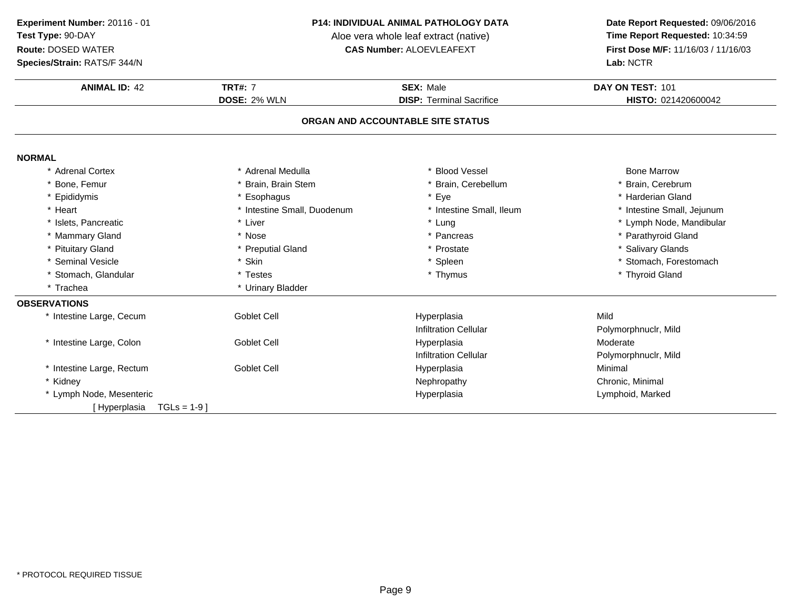**Species/Strain:** RATS/F 344/N

### **P14: INDIVIDUAL ANIMAL PATHOLOGY DATA**

Aloe vera whole leaf extract (native)<br>**CAS Number:** ALOEVLEAFEXT

| <b>Species/Strain: RATS/F 344/N</b> |                             |                                   | Lab: NCTR                  |
|-------------------------------------|-----------------------------|-----------------------------------|----------------------------|
| <b>ANIMAL ID: 42</b>                | <b>TRT#: 7</b>              | <b>SEX: Male</b>                  | DAY ON TEST: 101           |
|                                     | DOSE: 2% WLN                | <b>DISP: Terminal Sacrifice</b>   | HISTO: 021420600042        |
|                                     |                             | ORGAN AND ACCOUNTABLE SITE STATUS |                            |
| <b>NORMAL</b>                       |                             |                                   |                            |
| * Adrenal Cortex                    | * Adrenal Medulla           | <b>Blood Vessel</b>               | <b>Bone Marrow</b>         |
| * Bone, Femur                       | * Brain, Brain Stem         | * Brain, Cerebellum               | * Brain, Cerebrum          |
| * Epididymis                        | * Esophagus                 | $\star$<br>Eye                    | * Harderian Gland          |
| * Heart                             | * Intestine Small, Duodenum | * Intestine Small, Ileum          | * Intestine Small, Jejunum |
| * Islets, Pancreatic                | * Liver                     | * Lung                            | * Lymph Node, Mandibular   |
| * Mammary Gland                     | * Nose                      | * Pancreas                        | * Parathyroid Gland        |
| * Pituitary Gland                   | * Preputial Gland           | Prostate                          | * Salivary Glands          |
| * Seminal Vesicle                   | * Skin                      | * Spleen                          | * Stomach, Forestomach     |
| * Stomach, Glandular                | * Testes                    | * Thymus                          | * Thyroid Gland            |
| * Trachea                           | * Urinary Bladder           |                                   |                            |
| <b>OBSERVATIONS</b>                 |                             |                                   |                            |
| * Intestine Large, Cecum            | <b>Goblet Cell</b>          | Hyperplasia                       | Mild                       |
|                                     |                             | <b>Infiltration Cellular</b>      | Polymorphnuclr, Mild       |
| * Intestine Large, Colon            | <b>Goblet Cell</b>          | Hyperplasia                       | Moderate                   |
|                                     |                             | <b>Infiltration Cellular</b>      | Polymorphnuclr, Mild       |
| * Intestine Large, Rectum           | Goblet Cell                 | Hyperplasia                       | Minimal                    |
| * Kidney                            |                             | Nephropathy                       | Chronic, Minimal           |
| * Lymph Node, Mesenteric            |                             | Hyperplasia                       | Lymphoid, Marked           |
| [Hyperplasia<br>$TGLs = 1-9$ ]      |                             |                                   |                            |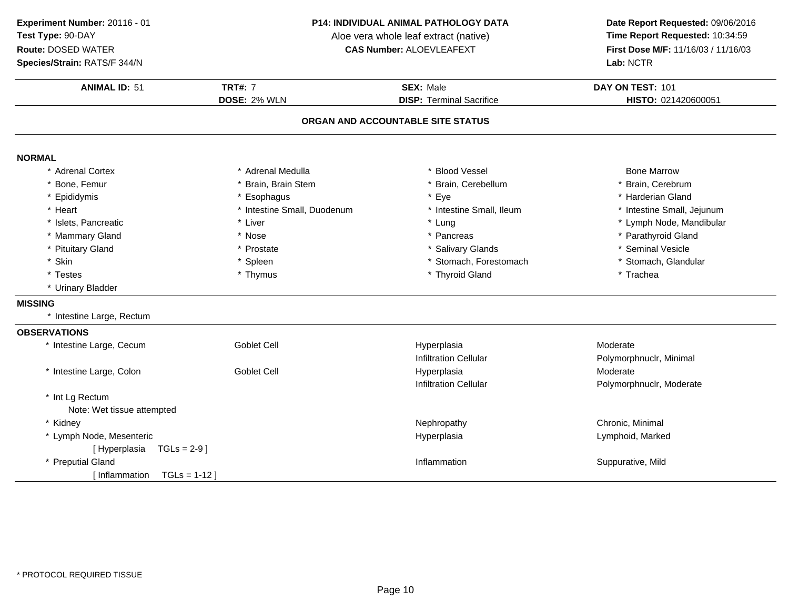**Species/Strain:** RATS/F 344/N

### **P14: INDIVIDUAL ANIMAL PATHOLOGY DATA**

Aloe vera whole leaf extract (native)<br>**CAS Number:** ALOEVLEAFEXT

| <b>ANIMAL ID: 51</b>            | <b>TRT#: 7</b>              | <b>SEX: Male</b>                  | DAY ON TEST: 101           |
|---------------------------------|-----------------------------|-----------------------------------|----------------------------|
|                                 | <b>DOSE: 2% WLN</b>         | <b>DISP: Terminal Sacrifice</b>   | HISTO: 021420600051        |
|                                 |                             | ORGAN AND ACCOUNTABLE SITE STATUS |                            |
| <b>NORMAL</b>                   |                             |                                   |                            |
| * Adrenal Cortex                | * Adrenal Medulla           | * Blood Vessel                    | <b>Bone Marrow</b>         |
| * Bone, Femur                   | * Brain, Brain Stem         | * Brain, Cerebellum               | * Brain, Cerebrum          |
| * Epididymis                    | * Esophagus                 | * Eye                             | * Harderian Gland          |
| * Heart                         | * Intestine Small, Duodenum | * Intestine Small, Ileum          | * Intestine Small, Jejunum |
| * Islets, Pancreatic            | * Liver                     | * Lung                            | * Lymph Node, Mandibular   |
| * Mammary Gland                 | * Nose                      | * Pancreas                        | * Parathyroid Gland        |
| * Pituitary Gland               | * Prostate                  | * Salivary Glands                 | * Seminal Vesicle          |
| * Skin                          | * Spleen                    | * Stomach, Forestomach            | * Stomach, Glandular       |
| * Testes                        | * Thymus                    | * Thyroid Gland                   | * Trachea                  |
| * Urinary Bladder               |                             |                                   |                            |
| <b>MISSING</b>                  |                             |                                   |                            |
| * Intestine Large, Rectum       |                             |                                   |                            |
| <b>OBSERVATIONS</b>             |                             |                                   |                            |
| * Intestine Large, Cecum        | <b>Goblet Cell</b>          | Hyperplasia                       | Moderate                   |
|                                 |                             | <b>Infiltration Cellular</b>      | Polymorphnuclr, Minimal    |
| * Intestine Large, Colon        | <b>Goblet Cell</b>          | Hyperplasia                       | Moderate                   |
|                                 |                             | <b>Infiltration Cellular</b>      | Polymorphnuclr, Moderate   |
| * Int Lg Rectum                 |                             |                                   |                            |
| Note: Wet tissue attempted      |                             |                                   |                            |
| * Kidney                        |                             | Nephropathy                       | Chronic, Minimal           |
| * Lymph Node, Mesenteric        |                             | Hyperplasia                       | Lymphoid, Marked           |
| [Hyperplasia<br>$TGLs = 2-9$ ]  |                             |                                   |                            |
| * Preputial Gland               |                             | Inflammation                      | Suppurative, Mild          |
| I Inflammation<br>$TGLs = 1-12$ |                             |                                   |                            |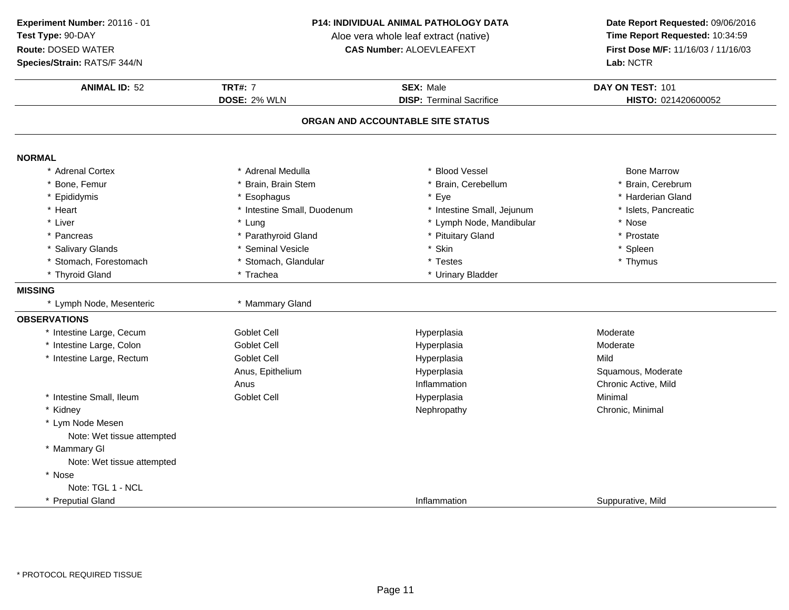**Experiment Number:** 20116 - 01**Test Type:** 90-DAY

### **Route:** DOSED WATER

**Species/Strain:** RATS/F 344/N

#### **P14: INDIVIDUAL ANIMAL PATHOLOGY DATA**

Aloe vera whole leaf extract (native)<br>**CAS Number:** ALOEVLEAFEXT

| <b>ANIMAL ID: 52</b>       | <b>TRT#: 7</b>              | <b>SEX: Male</b>                  | DAY ON TEST: 101     |
|----------------------------|-----------------------------|-----------------------------------|----------------------|
|                            | DOSE: 2% WLN                | <b>DISP: Terminal Sacrifice</b>   | HISTO: 021420600052  |
|                            |                             | ORGAN AND ACCOUNTABLE SITE STATUS |                      |
| <b>NORMAL</b>              |                             |                                   |                      |
| * Adrenal Cortex           | * Adrenal Medulla           | * Blood Vessel                    | <b>Bone Marrow</b>   |
| Bone, Femur                | * Brain, Brain Stem         | * Brain, Cerebellum               | * Brain, Cerebrum    |
| * Epididymis               | * Esophagus                 | * Eye                             | * Harderian Gland    |
| * Heart                    | * Intestine Small, Duodenum | * Intestine Small, Jejunum        | * Islets, Pancreatic |
| * Liver                    | * Lung                      | * Lymph Node, Mandibular          | * Nose               |
| * Pancreas                 | * Parathyroid Gland         | * Pituitary Gland                 | * Prostate           |
| * Salivary Glands          | * Seminal Vesicle           | * Skin                            | * Spleen             |
| * Stomach, Forestomach     | * Stomach, Glandular        | * Testes                          | * Thymus             |
| * Thyroid Gland            | * Trachea                   | * Urinary Bladder                 |                      |
| <b>MISSING</b>             |                             |                                   |                      |
| * Lymph Node, Mesenteric   | * Mammary Gland             |                                   |                      |
| <b>OBSERVATIONS</b>        |                             |                                   |                      |
| * Intestine Large, Cecum   | <b>Goblet Cell</b>          | Hyperplasia                       | Moderate             |
| * Intestine Large, Colon   | <b>Goblet Cell</b>          | Hyperplasia                       | Moderate             |
| * Intestine Large, Rectum  | <b>Goblet Cell</b>          | Hyperplasia                       | Mild                 |
|                            | Anus, Epithelium            | Hyperplasia                       | Squamous, Moderate   |
|                            | Anus                        | Inflammation                      | Chronic Active, Mild |
| * Intestine Small, Ileum   | <b>Goblet Cell</b>          | Hyperplasia                       | Minimal              |
| * Kidney                   |                             | Nephropathy                       | Chronic, Minimal     |
| * Lym Node Mesen           |                             |                                   |                      |
| Note: Wet tissue attempted |                             |                                   |                      |
| * Mammary GI               |                             |                                   |                      |
| Note: Wet tissue attempted |                             |                                   |                      |
| * Nose                     |                             |                                   |                      |
| Note: TGL 1 - NCL          |                             |                                   |                      |
| * Preputial Gland          |                             | Inflammation                      | Suppurative, Mild    |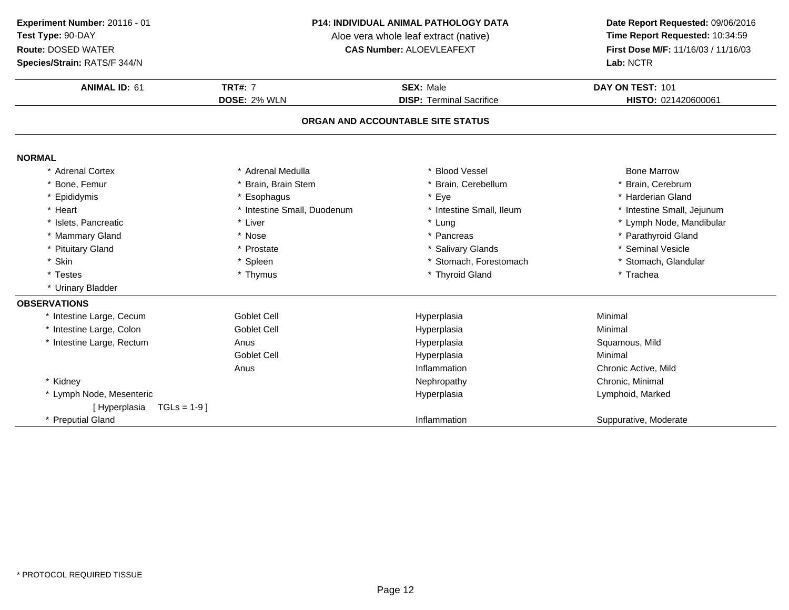**Species/Strain:** RATS/F 344/N

### **P14: INDIVIDUAL ANIMAL PATHOLOGY DATA**

Aloe vera whole leaf extract (native)<br>**CAS Number:** ALOEVLEAFEXT

| Species/Strain: RATS/F 344/N   |                             |                                   | Lab: NCTR                  |
|--------------------------------|-----------------------------|-----------------------------------|----------------------------|
| <b>ANIMAL ID: 61</b>           | <b>TRT#: 7</b>              | <b>SEX: Male</b>                  | DAY ON TEST: 101           |
|                                | DOSE: 2% WLN                | <b>DISP: Terminal Sacrifice</b>   | HISTO: 021420600061        |
|                                |                             | ORGAN AND ACCOUNTABLE SITE STATUS |                            |
| <b>NORMAL</b>                  |                             |                                   |                            |
| * Adrenal Cortex               | * Adrenal Medulla           | * Blood Vessel                    | <b>Bone Marrow</b>         |
| Bone, Femur                    | * Brain, Brain Stem         | * Brain, Cerebellum               | * Brain, Cerebrum          |
| * Epididymis                   | * Esophagus                 | Eye                               | * Harderian Gland          |
| * Heart                        | * Intestine Small, Duodenum | * Intestine Small, Ileum          | * Intestine Small, Jejunum |
| * Islets, Pancreatic           | * Liver                     | * Lung                            | * Lymph Node, Mandibular   |
| * Mammary Gland                | * Nose                      | Pancreas                          | * Parathyroid Gland        |
| * Pituitary Gland              | * Prostate                  | * Salivary Glands                 | * Seminal Vesicle          |
| * Skin                         | * Spleen                    | * Stomach, Forestomach            | * Stomach, Glandular       |
| * Testes                       | * Thymus                    | * Thyroid Gland                   | * Trachea                  |
| * Urinary Bladder              |                             |                                   |                            |
| <b>OBSERVATIONS</b>            |                             |                                   |                            |
| * Intestine Large, Cecum       | <b>Goblet Cell</b>          | Hyperplasia                       | Minimal                    |
| * Intestine Large, Colon       | <b>Goblet Cell</b>          | Hyperplasia                       | Minimal                    |
| * Intestine Large, Rectum      | Anus                        | Hyperplasia                       | Squamous, Mild             |
|                                | <b>Goblet Cell</b>          | Hyperplasia                       | Minimal                    |
|                                | Anus                        | Inflammation                      | Chronic Active, Mild       |
| * Kidney                       |                             | Nephropathy                       | Chronic, Minimal           |
| * Lymph Node, Mesenteric       |                             | Hyperplasia                       | Lymphoid, Marked           |
| $TGLs = 1-9$ ]<br>[Hyperplasia |                             |                                   |                            |
| * Preputial Gland              |                             | Inflammation                      | Suppurative, Moderate      |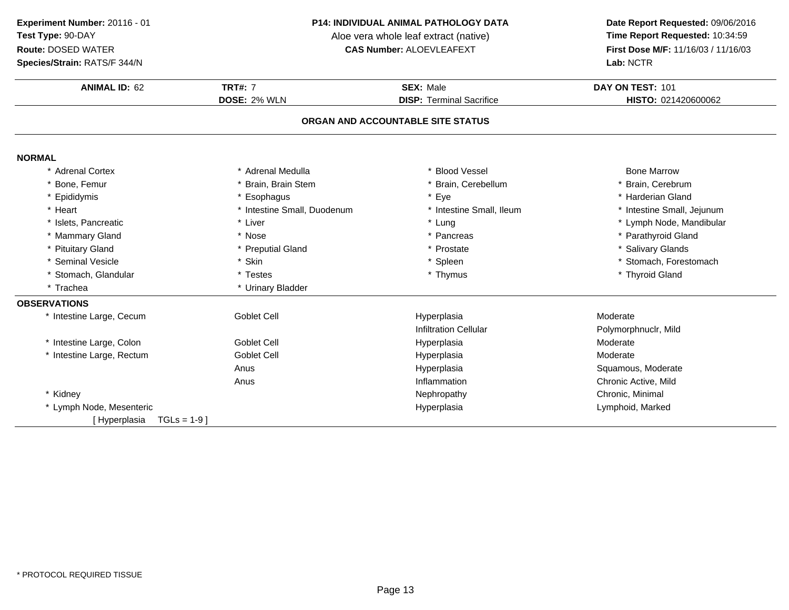### **P14: INDIVIDUAL ANIMAL PATHOLOGY DATA**

Aloe vera whole leaf extract (native)<br>**CAS Number:** ALOEVLEAFEXT

| Species/Strain: RATS/F 344/N   |                             |                                   | Lab: NCTR                  |
|--------------------------------|-----------------------------|-----------------------------------|----------------------------|
| <b>ANIMAL ID: 62</b>           | <b>TRT#: 7</b>              | <b>SEX: Male</b>                  | DAY ON TEST: 101           |
|                                | DOSE: 2% WLN                | <b>DISP: Terminal Sacrifice</b>   | HISTO: 021420600062        |
|                                |                             | ORGAN AND ACCOUNTABLE SITE STATUS |                            |
| <b>NORMAL</b>                  |                             |                                   |                            |
| * Adrenal Cortex               | * Adrenal Medulla           | <b>Blood Vessel</b>               | <b>Bone Marrow</b>         |
| Bone, Femur                    | Brain, Brain Stem           | Brain, Cerebellum                 | Brain, Cerebrum            |
| Epididymis                     | * Esophagus                 | Eye                               | * Harderian Gland          |
| * Heart                        | * Intestine Small, Duodenum | * Intestine Small, Ileum          | * Intestine Small, Jejunum |
| * Islets, Pancreatic           | * Liver                     | * Lung                            | * Lymph Node, Mandibular   |
| * Mammary Gland                | * Nose                      | * Pancreas                        | * Parathyroid Gland        |
| <b>Pituitary Gland</b>         | * Preputial Gland           | * Prostate                        | * Salivary Glands          |
| * Seminal Vesicle              | * Skin                      | * Spleen                          | * Stomach, Forestomach     |
| * Stomach, Glandular           | * Testes                    | * Thymus                          | * Thyroid Gland            |
| * Trachea                      | * Urinary Bladder           |                                   |                            |
| <b>OBSERVATIONS</b>            |                             |                                   |                            |
| * Intestine Large, Cecum       | <b>Goblet Cell</b>          | Hyperplasia                       | Moderate                   |
|                                |                             | <b>Infiltration Cellular</b>      | Polymorphnuclr, Mild       |
| * Intestine Large, Colon       | <b>Goblet Cell</b>          | Hyperplasia                       | Moderate                   |
| * Intestine Large, Rectum      | <b>Goblet Cell</b>          | Hyperplasia                       | Moderate                   |
|                                | Anus                        | Hyperplasia                       | Squamous, Moderate         |
|                                | Anus                        | Inflammation                      | Chronic Active, Mild       |
| * Kidney                       |                             | Nephropathy                       | Chronic, Minimal           |
| * Lymph Node, Mesenteric       |                             | Hyperplasia                       | Lymphoid, Marked           |
| $TGLs = 1-9$ ]<br>[Hyperplasia |                             |                                   |                            |
|                                |                             |                                   |                            |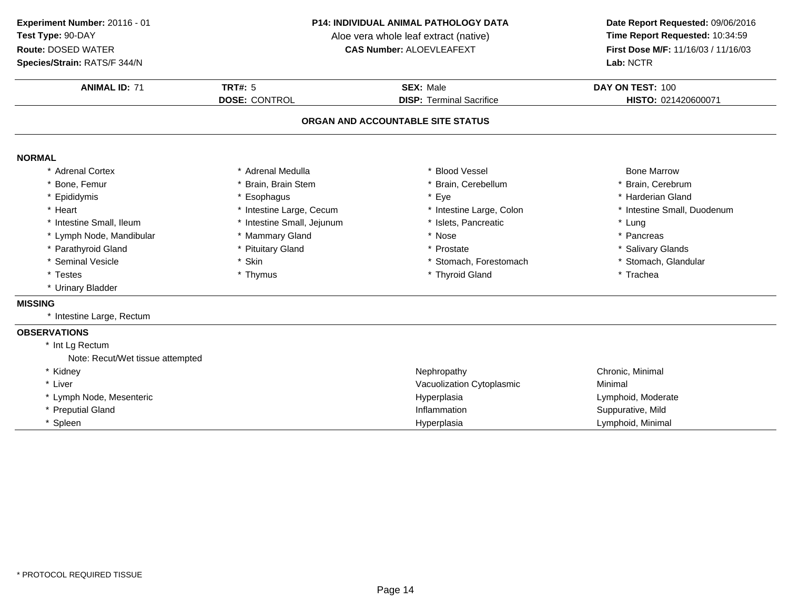**Species/Strain:** RATS/F 344/N

### **P14: INDIVIDUAL ANIMAL PATHOLOGY DATA**

Aloe vera whole leaf extract (native)<br>**CAS Number:** ALOEVLEAFEXT

| <b>ANIMAL ID: 71</b>             | <b>TRT#: 5</b>             | <b>SEX: Male</b>                  | DAY ON TEST: 100            |
|----------------------------------|----------------------------|-----------------------------------|-----------------------------|
|                                  | <b>DOSE: CONTROL</b>       | <b>DISP: Terminal Sacrifice</b>   | HISTO: 021420600071         |
|                                  |                            | ORGAN AND ACCOUNTABLE SITE STATUS |                             |
| <b>NORMAL</b>                    |                            |                                   |                             |
| * Adrenal Cortex                 | * Adrenal Medulla          | * Blood Vessel                    | <b>Bone Marrow</b>          |
| * Bone, Femur                    | Brain, Brain Stem          | * Brain, Cerebellum               | * Brain, Cerebrum           |
| * Epididymis                     | * Esophagus                | * Eye                             | * Harderian Gland           |
| * Heart                          | * Intestine Large, Cecum   | * Intestine Large, Colon          | * Intestine Small, Duodenum |
| * Intestine Small, Ileum         | * Intestine Small, Jejunum | * Islets, Pancreatic              | * Lung                      |
| * Lymph Node, Mandibular         | * Mammary Gland            | * Nose                            | * Pancreas                  |
| * Parathyroid Gland              | * Pituitary Gland          | * Prostate                        | * Salivary Glands           |
| * Seminal Vesicle                | * Skin                     | * Stomach, Forestomach            | * Stomach, Glandular        |
| * Testes                         | * Thymus                   | * Thyroid Gland                   | * Trachea                   |
| * Urinary Bladder                |                            |                                   |                             |
| <b>MISSING</b>                   |                            |                                   |                             |
| * Intestine Large, Rectum        |                            |                                   |                             |
| <b>OBSERVATIONS</b>              |                            |                                   |                             |
| * Int Lg Rectum                  |                            |                                   |                             |
| Note: Recut/Wet tissue attempted |                            |                                   |                             |
| * Kidney                         |                            | Nephropathy                       | Chronic, Minimal            |
| * Liver                          |                            | Vacuolization Cytoplasmic         | Minimal                     |
| * Lymph Node, Mesenteric         |                            | Hyperplasia                       | Lymphoid, Moderate          |
| * Preputial Gland                |                            | Inflammation                      | Suppurative, Mild           |
| Spleen                           |                            | Hyperplasia                       | Lymphoid, Minimal           |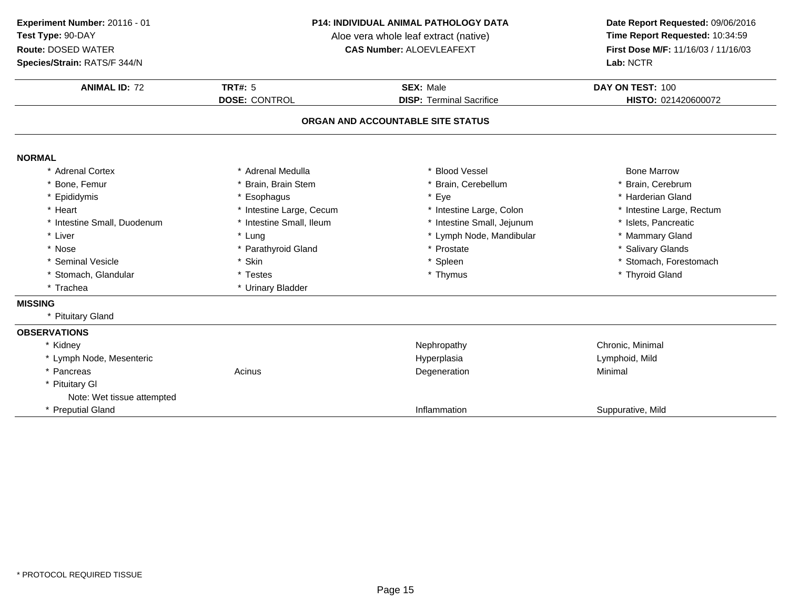**Species/Strain:** RATS/F 344/N

#### **P14: INDIVIDUAL ANIMAL PATHOLOGY DATA**

Aloe vera whole leaf extract (native)<br>**CAS Number:** ALOEVLEAFEXT

| <b>ANIMAL ID: 72</b>        | <b>TRT#: 5</b>           | <b>SEX: Male</b>                  | DAY ON TEST: 100          |
|-----------------------------|--------------------------|-----------------------------------|---------------------------|
|                             | <b>DOSE: CONTROL</b>     | <b>DISP: Terminal Sacrifice</b>   | HISTO: 021420600072       |
|                             |                          | ORGAN AND ACCOUNTABLE SITE STATUS |                           |
| <b>NORMAL</b>               |                          |                                   |                           |
| * Adrenal Cortex            | * Adrenal Medulla        | * Blood Vessel                    | <b>Bone Marrow</b>        |
| * Bone, Femur               | * Brain, Brain Stem      | * Brain, Cerebellum               | * Brain, Cerebrum         |
| * Epididymis                | * Esophagus              | * Eye                             | * Harderian Gland         |
| * Heart                     | * Intestine Large, Cecum | * Intestine Large, Colon          | * Intestine Large, Rectum |
| * Intestine Small, Duodenum | * Intestine Small, Ileum | * Intestine Small, Jejunum        | * Islets, Pancreatic      |
| * Liver                     | * Lung                   | * Lymph Node, Mandibular          | * Mammary Gland           |
| * Nose                      | * Parathyroid Gland      | * Prostate                        | * Salivary Glands         |
| * Seminal Vesicle           | * Skin                   | * Spleen                          | * Stomach, Forestomach    |
| * Stomach, Glandular        | * Testes                 | * Thymus                          | * Thyroid Gland           |
| * Trachea                   | * Urinary Bladder        |                                   |                           |
| <b>MISSING</b>              |                          |                                   |                           |
| * Pituitary Gland           |                          |                                   |                           |
| <b>OBSERVATIONS</b>         |                          |                                   |                           |
| * Kidney                    |                          | Nephropathy                       | Chronic, Minimal          |
| * Lymph Node, Mesenteric    |                          | Hyperplasia                       | Lymphoid, Mild            |
| * Pancreas                  | Acinus                   | Degeneration                      | Minimal                   |
| <b>Pituitary GI</b>         |                          |                                   |                           |
| Note: Wet tissue attempted  |                          |                                   |                           |
| * Preputial Gland           |                          | Inflammation                      | Suppurative, Mild         |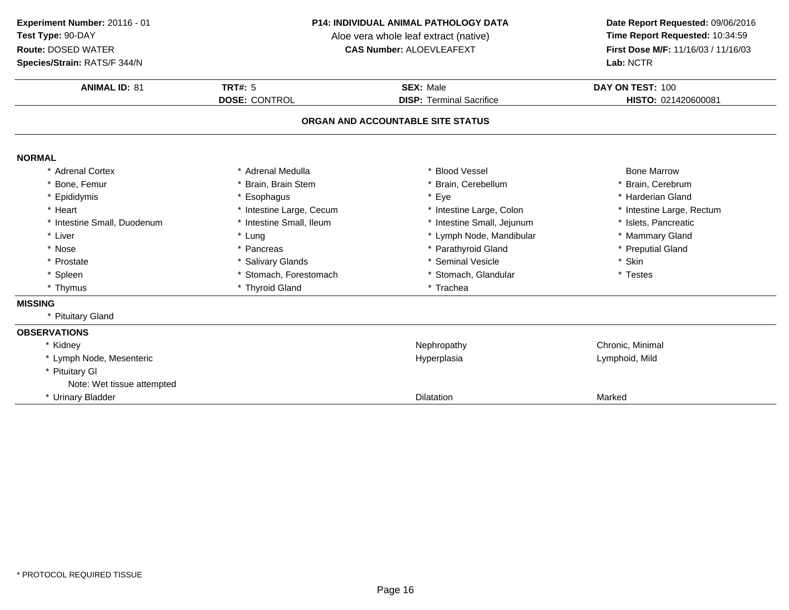**Species/Strain:** RATS/F 344/N

#### **P14: INDIVIDUAL ANIMAL PATHOLOGY DATA**

Aloe vera whole leaf extract (native)<br>**CAS Number:** ALOEVLEAFEXT

| <b>ANIMAL ID: 81</b>        | <b>TRT#: 5</b>           | <b>SEX: Male</b>                  | DAY ON TEST: 100          |
|-----------------------------|--------------------------|-----------------------------------|---------------------------|
|                             | <b>DOSE: CONTROL</b>     | <b>DISP: Terminal Sacrifice</b>   | HISTO: 021420600081       |
|                             |                          | ORGAN AND ACCOUNTABLE SITE STATUS |                           |
| <b>NORMAL</b>               |                          |                                   |                           |
| * Adrenal Cortex            | * Adrenal Medulla        | * Blood Vessel                    | <b>Bone Marrow</b>        |
| * Bone, Femur               | * Brain, Brain Stem      | * Brain, Cerebellum               | * Brain, Cerebrum         |
| * Epididymis                | * Esophagus              | * Eye                             | * Harderian Gland         |
| * Heart                     | * Intestine Large, Cecum | * Intestine Large, Colon          | * Intestine Large, Rectum |
| * Intestine Small, Duodenum | * Intestine Small, Ileum | * Intestine Small, Jejunum        | * Islets, Pancreatic      |
| * Liver                     | * Lung                   | * Lymph Node, Mandibular          | * Mammary Gland           |
| * Nose                      | * Pancreas               | * Parathyroid Gland               | * Preputial Gland         |
| * Prostate                  | * Salivary Glands        | * Seminal Vesicle                 | * Skin                    |
| * Spleen                    | * Stomach, Forestomach   | * Stomach, Glandular              | * Testes                  |
| * Thymus                    | * Thyroid Gland          | * Trachea                         |                           |
| <b>MISSING</b>              |                          |                                   |                           |
| * Pituitary Gland           |                          |                                   |                           |
| <b>OBSERVATIONS</b>         |                          |                                   |                           |
| * Kidney                    |                          | Nephropathy                       | Chronic, Minimal          |
| * Lymph Node, Mesenteric    |                          | Hyperplasia                       | Lymphoid, Mild            |
| * Pituitary GI              |                          |                                   |                           |
| Note: Wet tissue attempted  |                          |                                   |                           |
| * Urinary Bladder           |                          | <b>Dilatation</b>                 | Marked                    |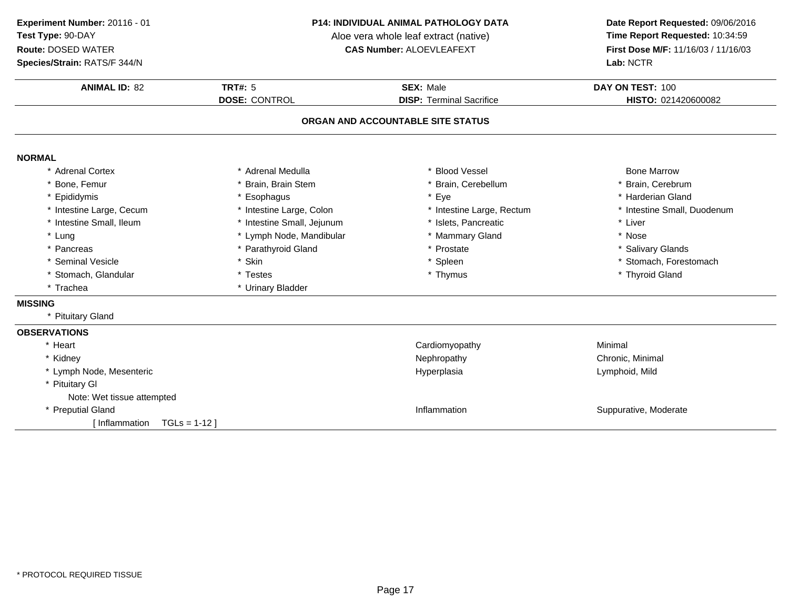**Species/Strain:** RATS/F 344/N

### **P14: INDIVIDUAL ANIMAL PATHOLOGY DATA**

Aloe vera whole leaf extract (native)<br>**CAS Number:** ALOEVLEAFEXT

| <b>ANIMAL ID: 82</b>           | <b>TRT#: 5</b>             | <b>SEX: Male</b>                  | DAY ON TEST: 100            |
|--------------------------------|----------------------------|-----------------------------------|-----------------------------|
|                                | <b>DOSE: CONTROL</b>       | <b>DISP: Terminal Sacrifice</b>   | HISTO: 021420600082         |
|                                |                            | ORGAN AND ACCOUNTABLE SITE STATUS |                             |
| <b>NORMAL</b>                  |                            |                                   |                             |
| * Adrenal Cortex               | * Adrenal Medulla          | * Blood Vessel                    | <b>Bone Marrow</b>          |
| Bone, Femur                    | * Brain, Brain Stem        | * Brain, Cerebellum               | * Brain, Cerebrum           |
| Epididymis                     | * Esophagus                | * Eye                             | * Harderian Gland           |
| * Intestine Large, Cecum       | * Intestine Large, Colon   | * Intestine Large, Rectum         | * Intestine Small, Duodenum |
| * Intestine Small, Ileum       | * Intestine Small, Jejunum | * Islets, Pancreatic              | * Liver                     |
| * Lung                         | * Lymph Node, Mandibular   | * Mammary Gland                   | * Nose                      |
| * Pancreas                     | * Parathyroid Gland        | * Prostate                        | * Salivary Glands           |
| * Seminal Vesicle              | * Skin                     | * Spleen                          | * Stomach, Forestomach      |
| * Stomach, Glandular           | * Testes                   | * Thymus                          | * Thyroid Gland             |
| * Trachea                      | * Urinary Bladder          |                                   |                             |
| <b>MISSING</b>                 |                            |                                   |                             |
| * Pituitary Gland              |                            |                                   |                             |
| <b>OBSERVATIONS</b>            |                            |                                   |                             |
| * Heart                        |                            | Cardiomyopathy                    | Minimal                     |
| * Kidney                       |                            | Nephropathy                       | Chronic, Minimal            |
| * Lymph Node, Mesenteric       |                            | Hyperplasia                       | Lymphoid, Mild              |
| * Pituitary GI                 |                            |                                   |                             |
| Note: Wet tissue attempted     |                            |                                   |                             |
| * Preputial Gland              |                            | Inflammation                      | Suppurative, Moderate       |
| [Inflammation<br>$TGLs = 1-12$ |                            |                                   |                             |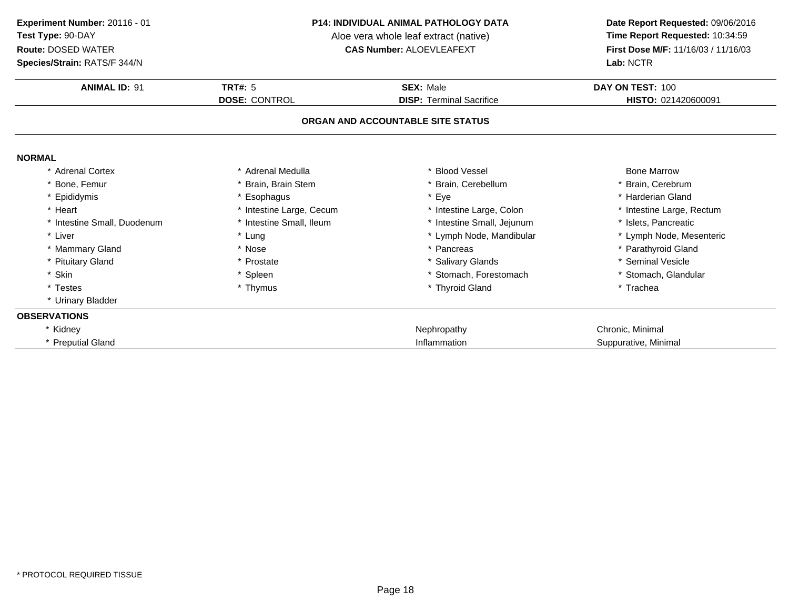**Species/Strain:** RATS/F 344/N

#### **P14: INDIVIDUAL ANIMAL PATHOLOGY DATA**

Aloe vera whole leaf extract (native)<br>**CAS Number:** ALOEVLEAFEXT

| <b>ANIMAL ID: 91</b>        | <b>TRT#: 5</b>           | <b>SEX: Male</b>                  | DAY ON TEST: 100          |
|-----------------------------|--------------------------|-----------------------------------|---------------------------|
|                             | <b>DOSE: CONTROL</b>     | <b>DISP: Terminal Sacrifice</b>   | HISTO: 021420600091       |
|                             |                          | ORGAN AND ACCOUNTABLE SITE STATUS |                           |
| <b>NORMAL</b>               |                          |                                   |                           |
| <b>Adrenal Cortex</b>       | * Adrenal Medulla        | * Blood Vessel                    | <b>Bone Marrow</b>        |
| Bone, Femur                 | * Brain, Brain Stem      | * Brain, Cerebellum               | Brain, Cerebrum           |
| * Epididymis                | * Esophagus              | * Eye                             | * Harderian Gland         |
| * Heart                     | * Intestine Large, Cecum | * Intestine Large, Colon          | * Intestine Large, Rectum |
| * Intestine Small, Duodenum | * Intestine Small, Ileum | * Intestine Small, Jejunum        | * Islets, Pancreatic      |
| * Liver                     | * Lung                   | * Lymph Node, Mandibular          | * Lymph Node, Mesenteric  |
| * Mammary Gland             | * Nose                   | * Pancreas                        | * Parathyroid Gland       |
| * Pituitary Gland           | * Prostate               | * Salivary Glands                 | * Seminal Vesicle         |
| * Skin                      | * Spleen                 | * Stomach, Forestomach            | * Stomach, Glandular      |
| * Testes                    | * Thymus                 | * Thyroid Gland                   | * Trachea                 |
| * Urinary Bladder           |                          |                                   |                           |
| <b>OBSERVATIONS</b>         |                          |                                   |                           |
| * Kidney                    |                          | Nephropathy                       | Chronic, Minimal          |
| * Preputial Gland           |                          | Inflammation                      | Suppurative, Minimal      |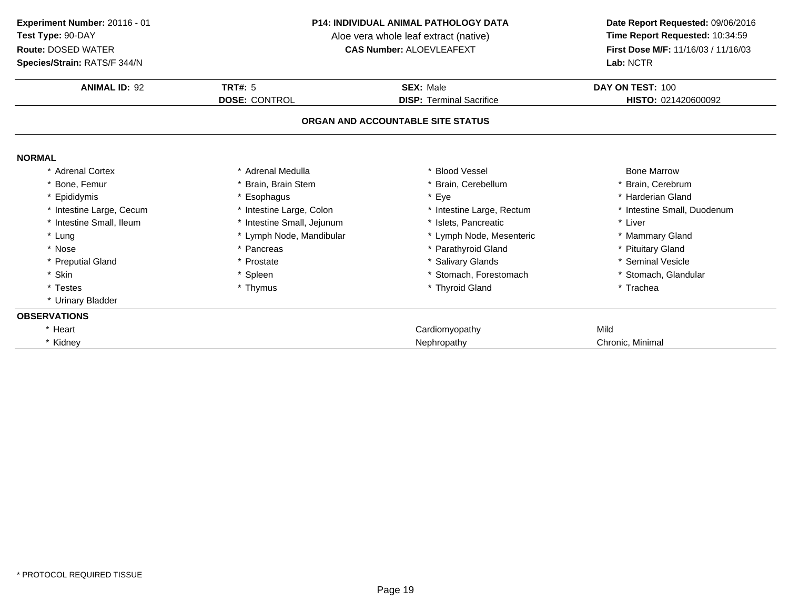**Species/Strain:** RATS/F 344/N

#### **P14: INDIVIDUAL ANIMAL PATHOLOGY DATA**

Aloe vera whole leaf extract (native)<br>**CAS Number:** ALOEVLEAFEXT

| <b>ANIMAL ID: 92</b>     | <b>TRT#: 5</b>             | <b>SEX: Male</b>                  | DAY ON TEST: 100            |
|--------------------------|----------------------------|-----------------------------------|-----------------------------|
|                          | <b>DOSE: CONTROL</b>       | <b>DISP: Terminal Sacrifice</b>   | HISTO: 021420600092         |
|                          |                            | ORGAN AND ACCOUNTABLE SITE STATUS |                             |
| <b>NORMAL</b>            |                            |                                   |                             |
| * Adrenal Cortex         | * Adrenal Medulla          | * Blood Vessel                    | <b>Bone Marrow</b>          |
| * Bone, Femur            | Brain, Brain Stem          | * Brain, Cerebellum               | * Brain, Cerebrum           |
| * Epididymis             | * Esophagus                | * Eye                             | * Harderian Gland           |
| * Intestine Large, Cecum | * Intestine Large, Colon   | * Intestine Large, Rectum         | * Intestine Small, Duodenum |
| * Intestine Small, Ileum | * Intestine Small, Jejunum | * Islets, Pancreatic              | * Liver                     |
| * Lung                   | * Lymph Node, Mandibular   | * Lymph Node, Mesenteric          | * Mammary Gland             |
| * Nose                   | * Pancreas                 | * Parathyroid Gland               | * Pituitary Gland           |
| * Preputial Gland        | * Prostate                 | * Salivary Glands                 | * Seminal Vesicle           |
| * Skin                   | * Spleen                   | * Stomach, Forestomach            | * Stomach, Glandular        |
| * Testes                 | * Thymus                   | * Thyroid Gland                   | * Trachea                   |
| * Urinary Bladder        |                            |                                   |                             |
| <b>OBSERVATIONS</b>      |                            |                                   |                             |
| * Heart                  |                            | Cardiomyopathy                    | Mild                        |
| * Kidney                 |                            | Nephropathy                       | Chronic, Minimal            |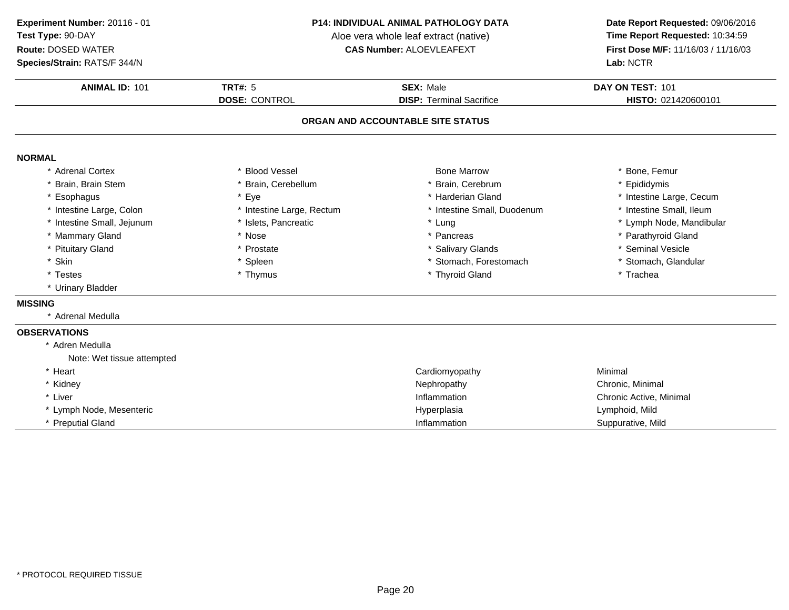### **Species/Strain:** RATS/F 344/N

### **P14: INDIVIDUAL ANIMAL PATHOLOGY DATA**

Aloe vera whole leaf extract (native)<br>**CAS Number:** ALOEVLEAFEXT

| <b>ANIMAL ID: 101</b>      | <b>TRT#: 5</b>            | <b>SEX: Male</b>                  | DAY ON TEST: 101         |
|----------------------------|---------------------------|-----------------------------------|--------------------------|
|                            | <b>DOSE: CONTROL</b>      | <b>DISP: Terminal Sacrifice</b>   | HISTO: 021420600101      |
|                            |                           | ORGAN AND ACCOUNTABLE SITE STATUS |                          |
| <b>NORMAL</b>              |                           |                                   |                          |
| <b>Adrenal Cortex</b>      | <b>Blood Vessel</b>       | <b>Bone Marrow</b>                | * Bone, Femur            |
| Brain, Brain Stem          | * Brain, Cerebellum       | * Brain, Cerebrum                 | * Epididymis             |
| Esophagus                  | * Eye                     | * Harderian Gland                 | * Intestine Large, Cecum |
| * Intestine Large, Colon   | * Intestine Large, Rectum | * Intestine Small, Duodenum       | * Intestine Small, Ileum |
| * Intestine Small, Jejunum | * Islets, Pancreatic      | * Lung                            | * Lymph Node, Mandibular |
| * Mammary Gland            | * Nose                    | * Pancreas                        | * Parathyroid Gland      |
| * Pituitary Gland          | * Prostate                | * Salivary Glands                 | * Seminal Vesicle        |
| * Skin                     | * Spleen                  | * Stomach, Forestomach            | * Stomach, Glandular     |
| * Testes                   | * Thymus                  | * Thyroid Gland                   | * Trachea                |
| * Urinary Bladder          |                           |                                   |                          |
| <b>MISSING</b>             |                           |                                   |                          |
| * Adrenal Medulla          |                           |                                   |                          |
| <b>OBSERVATIONS</b>        |                           |                                   |                          |
| * Adren Medulla            |                           |                                   |                          |
| Note: Wet tissue attempted |                           |                                   |                          |
| * Heart                    |                           | Cardiomyopathy                    | Minimal                  |
| * Kidney                   |                           | Nephropathy                       | Chronic, Minimal         |
| * Liver                    |                           | Inflammation                      | Chronic Active, Minimal  |
| * Lymph Node, Mesenteric   |                           | Hyperplasia                       | Lymphoid, Mild           |
| * Preputial Gland          |                           | Inflammation                      | Suppurative, Mild        |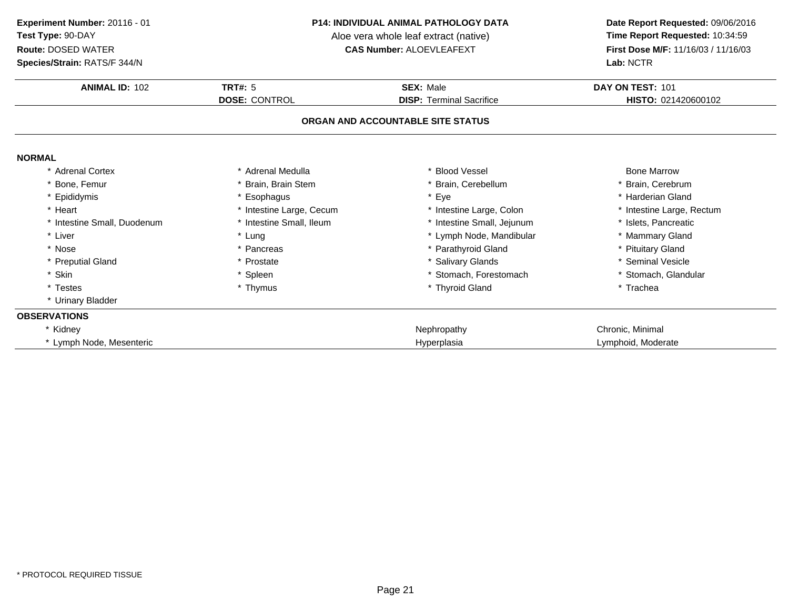**Species/Strain:** RATS/F 344/N

#### **P14: INDIVIDUAL ANIMAL PATHOLOGY DATA**

Aloe vera whole leaf extract (native)<br>**CAS Number:** ALOEVLEAFEXT

| <b>ANIMAL ID: 102</b>     | <b>TRT#: 5</b>           | <b>SEX: Male</b>                  | DAY ON TEST: 101          |
|---------------------------|--------------------------|-----------------------------------|---------------------------|
|                           | <b>DOSE: CONTROL</b>     | <b>DISP: Terminal Sacrifice</b>   | HISTO: 021420600102       |
|                           |                          | ORGAN AND ACCOUNTABLE SITE STATUS |                           |
| <b>NORMAL</b>             |                          |                                   |                           |
| * Adrenal Cortex          | * Adrenal Medulla        | <b>Blood Vessel</b>               | <b>Bone Marrow</b>        |
| * Bone, Femur             | * Brain, Brain Stem      | * Brain, Cerebellum               | * Brain, Cerebrum         |
| * Epididymis              | * Esophagus              | * Eye                             | * Harderian Gland         |
| * Heart                   | * Intestine Large, Cecum | * Intestine Large, Colon          | * Intestine Large, Rectum |
| Intestine Small, Duodenum | * Intestine Small, Ileum | * Intestine Small, Jejunum        | * Islets, Pancreatic      |
| * Liver                   | * Lung                   | * Lymph Node, Mandibular          | * Mammary Gland           |
| * Nose                    | * Pancreas               | * Parathyroid Gland               | * Pituitary Gland         |
| * Preputial Gland         | * Prostate               | * Salivary Glands                 | * Seminal Vesicle         |
| * Skin                    | * Spleen                 | Stomach, Forestomach              | * Stomach, Glandular      |
| * Testes                  | * Thymus                 | * Thyroid Gland                   | * Trachea                 |
| * Urinary Bladder         |                          |                                   |                           |
| <b>OBSERVATIONS</b>       |                          |                                   |                           |
| * Kidney                  |                          | Nephropathy                       | Chronic, Minimal          |
| * Lymph Node, Mesenteric  |                          | Hyperplasia                       | Lymphoid, Moderate        |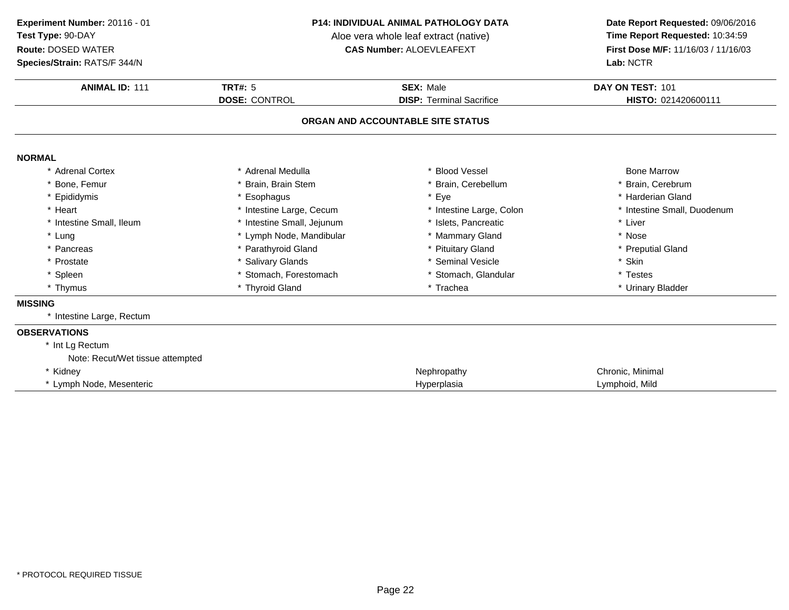**Species/Strain:** RATS/F 344/N

#### **P14: INDIVIDUAL ANIMAL PATHOLOGY DATA**

Aloe vera whole leaf extract (native)<br>**CAS Number:** ALOEVLEAFEXT

| <b>ANIMAL ID: 111</b>                               | TRT#: $5$                  | <b>SEX: Male</b>                  | DAY ON TEST: 101            |
|-----------------------------------------------------|----------------------------|-----------------------------------|-----------------------------|
|                                                     | <b>DOSE: CONTROL</b>       | <b>DISP: Terminal Sacrifice</b>   | HISTO: 021420600111         |
|                                                     |                            | ORGAN AND ACCOUNTABLE SITE STATUS |                             |
| <b>NORMAL</b>                                       |                            |                                   |                             |
| * Adrenal Cortex                                    | * Adrenal Medulla          | * Blood Vessel                    | <b>Bone Marrow</b>          |
| Bone, Femur                                         | * Brain, Brain Stem        | * Brain, Cerebellum               | * Brain, Cerebrum           |
| * Epididymis                                        | * Esophagus                | * Eye                             | * Harderian Gland           |
| * Heart                                             | * Intestine Large, Cecum   | * Intestine Large, Colon          | * Intestine Small, Duodenum |
| * Intestine Small, Ileum                            | * Intestine Small, Jejunum | * Islets. Pancreatic              | * Liver                     |
| * Lung                                              | * Lymph Node, Mandibular   | * Mammary Gland                   | * Nose                      |
| * Pancreas                                          | * Parathyroid Gland        | * Pituitary Gland                 | * Preputial Gland           |
| * Prostate                                          | * Salivary Glands          | * Seminal Vesicle                 | * Skin                      |
| * Spleen                                            | * Stomach, Forestomach     | * Stomach, Glandular              | * Testes                    |
| * Thymus                                            | * Thyroid Gland            | * Trachea                         | * Urinary Bladder           |
| <b>MISSING</b>                                      |                            |                                   |                             |
| * Intestine Large, Rectum                           |                            |                                   |                             |
| <b>OBSERVATIONS</b>                                 |                            |                                   |                             |
| * Int Lg Rectum<br>Note: Recut/Wet tissue attempted |                            |                                   |                             |
| * Kidney                                            |                            | Nephropathy                       | Chronic, Minimal            |
| * Lymph Node, Mesenteric                            |                            | Hyperplasia                       | Lymphoid, Mild              |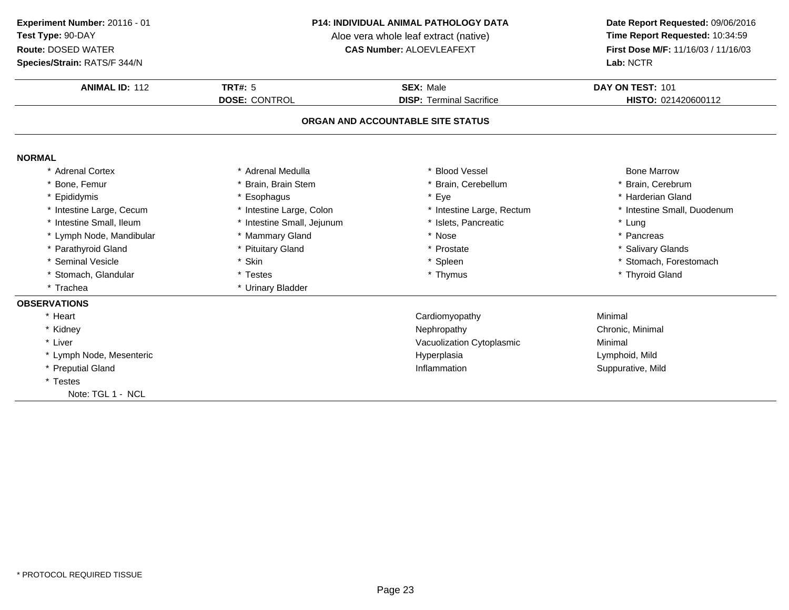### **Species/Strain:** RATS/F 344/N

#### **P14: INDIVIDUAL ANIMAL PATHOLOGY DATA**

Aloe vera whole leaf extract (native)<br>**CAS Number:** ALOEVLEAFEXT

| <b>ANIMAL ID: 112</b>    | <b>TRT#: 5</b>             | <b>SEX: Male</b>                  | DAY ON TEST: 101            |
|--------------------------|----------------------------|-----------------------------------|-----------------------------|
|                          | <b>DOSE: CONTROL</b>       | <b>DISP: Terminal Sacrifice</b>   | HISTO: 021420600112         |
|                          |                            | ORGAN AND ACCOUNTABLE SITE STATUS |                             |
| <b>NORMAL</b>            |                            |                                   |                             |
| * Adrenal Cortex         | * Adrenal Medulla          | * Blood Vessel                    | <b>Bone Marrow</b>          |
| Bone, Femur              | * Brain, Brain Stem        | * Brain, Cerebellum               | * Brain, Cerebrum           |
| * Epididymis             | * Esophagus                | * Eye                             | * Harderian Gland           |
| * Intestine Large, Cecum | * Intestine Large, Colon   | * Intestine Large, Rectum         | * Intestine Small, Duodenum |
| * Intestine Small, Ileum | * Intestine Small, Jejunum | * Islets. Pancreatic              | * Lung                      |
| * Lymph Node, Mandibular | * Mammary Gland            | * Nose                            | * Pancreas                  |
| * Parathyroid Gland      | * Pituitary Gland          | * Prostate                        | * Salivary Glands           |
| * Seminal Vesicle        | * Skin                     | * Spleen                          | * Stomach, Forestomach      |
| * Stomach, Glandular     | * Testes                   | * Thymus                          | * Thyroid Gland             |
| * Trachea                | * Urinary Bladder          |                                   |                             |
| <b>OBSERVATIONS</b>      |                            |                                   |                             |
| * Heart                  |                            | Cardiomyopathy                    | Minimal                     |
| * Kidney                 |                            | Nephropathy                       | Chronic, Minimal            |
| * Liver                  |                            | Vacuolization Cytoplasmic         | Minimal                     |
| * Lymph Node, Mesenteric |                            | Hyperplasia                       | Lymphoid, Mild              |
| * Preputial Gland        |                            | Inflammation                      | Suppurative, Mild           |
| * Testes                 |                            |                                   |                             |
| Note: TGL 1 - NCL        |                            |                                   |                             |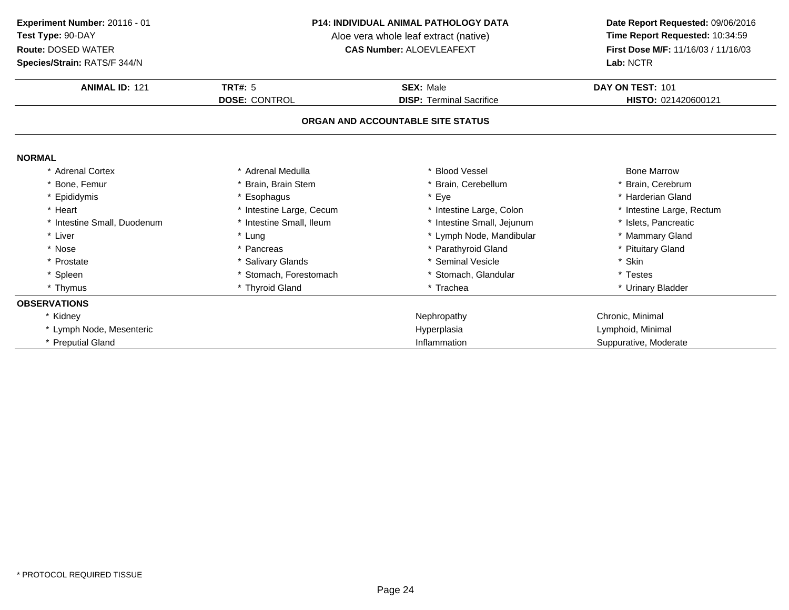**Species/Strain:** RATS/F 344/N

#### **P14: INDIVIDUAL ANIMAL PATHOLOGY DATA**

Aloe vera whole leaf extract (native)<br>**CAS Number:** ALOEVLEAFEXT

| Species/Strain: RATS/F 344/N |                          |                                   | Lab: NCTR                 |
|------------------------------|--------------------------|-----------------------------------|---------------------------|
| <b>ANIMAL ID: 121</b>        | <b>TRT#: 5</b>           | <b>SEX: Male</b>                  | DAY ON TEST: 101          |
|                              | DOSE: CONTROL            | <b>DISP: Terminal Sacrifice</b>   | HISTO: 021420600121       |
|                              |                          | ORGAN AND ACCOUNTABLE SITE STATUS |                           |
| <b>NORMAL</b>                |                          |                                   |                           |
| <b>Adrenal Cortex</b>        | * Adrenal Medulla        | * Blood Vessel                    | <b>Bone Marrow</b>        |
| * Bone, Femur                | * Brain, Brain Stem      | * Brain, Cerebellum               | * Brain, Cerebrum         |
| Epididymis                   | * Esophagus              | * Eye                             | * Harderian Gland         |
| * Heart                      | * Intestine Large, Cecum | * Intestine Large, Colon          | * Intestine Large, Rectum |
| * Intestine Small, Duodenum  | * Intestine Small, Ileum | * Intestine Small, Jejunum        | * Islets, Pancreatic      |
| * Liver                      | * Lung                   | * Lymph Node, Mandibular          | * Mammary Gland           |
| * Nose                       | * Pancreas               | * Parathyroid Gland               | * Pituitary Gland         |
| * Prostate                   | * Salivary Glands        | * Seminal Vesicle                 | * Skin                    |
| * Spleen                     | * Stomach, Forestomach   | * Stomach, Glandular              | * Testes                  |
| * Thymus                     | * Thyroid Gland          | * Trachea                         | * Urinary Bladder         |
| <b>OBSERVATIONS</b>          |                          |                                   |                           |
| * Kidney                     |                          | Nephropathy                       | Chronic, Minimal          |
| * Lymph Node, Mesenteric     |                          | Hyperplasia                       | Lymphoid, Minimal         |
| * Preputial Gland            |                          | Inflammation                      | Suppurative, Moderate     |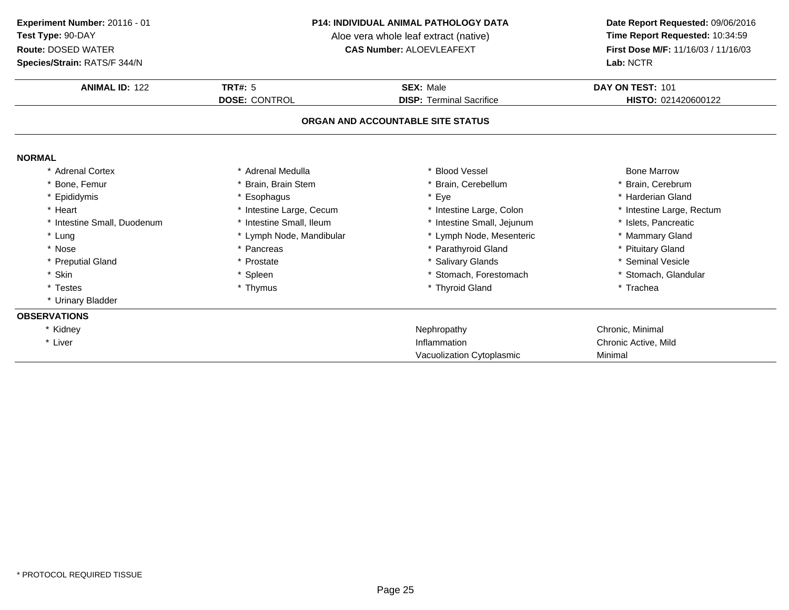**Species/Strain:** RATS/F 344/N

#### **P14: INDIVIDUAL ANIMAL PATHOLOGY DATA**

Aloe vera whole leaf extract (native)<br>**CAS Number:** ALOEVLEAFEXT

| <b>ANIMAL ID: 122</b>       | TRT#: 5                  | <b>SEX: Male</b>                  | DAY ON TEST: 101          |
|-----------------------------|--------------------------|-----------------------------------|---------------------------|
|                             | <b>DOSE: CONTROL</b>     | <b>DISP: Terminal Sacrifice</b>   | HISTO: 021420600122       |
|                             |                          | ORGAN AND ACCOUNTABLE SITE STATUS |                           |
| <b>NORMAL</b>               |                          |                                   |                           |
| * Adrenal Cortex            | * Adrenal Medulla        | * Blood Vessel                    | <b>Bone Marrow</b>        |
| * Bone, Femur               | * Brain, Brain Stem      | * Brain, Cerebellum               | * Brain, Cerebrum         |
| * Epididymis                | * Esophagus              | * Eye                             | * Harderian Gland         |
| * Heart                     | * Intestine Large, Cecum | * Intestine Large, Colon          | * Intestine Large, Rectum |
| * Intestine Small, Duodenum | * Intestine Small, Ileum | * Intestine Small, Jejunum        | * Islets, Pancreatic      |
| * Lung                      | * Lymph Node, Mandibular | * Lymph Node, Mesenteric          | * Mammary Gland           |
| * Nose                      | * Pancreas               | * Parathyroid Gland               | * Pituitary Gland         |
| * Preputial Gland           | * Prostate               | * Salivary Glands                 | * Seminal Vesicle         |
| * Skin                      | * Spleen                 | * Stomach, Forestomach            | * Stomach, Glandular      |
| * Testes                    | * Thymus                 | * Thyroid Gland                   | * Trachea                 |
| * Urinary Bladder           |                          |                                   |                           |
| <b>OBSERVATIONS</b>         |                          |                                   |                           |
| * Kidney                    |                          | Nephropathy                       | Chronic, Minimal          |
| * Liver                     |                          | Inflammation                      | Chronic Active, Mild      |
|                             |                          | Vacuolization Cytoplasmic         | Minimal                   |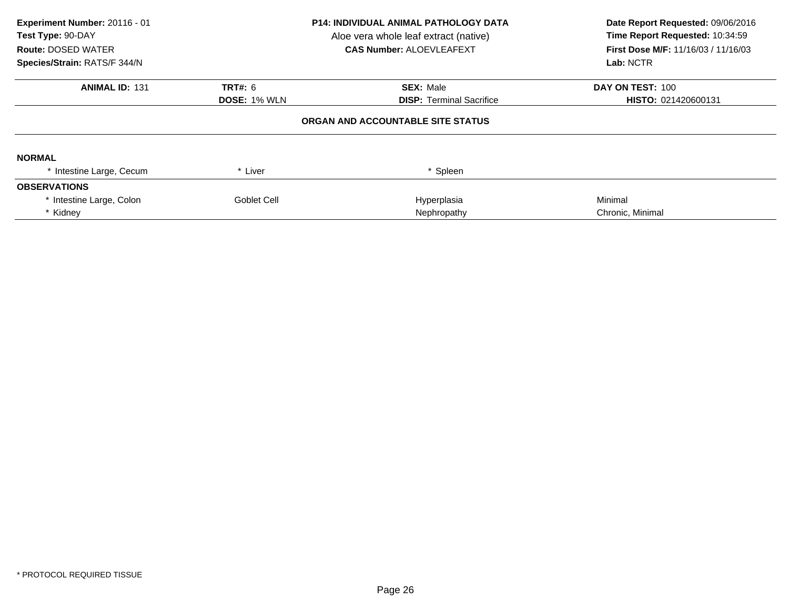| Experiment Number: 20116 - 01<br>Test Type: 90-DAY<br><b>Route: DOSED WATER</b><br>Species/Strain: RATS/F 344/N | <b>P14: INDIVIDUAL ANIMAL PATHOLOGY DATA</b><br>Aloe vera whole leaf extract (native)<br><b>CAS Number: ALOEVLEAFEXT</b> |                                   | Date Report Requested: 09/06/2016<br>Time Report Requested: 10:34:59<br><b>First Dose M/F: 11/16/03 / 11/16/03</b><br>Lab: NCTR |  |
|-----------------------------------------------------------------------------------------------------------------|--------------------------------------------------------------------------------------------------------------------------|-----------------------------------|---------------------------------------------------------------------------------------------------------------------------------|--|
| <b>ANIMAL ID: 131</b>                                                                                           | <b>TRT#: 6</b>                                                                                                           | <b>SEX: Male</b>                  | DAY ON TEST: 100                                                                                                                |  |
|                                                                                                                 | <b>DOSE: 1% WLN</b>                                                                                                      | <b>DISP: Terminal Sacrifice</b>   | HISTO: 021420600131                                                                                                             |  |
|                                                                                                                 |                                                                                                                          | ORGAN AND ACCOUNTABLE SITE STATUS |                                                                                                                                 |  |
| <b>NORMAL</b>                                                                                                   |                                                                                                                          |                                   |                                                                                                                                 |  |
| * Intestine Large, Cecum                                                                                        | * Liver                                                                                                                  | * Spleen                          |                                                                                                                                 |  |
| <b>OBSERVATIONS</b>                                                                                             |                                                                                                                          |                                   |                                                                                                                                 |  |
| * Intestine Large, Colon                                                                                        | Goblet Cell                                                                                                              | Hyperplasia                       | Minimal                                                                                                                         |  |
| * Kidney                                                                                                        |                                                                                                                          | Nephropathy                       | Chronic, Minimal                                                                                                                |  |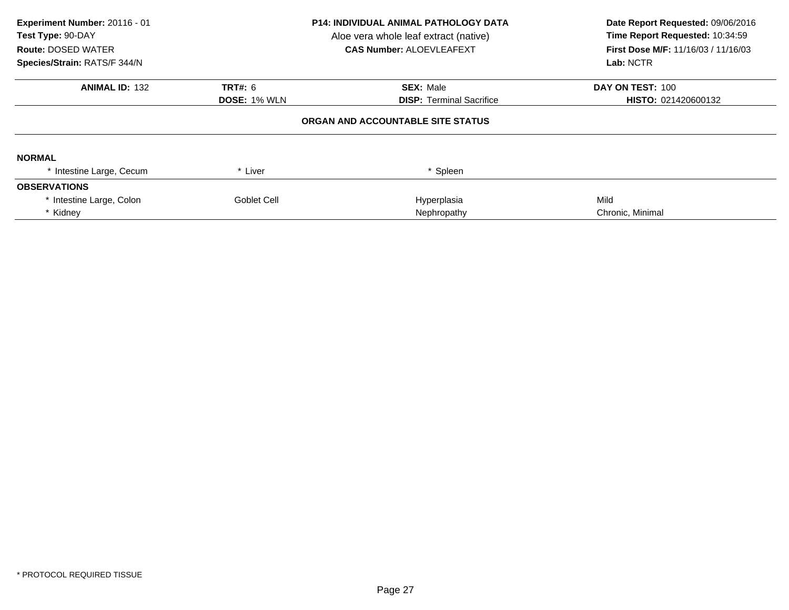| Experiment Number: 20116 - 01<br>Test Type: 90-DAY<br><b>Route: DOSED WATER</b><br>Species/Strain: RATS/F 344/N | <b>P14: INDIVIDUAL ANIMAL PATHOLOGY DATA</b><br>Aloe vera whole leaf extract (native)<br><b>CAS Number: ALOEVLEAFEXT</b> |                                   | Date Report Requested: 09/06/2016<br>Time Report Requested: 10:34:59<br>First Dose M/F: 11/16/03 / 11/16/03<br>Lab: NCTR |  |
|-----------------------------------------------------------------------------------------------------------------|--------------------------------------------------------------------------------------------------------------------------|-----------------------------------|--------------------------------------------------------------------------------------------------------------------------|--|
| <b>ANIMAL ID: 132</b>                                                                                           | <b>TRT#: 6</b>                                                                                                           | <b>SEX: Male</b>                  | DAY ON TEST: 100                                                                                                         |  |
|                                                                                                                 | <b>DOSE: 1% WLN</b>                                                                                                      | <b>DISP:</b> Terminal Sacrifice   | <b>HISTO: 021420600132</b>                                                                                               |  |
|                                                                                                                 |                                                                                                                          | ORGAN AND ACCOUNTABLE SITE STATUS |                                                                                                                          |  |
| <b>NORMAL</b>                                                                                                   |                                                                                                                          |                                   |                                                                                                                          |  |
| * Intestine Large, Cecum                                                                                        | * Liver                                                                                                                  | * Spleen                          |                                                                                                                          |  |
| <b>OBSERVATIONS</b>                                                                                             |                                                                                                                          |                                   |                                                                                                                          |  |
| * Intestine Large, Colon                                                                                        | Goblet Cell                                                                                                              | Hyperplasia                       | Mild                                                                                                                     |  |
| * Kidney                                                                                                        |                                                                                                                          | Nephropathy                       | Chronic, Minimal                                                                                                         |  |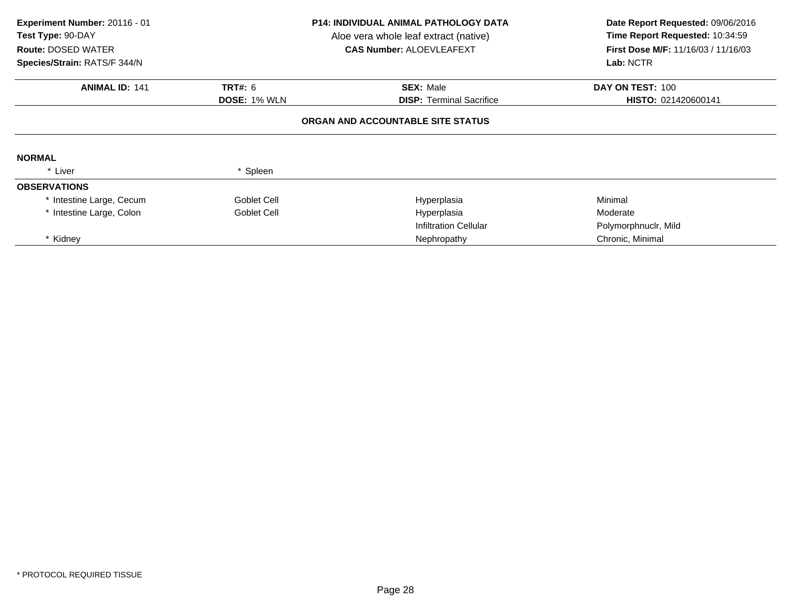| Experiment Number: 20116 - 01<br>Test Type: 90-DAY<br><b>Route: DOSED WATER</b><br>Species/Strain: RATS/F 344/N |                     | <b>P14: INDIVIDUAL ANIMAL PATHOLOGY DATA</b><br>Aloe vera whole leaf extract (native)<br><b>CAS Number: ALOEVLEAFEXT</b> | Date Report Requested: 09/06/2016<br>Time Report Requested: 10:34:59<br><b>First Dose M/F: 11/16/03 / 11/16/03</b><br>Lab: NCTR |  |
|-----------------------------------------------------------------------------------------------------------------|---------------------|--------------------------------------------------------------------------------------------------------------------------|---------------------------------------------------------------------------------------------------------------------------------|--|
| <b>ANIMAL ID: 141</b>                                                                                           | <b>TRT#: 6</b>      | <b>SEX: Male</b>                                                                                                         | DAY ON TEST: 100                                                                                                                |  |
|                                                                                                                 | <b>DOSE: 1% WLN</b> | <b>DISP: Terminal Sacrifice</b>                                                                                          | HISTO: 021420600141                                                                                                             |  |
|                                                                                                                 |                     | ORGAN AND ACCOUNTABLE SITE STATUS                                                                                        |                                                                                                                                 |  |
| <b>NORMAL</b>                                                                                                   |                     |                                                                                                                          |                                                                                                                                 |  |
| * Liver                                                                                                         | * Spleen            |                                                                                                                          |                                                                                                                                 |  |
| <b>OBSERVATIONS</b>                                                                                             |                     |                                                                                                                          |                                                                                                                                 |  |
| * Intestine Large, Cecum                                                                                        | Goblet Cell         | Hyperplasia                                                                                                              | Minimal                                                                                                                         |  |
| * Intestine Large, Colon                                                                                        | Goblet Cell         | Hyperplasia                                                                                                              | Moderate                                                                                                                        |  |
|                                                                                                                 |                     | <b>Infiltration Cellular</b>                                                                                             | Polymorphnuclr, Mild                                                                                                            |  |
| * Kidnev                                                                                                        |                     | Nephropathy                                                                                                              | Chronic, Minimal                                                                                                                |  |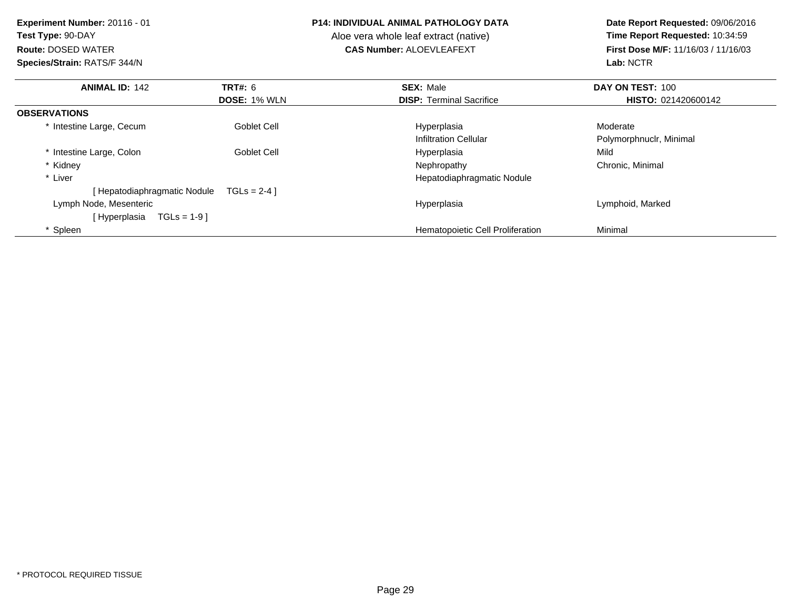**Experiment Number:** 20116 - 01**Test Type:** 90-DAY**Route:** DOSED WATER**Species/Strain:** RATS/F 344/N

#### **P14: INDIVIDUAL ANIMAL PATHOLOGY DATA**

Aloe vera whole leaf extract (native)<br>**CAS Number:** ALOEVLEAFEXT

| <b>ANIMAL ID: 142</b>         | <b>TRT#: 6</b>      | <b>SEX: Male</b>                        | DAY ON TEST: 100        |
|-------------------------------|---------------------|-----------------------------------------|-------------------------|
|                               | <b>DOSE: 1% WLN</b> | <b>DISP:</b> Terminal Sacrifice         | HISTO: 021420600142     |
| <b>OBSERVATIONS</b>           |                     |                                         |                         |
| * Intestine Large, Cecum      | Goblet Cell         | Hyperplasia                             | Moderate                |
|                               |                     | <b>Infiltration Cellular</b>            | Polymorphnuclr, Minimal |
| * Intestine Large, Colon      | Goblet Cell         | Hyperplasia                             | Mild                    |
| * Kidney                      |                     | Nephropathy                             | Chronic, Minimal        |
| * Liver                       |                     | Hepatodiaphragmatic Nodule              |                         |
| [ Hepatodiaphragmatic Nodule  | $TGLS = 2-4$        |                                         |                         |
| Lymph Node, Mesenteric        |                     | Hyperplasia                             | Lymphoid, Marked        |
| $TGLs = 1-9$<br>[ Hyperplasia |                     |                                         |                         |
| Spleen                        |                     | <b>Hematopoietic Cell Proliferation</b> | Minimal                 |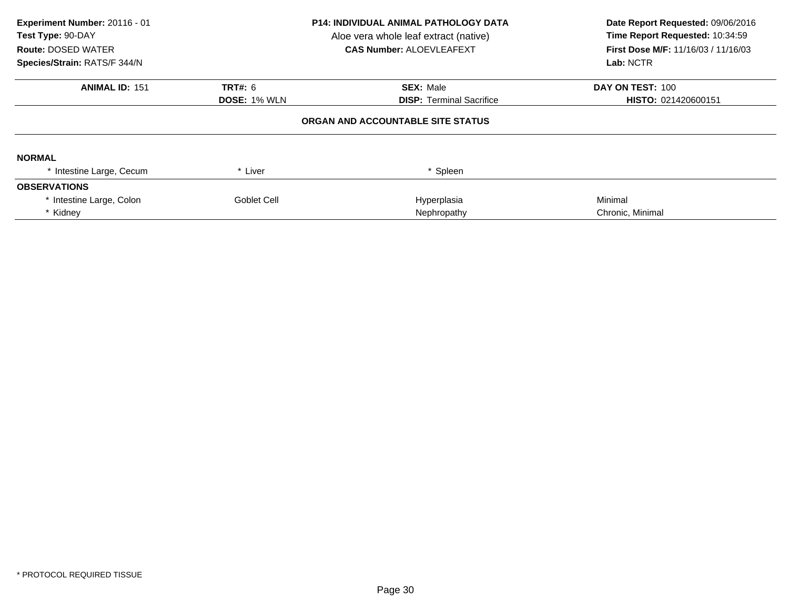| Experiment Number: 20116 - 01<br>Test Type: 90-DAY<br><b>Route: DOSED WATER</b><br>Species/Strain: RATS/F 344/N | <b>P14: INDIVIDUAL ANIMAL PATHOLOGY DATA</b><br>Aloe vera whole leaf extract (native)<br><b>CAS Number: ALOEVLEAFEXT</b> |                                   | Date Report Requested: 09/06/2016<br>Time Report Requested: 10:34:59<br><b>First Dose M/F: 11/16/03 / 11/16/03</b><br>Lab: NCTR |  |
|-----------------------------------------------------------------------------------------------------------------|--------------------------------------------------------------------------------------------------------------------------|-----------------------------------|---------------------------------------------------------------------------------------------------------------------------------|--|
| <b>ANIMAL ID: 151</b>                                                                                           | <b>TRT#: 6</b>                                                                                                           | <b>SEX: Male</b>                  | DAY ON TEST: 100                                                                                                                |  |
|                                                                                                                 | <b>DOSE: 1% WLN</b>                                                                                                      | <b>DISP: Terminal Sacrifice</b>   | HISTO: 021420600151                                                                                                             |  |
|                                                                                                                 |                                                                                                                          | ORGAN AND ACCOUNTABLE SITE STATUS |                                                                                                                                 |  |
| <b>NORMAL</b>                                                                                                   |                                                                                                                          |                                   |                                                                                                                                 |  |
| * Intestine Large, Cecum                                                                                        | * Liver                                                                                                                  | * Spleen                          |                                                                                                                                 |  |
| <b>OBSERVATIONS</b>                                                                                             |                                                                                                                          |                                   |                                                                                                                                 |  |
| * Intestine Large, Colon                                                                                        | Goblet Cell                                                                                                              | Hyperplasia                       | Minimal                                                                                                                         |  |
| * Kidney                                                                                                        |                                                                                                                          | Nephropathy                       | Chronic, Minimal                                                                                                                |  |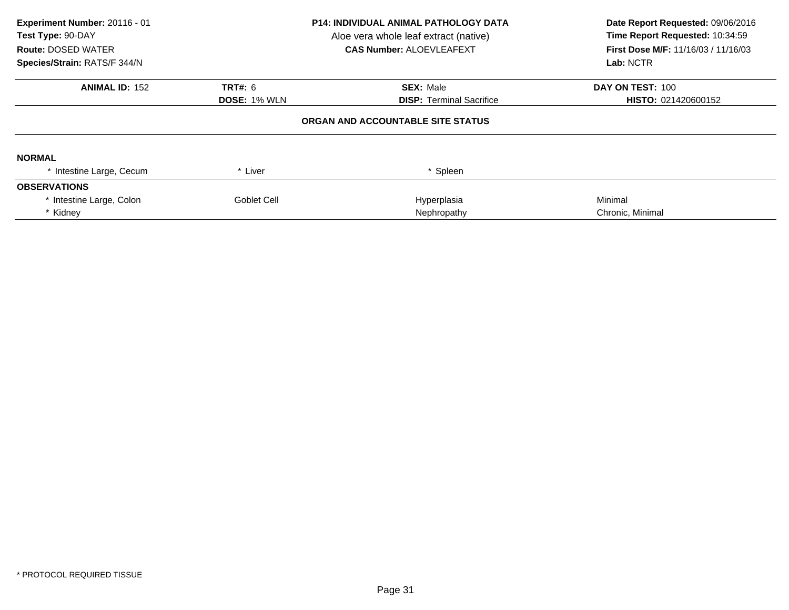| Experiment Number: 20116 - 01<br>Test Type: 90-DAY<br><b>Route: DOSED WATER</b><br>Species/Strain: RATS/F 344/N | <b>P14: INDIVIDUAL ANIMAL PATHOLOGY DATA</b><br>Aloe vera whole leaf extract (native)<br><b>CAS Number: ALOEVLEAFEXT</b> |                                   | Date Report Requested: 09/06/2016<br>Time Report Requested: 10:34:59<br>First Dose M/F: 11/16/03 / 11/16/03<br>Lab: NCTR |  |
|-----------------------------------------------------------------------------------------------------------------|--------------------------------------------------------------------------------------------------------------------------|-----------------------------------|--------------------------------------------------------------------------------------------------------------------------|--|
| <b>ANIMAL ID: 152</b>                                                                                           | <b>TRT#: 6</b>                                                                                                           | <b>SEX: Male</b>                  | DAY ON TEST: 100                                                                                                         |  |
|                                                                                                                 | <b>DOSE: 1% WLN</b>                                                                                                      | <b>DISP:</b> Terminal Sacrifice   | <b>HISTO: 021420600152</b>                                                                                               |  |
|                                                                                                                 |                                                                                                                          | ORGAN AND ACCOUNTABLE SITE STATUS |                                                                                                                          |  |
| <b>NORMAL</b>                                                                                                   |                                                                                                                          |                                   |                                                                                                                          |  |
| * Intestine Large, Cecum                                                                                        | * Liver                                                                                                                  | * Spleen                          |                                                                                                                          |  |
| <b>OBSERVATIONS</b>                                                                                             |                                                                                                                          |                                   |                                                                                                                          |  |
| * Intestine Large, Colon                                                                                        | Goblet Cell                                                                                                              | Hyperplasia                       | Minimal                                                                                                                  |  |
| * Kidney                                                                                                        |                                                                                                                          | Nephropathy                       | Chronic, Minimal                                                                                                         |  |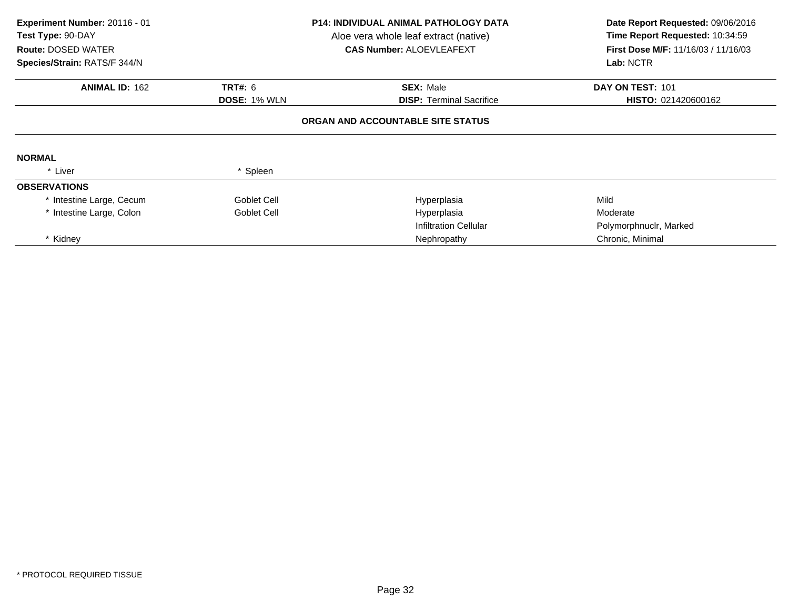| Experiment Number: 20116 - 01<br>Test Type: 90-DAY<br><b>Route: DOSED WATER</b><br>Species/Strain: RATS/F 344/N |                     | <b>P14: INDIVIDUAL ANIMAL PATHOLOGY DATA</b><br>Aloe vera whole leaf extract (native)<br><b>CAS Number: ALOEVLEAFEXT</b> | Date Report Requested: 09/06/2016<br>Time Report Requested: 10:34:59<br>First Dose M/F: 11/16/03 / 11/16/03<br>Lab: NCTR |  |
|-----------------------------------------------------------------------------------------------------------------|---------------------|--------------------------------------------------------------------------------------------------------------------------|--------------------------------------------------------------------------------------------------------------------------|--|
| <b>ANIMAL ID: 162</b>                                                                                           | <b>TRT#: 6</b>      | <b>SEX: Male</b>                                                                                                         | DAY ON TEST: 101                                                                                                         |  |
|                                                                                                                 | <b>DOSE: 1% WLN</b> | <b>DISP: Terminal Sacrifice</b>                                                                                          | HISTO: 021420600162                                                                                                      |  |
|                                                                                                                 |                     | ORGAN AND ACCOUNTABLE SITE STATUS                                                                                        |                                                                                                                          |  |
| <b>NORMAL</b>                                                                                                   |                     |                                                                                                                          |                                                                                                                          |  |
| * Liver                                                                                                         | * Spleen            |                                                                                                                          |                                                                                                                          |  |
| <b>OBSERVATIONS</b>                                                                                             |                     |                                                                                                                          |                                                                                                                          |  |
| * Intestine Large, Cecum                                                                                        | Goblet Cell         | Hyperplasia                                                                                                              | Mild                                                                                                                     |  |
| * Intestine Large, Colon                                                                                        | Goblet Cell         | Hyperplasia                                                                                                              | Moderate                                                                                                                 |  |
|                                                                                                                 |                     | <b>Infiltration Cellular</b>                                                                                             | Polymorphnuclr, Marked                                                                                                   |  |
| * Kidnev                                                                                                        |                     | Nephropathy                                                                                                              | Chronic, Minimal                                                                                                         |  |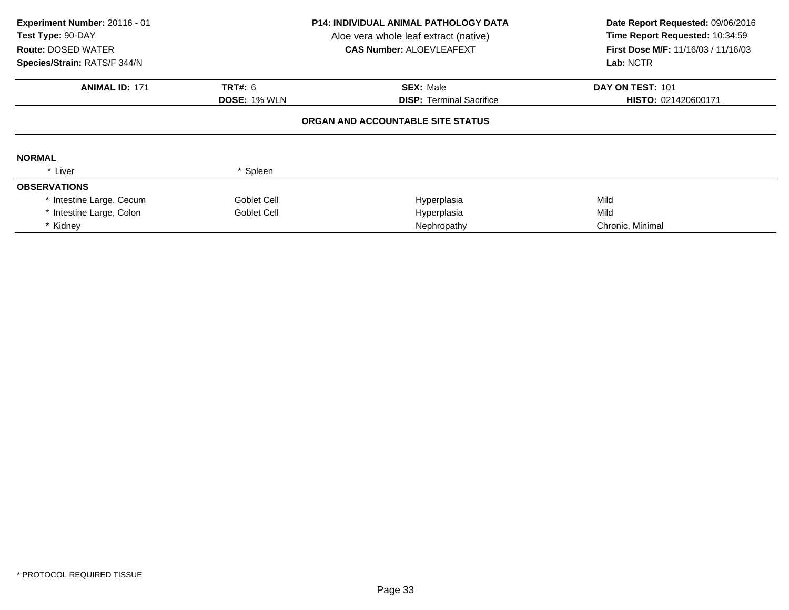| Experiment Number: 20116 - 01<br>Test Type: 90-DAY<br><b>Route: DOSED WATER</b><br>Species/Strain: RATS/F 344/N | <b>P14: INDIVIDUAL ANIMAL PATHOLOGY DATA</b><br>Aloe vera whole leaf extract (native)<br><b>CAS Number: ALOEVLEAFEXT</b> |                                   | Date Report Requested: 09/06/2016<br>Time Report Requested: 10:34:59<br>First Dose M/F: 11/16/03 / 11/16/03<br>Lab: NCTR |  |
|-----------------------------------------------------------------------------------------------------------------|--------------------------------------------------------------------------------------------------------------------------|-----------------------------------|--------------------------------------------------------------------------------------------------------------------------|--|
|                                                                                                                 |                                                                                                                          |                                   |                                                                                                                          |  |
| <b>ANIMAL ID: 171</b>                                                                                           | TRT#: 6                                                                                                                  | <b>SEX: Male</b>                  | DAY ON TEST: 101                                                                                                         |  |
|                                                                                                                 | <b>DOSE: 1% WLN</b>                                                                                                      | <b>DISP:</b> Terminal Sacrifice   | HISTO: 021420600171                                                                                                      |  |
| <b>NORMAL</b>                                                                                                   |                                                                                                                          | ORGAN AND ACCOUNTABLE SITE STATUS |                                                                                                                          |  |
| * Liver                                                                                                         | * Spleen                                                                                                                 |                                   |                                                                                                                          |  |
| <b>OBSERVATIONS</b>                                                                                             |                                                                                                                          |                                   |                                                                                                                          |  |
| * Intestine Large, Cecum                                                                                        | Goblet Cell                                                                                                              | Hyperplasia                       | Mild                                                                                                                     |  |
| * Intestine Large, Colon                                                                                        | Goblet Cell                                                                                                              | Hyperplasia                       | Mild                                                                                                                     |  |
| * Kidney                                                                                                        |                                                                                                                          | Nephropathy                       | Chronic, Minimal                                                                                                         |  |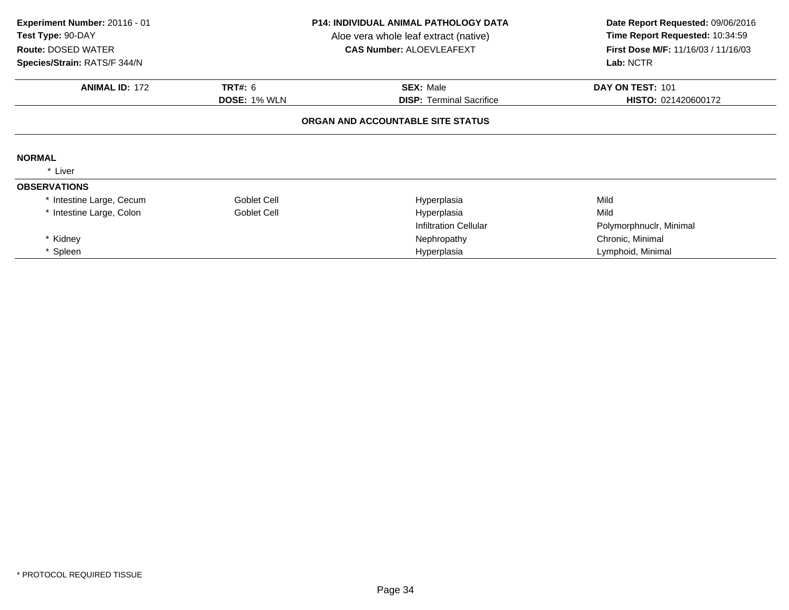| Experiment Number: 20116 - 01<br>Test Type: 90-DAY<br><b>Route: DOSED WATER</b><br>Species/Strain: RATS/F 344/N |                     | <b>P14: INDIVIDUAL ANIMAL PATHOLOGY DATA</b><br>Aloe vera whole leaf extract (native)<br><b>CAS Number: ALOEVLEAFEXT</b> | Date Report Requested: 09/06/2016<br>Time Report Requested: 10:34:59<br>First Dose M/F: 11/16/03 / 11/16/03<br>Lab: NCTR |  |
|-----------------------------------------------------------------------------------------------------------------|---------------------|--------------------------------------------------------------------------------------------------------------------------|--------------------------------------------------------------------------------------------------------------------------|--|
| <b>ANIMAL ID: 172</b>                                                                                           | TRT#: 6             | <b>SEX: Male</b>                                                                                                         | DAY ON TEST: 101                                                                                                         |  |
|                                                                                                                 | <b>DOSE: 1% WLN</b> | <b>DISP:</b> Terminal Sacrifice                                                                                          | <b>HISTO: 021420600172</b>                                                                                               |  |
|                                                                                                                 |                     | ORGAN AND ACCOUNTABLE SITE STATUS                                                                                        |                                                                                                                          |  |
| <b>NORMAL</b>                                                                                                   |                     |                                                                                                                          |                                                                                                                          |  |
| * Liver                                                                                                         |                     |                                                                                                                          |                                                                                                                          |  |
| <b>OBSERVATIONS</b>                                                                                             |                     |                                                                                                                          |                                                                                                                          |  |
| * Intestine Large, Cecum                                                                                        | Goblet Cell         | Hyperplasia                                                                                                              | Mild                                                                                                                     |  |
| * Intestine Large, Colon                                                                                        | Goblet Cell         | Hyperplasia                                                                                                              | Mild                                                                                                                     |  |
|                                                                                                                 |                     | <b>Infiltration Cellular</b>                                                                                             | Polymorphnuclr, Minimal                                                                                                  |  |
| * Kidney                                                                                                        |                     | Nephropathy                                                                                                              | Chronic, Minimal                                                                                                         |  |
| * Spleen                                                                                                        |                     | Hyperplasia                                                                                                              | Lymphoid, Minimal                                                                                                        |  |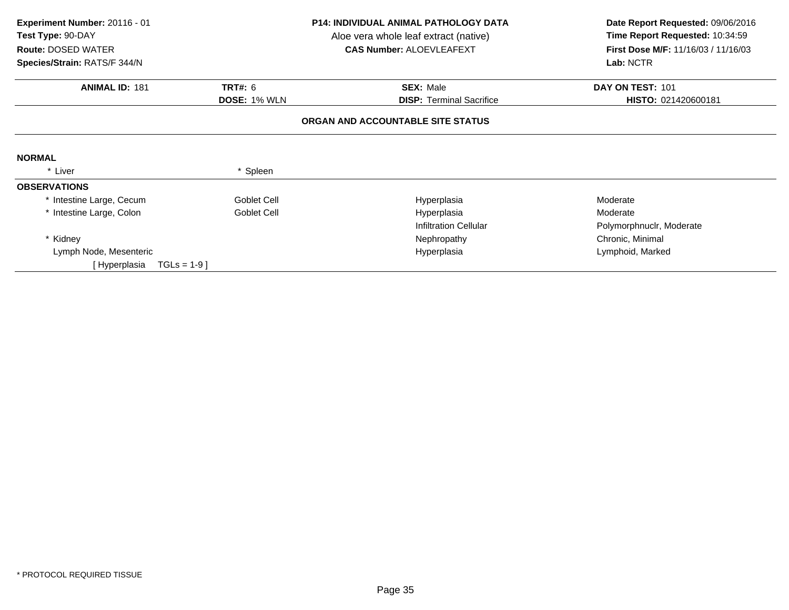| Experiment Number: 20116 - 01  |                     | P14: INDIVIDUAL ANIMAL PATHOLOGY DATA | Date Report Requested: 09/06/2016   |
|--------------------------------|---------------------|---------------------------------------|-------------------------------------|
| Test Type: 90-DAY              |                     | Aloe vera whole leaf extract (native) | Time Report Requested: 10:34:59     |
| <b>Route: DOSED WATER</b>      |                     | <b>CAS Number: ALOEVLEAFEXT</b>       | First Dose M/F: 11/16/03 / 11/16/03 |
| Species/Strain: RATS/F 344/N   |                     |                                       | Lab: NCTR                           |
| <b>ANIMAL ID: 181</b>          | <b>TRT#: 6</b>      | <b>SEX: Male</b>                      | DAY ON TEST: 101                    |
|                                | <b>DOSE: 1% WLN</b> | <b>DISP:</b> Terminal Sacrifice       | HISTO: 021420600181                 |
|                                |                     | ORGAN AND ACCOUNTABLE SITE STATUS     |                                     |
| <b>NORMAL</b>                  |                     |                                       |                                     |
| * Liver                        | * Spleen            |                                       |                                     |
| <b>OBSERVATIONS</b>            |                     |                                       |                                     |
| * Intestine Large, Cecum       | Goblet Cell         | Hyperplasia                           | Moderate                            |
| * Intestine Large, Colon       | Goblet Cell         | Hyperplasia                           | Moderate                            |
|                                |                     | <b>Infiltration Cellular</b>          | Polymorphnuclr, Moderate            |
| * Kidney                       |                     | Nephropathy                           | Chronic, Minimal                    |
| Lymph Node, Mesenteric         |                     | Hyperplasia                           | Lymphoid, Marked                    |
| $TGLs = 1-9$ ]<br>[Hyperplasia |                     |                                       |                                     |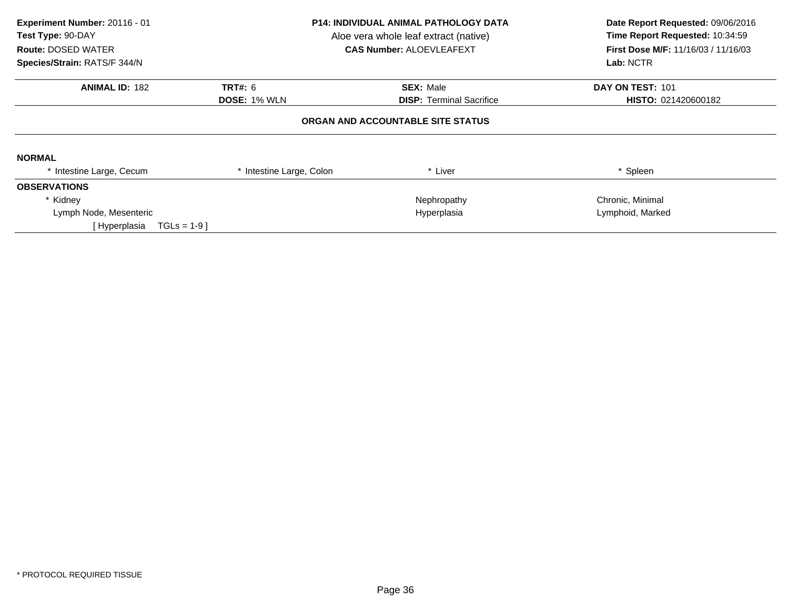| Experiment Number: 20116 - 01<br>Test Type: 90-DAY<br><b>Route: DOSED WATER</b><br>Species/Strain: RATS/F 344/N | <b>P14: INDIVIDUAL ANIMAL PATHOLOGY DATA</b><br>Aloe vera whole leaf extract (native)<br><b>CAS Number: ALOEVLEAFEXT</b> |                                   | Date Report Requested: 09/06/2016<br>Time Report Requested: 10:34:59<br>First Dose M/F: 11/16/03 / 11/16/03<br>Lab: NCTR |
|-----------------------------------------------------------------------------------------------------------------|--------------------------------------------------------------------------------------------------------------------------|-----------------------------------|--------------------------------------------------------------------------------------------------------------------------|
| <b>ANIMAL ID: 182</b>                                                                                           | <b>TRT#: 6</b>                                                                                                           | <b>SEX: Male</b>                  | DAY ON TEST: 101                                                                                                         |
|                                                                                                                 | <b>DOSE: 1% WLN</b>                                                                                                      | <b>DISP: Terminal Sacrifice</b>   | HISTO: 021420600182                                                                                                      |
|                                                                                                                 |                                                                                                                          | ORGAN AND ACCOUNTABLE SITE STATUS |                                                                                                                          |
| <b>NORMAL</b>                                                                                                   |                                                                                                                          |                                   |                                                                                                                          |
| * Intestine Large, Cecum                                                                                        | Intestine Large, Colon                                                                                                   | * Liver                           | * Spleen                                                                                                                 |
| <b>OBSERVATIONS</b>                                                                                             |                                                                                                                          |                                   |                                                                                                                          |
| * Kidney                                                                                                        |                                                                                                                          | Nephropathy                       | Chronic, Minimal                                                                                                         |
| Lymph Node, Mesenteric                                                                                          |                                                                                                                          | Hyperplasia                       | Lymphoid, Marked                                                                                                         |
| $TGLs = 1-9$ ]<br>[ Hyperplasia                                                                                 |                                                                                                                          |                                   |                                                                                                                          |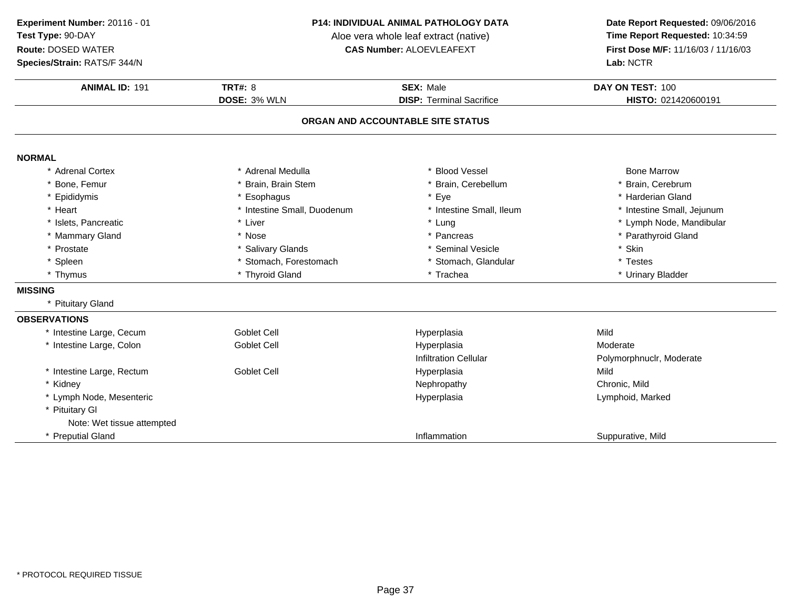**Species/Strain:** RATS/F 344/N

#### **P14: INDIVIDUAL ANIMAL PATHOLOGY DATA**

Aloe vera whole leaf extract (native)<br>**CAS Number:** ALOEVLEAFEXT

| <b>Species/Strain: RATS/F 344/N</b> |                             |                                   | Lab: NCTR                  |
|-------------------------------------|-----------------------------|-----------------------------------|----------------------------|
| <b>ANIMAL ID: 191</b>               | <b>TRT#: 8</b>              | <b>SEX: Male</b>                  | DAY ON TEST: 100           |
|                                     | DOSE: 3% WLN                | <b>DISP: Terminal Sacrifice</b>   | HISTO: 021420600191        |
|                                     |                             | ORGAN AND ACCOUNTABLE SITE STATUS |                            |
| <b>NORMAL</b>                       |                             |                                   |                            |
| * Adrenal Cortex                    | * Adrenal Medulla           | * Blood Vessel                    | <b>Bone Marrow</b>         |
| * Bone, Femur                       | * Brain, Brain Stem         | * Brain, Cerebellum               | * Brain, Cerebrum          |
| * Epididymis                        | * Esophagus                 | * Eye                             | * Harderian Gland          |
| * Heart                             | * Intestine Small, Duodenum | * Intestine Small, Ileum          | * Intestine Small, Jejunum |
| * Islets, Pancreatic                | * Liver                     | * Lung                            | * Lymph Node, Mandibular   |
| * Mammary Gland                     | * Nose                      | * Pancreas                        | * Parathyroid Gland        |
| * Prostate                          | * Salivary Glands           | * Seminal Vesicle                 | * Skin                     |
| * Spleen                            | * Stomach, Forestomach      | * Stomach, Glandular              | * Testes                   |
| * Thymus                            | * Thyroid Gland             | * Trachea                         | * Urinary Bladder          |
| <b>MISSING</b>                      |                             |                                   |                            |
| * Pituitary Gland                   |                             |                                   |                            |
| <b>OBSERVATIONS</b>                 |                             |                                   |                            |
| * Intestine Large, Cecum            | <b>Goblet Cell</b>          | Hyperplasia                       | Mild                       |
| Intestine Large, Colon              | Goblet Cell                 | Hyperplasia                       | Moderate                   |
|                                     |                             | <b>Infiltration Cellular</b>      | Polymorphnuclr, Moderate   |
| * Intestine Large, Rectum           | <b>Goblet Cell</b>          | Hyperplasia                       | Mild                       |
| * Kidney                            |                             | Nephropathy                       | Chronic, Mild              |
| * Lymph Node, Mesenteric            |                             | Hyperplasia                       | Lymphoid, Marked           |
| * Pituitary GI                      |                             |                                   |                            |
| Note: Wet tissue attempted          |                             |                                   |                            |
| * Preputial Gland                   |                             | Inflammation                      | Suppurative, Mild          |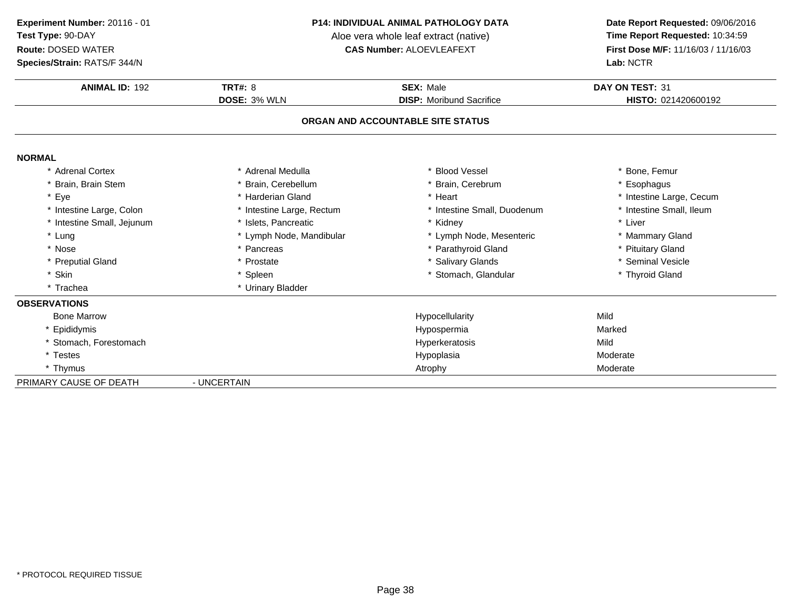**Species/Strain:** RATS/F 344/N

#### **P14: INDIVIDUAL ANIMAL PATHOLOGY DATA**

Aloe vera whole leaf extract (native)<br>**CAS Number:** ALOEVLEAFEXT

| Species/Strain: RATS/F 344/N |                           |                                   | Lab: NCTR                |
|------------------------------|---------------------------|-----------------------------------|--------------------------|
| <b>ANIMAL ID: 192</b>        | TRT#: $8$                 | SEX: Male                         | DAY ON TEST: 31          |
|                              | <b>DOSE: 3% WLN</b>       | <b>DISP:</b> Moribund Sacrifice   | HISTO: 021420600192      |
|                              |                           | ORGAN AND ACCOUNTABLE SITE STATUS |                          |
| <b>NORMAL</b>                |                           |                                   |                          |
| * Adrenal Cortex             | * Adrenal Medulla         | * Blood Vessel                    | * Bone, Femur            |
| * Brain, Brain Stem          | Brain, Cerebellum         | * Brain, Cerebrum                 | * Esophagus              |
| * Eye                        | * Harderian Gland         | * Heart                           | * Intestine Large, Cecum |
| * Intestine Large, Colon     | * Intestine Large, Rectum | * Intestine Small, Duodenum       | * Intestine Small, Ileum |
| * Intestine Small, Jejunum   | * Islets, Pancreatic      | * Kidney                          | * Liver                  |
| * Lung                       | * Lymph Node, Mandibular  | * Lymph Node, Mesenteric          | * Mammary Gland          |
| * Nose                       | * Pancreas                | * Parathyroid Gland               | * Pituitary Gland        |
| * Preputial Gland            | * Prostate                | * Salivary Glands                 | * Seminal Vesicle        |
| * Skin                       | * Spleen                  | * Stomach, Glandular              | * Thyroid Gland          |
| * Trachea                    | * Urinary Bladder         |                                   |                          |
| <b>OBSERVATIONS</b>          |                           |                                   |                          |
| <b>Bone Marrow</b>           |                           | Hypocellularity                   | Mild                     |
| * Epididymis                 |                           | Hypospermia                       | Marked                   |
| * Stomach, Forestomach       |                           | Hyperkeratosis                    | Mild                     |
| * Testes                     |                           | Hypoplasia                        | Moderate                 |
| * Thymus                     |                           | Atrophy                           | Moderate                 |
| PRIMARY CAUSE OF DEATH       | - UNCERTAIN               |                                   |                          |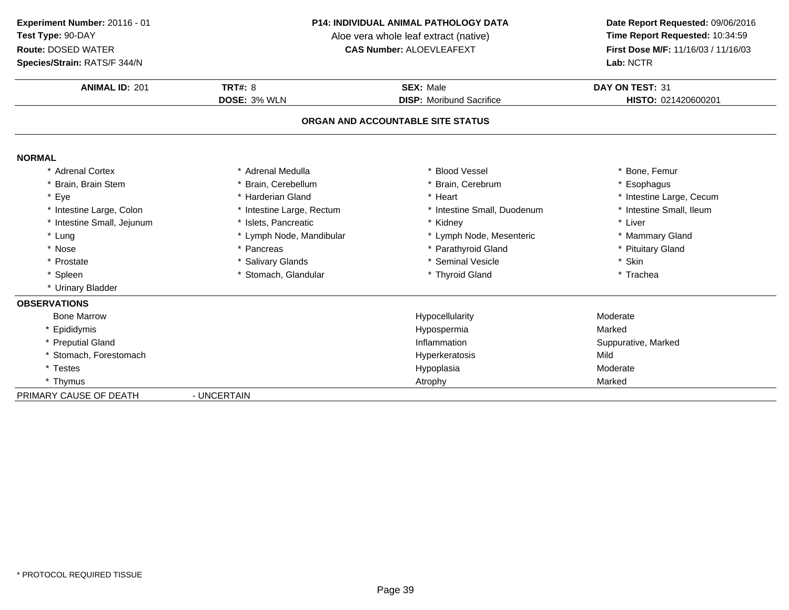**Experiment Number:** 20116 - 01**Test Type:** 90-DAY

### **Route:** DOSED WATER

**Species/Strain:** RATS/F 344/N

#### **P14: INDIVIDUAL ANIMAL PATHOLOGY DATA**

Aloe vera whole leaf extract (native)<br>**CAS Number:** ALOEVLEAFEXT

| <b>ANIMAL ID: 201</b>      | <b>TRT#: 8</b>            | <b>SEX: Male</b>                  | DAY ON TEST: 31          |
|----------------------------|---------------------------|-----------------------------------|--------------------------|
|                            | DOSE: 3% WLN              | <b>DISP:</b> Moribund Sacrifice   | HISTO: 021420600201      |
|                            |                           | ORGAN AND ACCOUNTABLE SITE STATUS |                          |
| <b>NORMAL</b>              |                           |                                   |                          |
| * Adrenal Cortex           | * Adrenal Medulla         | * Blood Vessel                    | * Bone, Femur            |
| Brain, Brain Stem          | * Brain, Cerebellum       | * Brain, Cerebrum                 | * Esophagus              |
| * Eye                      | * Harderian Gland         | * Heart                           | * Intestine Large, Cecum |
| * Intestine Large, Colon   | * Intestine Large, Rectum | * Intestine Small, Duodenum       | * Intestine Small, Ileum |
| * Intestine Small, Jejunum | * Islets, Pancreatic      | * Kidney                          | * Liver                  |
| * Lung                     | * Lymph Node, Mandibular  | * Lymph Node, Mesenteric          | * Mammary Gland          |
| * Nose                     | * Pancreas                | * Parathyroid Gland               | * Pituitary Gland        |
| * Prostate                 | * Salivary Glands         | * Seminal Vesicle                 | * Skin                   |
| * Spleen                   | * Stomach, Glandular      | * Thyroid Gland                   | * Trachea                |
| * Urinary Bladder          |                           |                                   |                          |
| <b>OBSERVATIONS</b>        |                           |                                   |                          |
| <b>Bone Marrow</b>         |                           | Hypocellularity                   | Moderate                 |
| * Epididymis               |                           | Hypospermia                       | Marked                   |
| * Preputial Gland          |                           | Inflammation                      | Suppurative, Marked      |
| * Stomach, Forestomach     |                           | Hyperkeratosis                    | Mild                     |
| * Testes                   |                           | Hypoplasia                        | Moderate                 |
| * Thymus                   |                           | Atrophy                           | Marked                   |
| PRIMARY CAUSE OF DEATH     | - UNCERTAIN               |                                   |                          |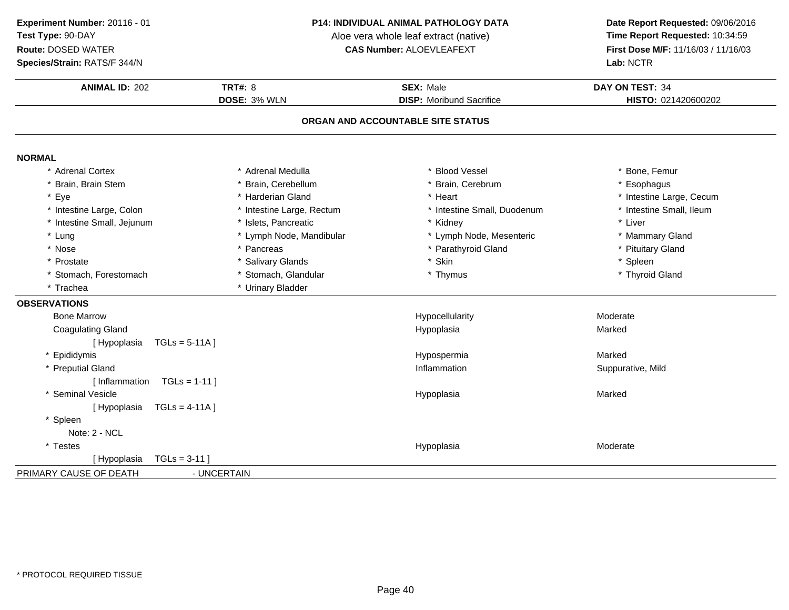### **Species/Strain:** RATS/F 344/N

#### **P14: INDIVIDUAL ANIMAL PATHOLOGY DATA**

Aloe vera whole leaf extract (native)<br>**CAS Number:** ALOEVLEAFEXT

| <b>ANIMAL ID: 202</b>           | <b>TRT#: 8</b><br>DOSE: 3% WLN | <b>SEX: Male</b><br><b>DISP:</b> Moribund Sacrifice | DAY ON TEST: 34<br>HISTO: 021420600202 |
|---------------------------------|--------------------------------|-----------------------------------------------------|----------------------------------------|
|                                 |                                | ORGAN AND ACCOUNTABLE SITE STATUS                   |                                        |
|                                 |                                |                                                     |                                        |
| <b>NORMAL</b>                   |                                |                                                     |                                        |
| * Adrenal Cortex                | * Adrenal Medulla              | * Blood Vessel                                      | * Bone, Femur                          |
| * Brain, Brain Stem             | Brain, Cerebellum              | * Brain, Cerebrum                                   | * Esophagus                            |
| * Eye                           | * Harderian Gland              | * Heart                                             | * Intestine Large, Cecum               |
| * Intestine Large, Colon        | * Intestine Large, Rectum      | * Intestine Small, Duodenum                         | * Intestine Small, Ileum               |
| * Intestine Small, Jejunum      | * Islets, Pancreatic           | * Kidney                                            | * Liver                                |
| * Lung                          | * Lymph Node, Mandibular       | * Lymph Node, Mesenteric                            | * Mammary Gland                        |
| * Nose                          | * Pancreas                     | * Parathyroid Gland                                 | * Pituitary Gland                      |
| * Prostate                      | * Salivary Glands              | * Skin                                              | * Spleen                               |
| * Stomach, Forestomach          | * Stomach, Glandular           | * Thymus                                            | * Thyroid Gland                        |
| * Trachea                       | * Urinary Bladder              |                                                     |                                        |
| <b>OBSERVATIONS</b>             |                                |                                                     |                                        |
| <b>Bone Marrow</b>              |                                | Hypocellularity                                     | Moderate                               |
| <b>Coagulating Gland</b>        |                                | Hypoplasia                                          | Marked                                 |
| $TGLs = 5-11A$ ]<br>[Hypoplasia |                                |                                                     |                                        |
| Epididymis                      |                                | Hypospermia                                         | Marked                                 |
| * Preputial Gland               |                                | Inflammation                                        | Suppurative, Mild                      |
| $TGLs = 1-11$<br>[Inflammation  |                                |                                                     |                                        |
| * Seminal Vesicle               |                                | Hypoplasia                                          | Marked                                 |
| $TGLs = 4-11A$ ]<br>[Hypoplasia |                                |                                                     |                                        |
| * Spleen                        |                                |                                                     |                                        |
| Note: 2 - NCL                   |                                |                                                     |                                        |
| * Testes                        |                                | Hypoplasia                                          | Moderate                               |
| $TGLs = 3-11$<br>[Hypoplasia    |                                |                                                     |                                        |
| PRIMARY CAUSE OF DEATH          | - UNCERTAIN                    |                                                     |                                        |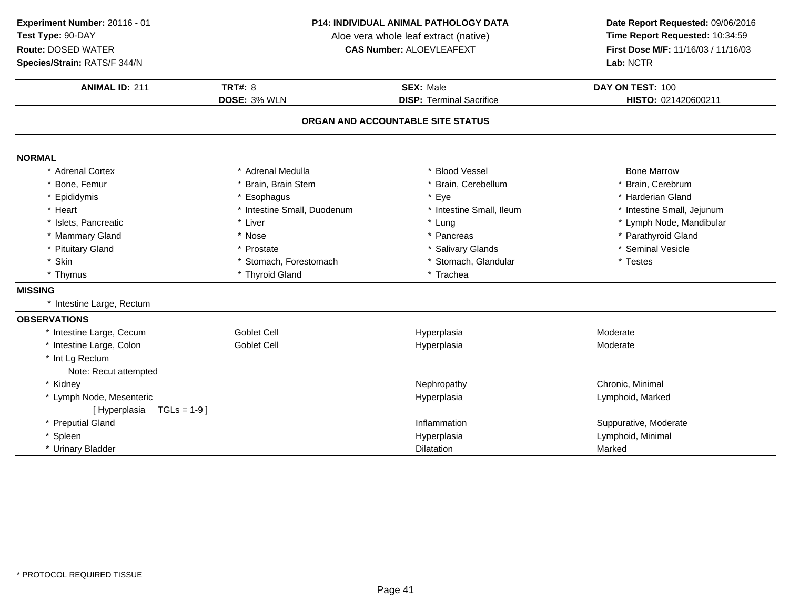**Species/Strain:** RATS/F 344/N

#### **P14: INDIVIDUAL ANIMAL PATHOLOGY DATA**

Aloe vera whole leaf extract (native)<br>**CAS Number:** ALOEVLEAFEXT

| Species/Strain: RATS/F 344/N   |                             |                                   | Lab: NCTR                  |  |
|--------------------------------|-----------------------------|-----------------------------------|----------------------------|--|
| <b>ANIMAL ID: 211</b>          | <b>TRT#: 8</b>              | <b>SEX: Male</b>                  | DAY ON TEST: 100           |  |
|                                | DOSE: 3% WLN                | <b>DISP: Terminal Sacrifice</b>   | HISTO: 021420600211        |  |
|                                |                             | ORGAN AND ACCOUNTABLE SITE STATUS |                            |  |
| <b>NORMAL</b>                  |                             |                                   |                            |  |
| * Adrenal Cortex               | * Adrenal Medulla           | <b>Blood Vessel</b>               | <b>Bone Marrow</b>         |  |
| * Bone, Femur                  | * Brain, Brain Stem         | Brain, Cerebellum                 | Brain, Cerebrum            |  |
| * Epididymis                   | * Esophagus                 | Eye                               | * Harderian Gland          |  |
| * Heart                        | * Intestine Small, Duodenum | * Intestine Small, Ileum          | * Intestine Small, Jejunum |  |
| * Islets, Pancreatic           | * Liver                     | * Lung                            | * Lymph Node, Mandibular   |  |
| * Mammary Gland                | * Nose                      | * Pancreas                        | * Parathyroid Gland        |  |
| * Pituitary Gland              | * Prostate                  | * Salivary Glands                 | * Seminal Vesicle          |  |
| * Skin                         | * Stomach, Forestomach      | * Stomach, Glandular              | * Testes                   |  |
| * Thymus                       | * Thyroid Gland             | * Trachea                         |                            |  |
| <b>MISSING</b>                 |                             |                                   |                            |  |
| * Intestine Large, Rectum      |                             |                                   |                            |  |
| <b>OBSERVATIONS</b>            |                             |                                   |                            |  |
| * Intestine Large, Cecum       | <b>Goblet Cell</b>          | Hyperplasia                       | Moderate                   |  |
| * Intestine Large, Colon       | Goblet Cell                 | Hyperplasia                       | Moderate                   |  |
| * Int Lg Rectum                |                             |                                   |                            |  |
| Note: Recut attempted          |                             |                                   |                            |  |
| * Kidney                       |                             | Nephropathy                       | Chronic, Minimal           |  |
| * Lymph Node, Mesenteric       |                             | Hyperplasia                       | Lymphoid, Marked           |  |
| [Hyperplasia<br>$TGLs = 1-9$ ] |                             |                                   |                            |  |
| * Preputial Gland              |                             | Inflammation                      | Suppurative, Moderate      |  |
| * Spleen                       |                             | Hyperplasia                       | Lymphoid, Minimal          |  |
| * Urinary Bladder              |                             | <b>Dilatation</b>                 | Marked                     |  |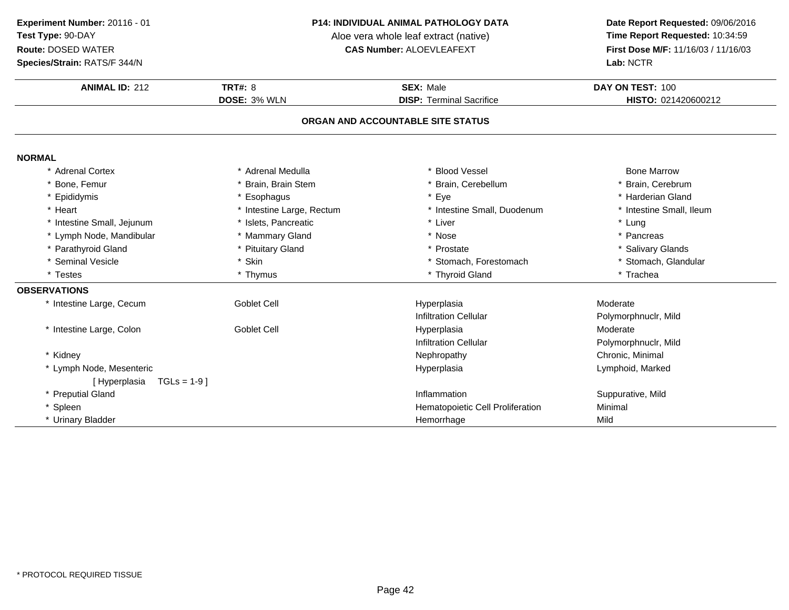### **Species/Strain:** RATS/F 344/N

#### **P14: INDIVIDUAL ANIMAL PATHOLOGY DATA**

Aloe vera whole leaf extract (native)<br>**CAS Number:** ALOEVLEAFEXT

| <b>ANIMAL ID: 212</b>          | <b>TRT#: 8</b>            | <b>SEX: Male</b>                  | DAY ON TEST: 100         |
|--------------------------------|---------------------------|-----------------------------------|--------------------------|
|                                | DOSE: 3% WLN              | <b>DISP: Terminal Sacrifice</b>   | HISTO: 021420600212      |
|                                |                           | ORGAN AND ACCOUNTABLE SITE STATUS |                          |
| <b>NORMAL</b>                  |                           |                                   |                          |
| * Adrenal Cortex               | * Adrenal Medulla         | * Blood Vessel                    | <b>Bone Marrow</b>       |
| * Bone, Femur                  | Brain, Brain Stem         | Brain, Cerebellum                 | Brain, Cerebrum          |
| * Epididymis                   | * Esophagus               | Eye<br>$\star$                    | * Harderian Gland        |
| * Heart                        | * Intestine Large, Rectum | Intestine Small, Duodenum         | * Intestine Small, Ileum |
| * Intestine Small, Jejunum     | * Islets, Pancreatic      | * Liver                           | * Lung                   |
| * Lymph Node, Mandibular       | * Mammary Gland           | * Nose                            | * Pancreas               |
| * Parathyroid Gland            | * Pituitary Gland         | * Prostate                        | * Salivary Glands        |
| * Seminal Vesicle              | * Skin                    | * Stomach, Forestomach            | * Stomach, Glandular     |
| * Testes                       | * Thymus                  | * Thyroid Gland                   | * Trachea                |
| <b>OBSERVATIONS</b>            |                           |                                   |                          |
| * Intestine Large, Cecum       | <b>Goblet Cell</b>        | Hyperplasia                       | Moderate                 |
|                                |                           | <b>Infiltration Cellular</b>      | Polymorphnuclr, Mild     |
| * Intestine Large, Colon       | <b>Goblet Cell</b>        | Hyperplasia                       | Moderate                 |
|                                |                           | <b>Infiltration Cellular</b>      | Polymorphnuclr, Mild     |
| * Kidney                       |                           | Nephropathy                       | Chronic, Minimal         |
| * Lymph Node, Mesenteric       |                           | Hyperplasia                       | Lymphoid, Marked         |
| $TGLs = 1-9$ ]<br>[Hyperplasia |                           |                                   |                          |
| * Preputial Gland              |                           | Inflammation                      | Suppurative, Mild        |
| * Spleen                       |                           | Hematopoietic Cell Proliferation  | Minimal                  |
| * Urinary Bladder              |                           | Hemorrhage                        | Mild                     |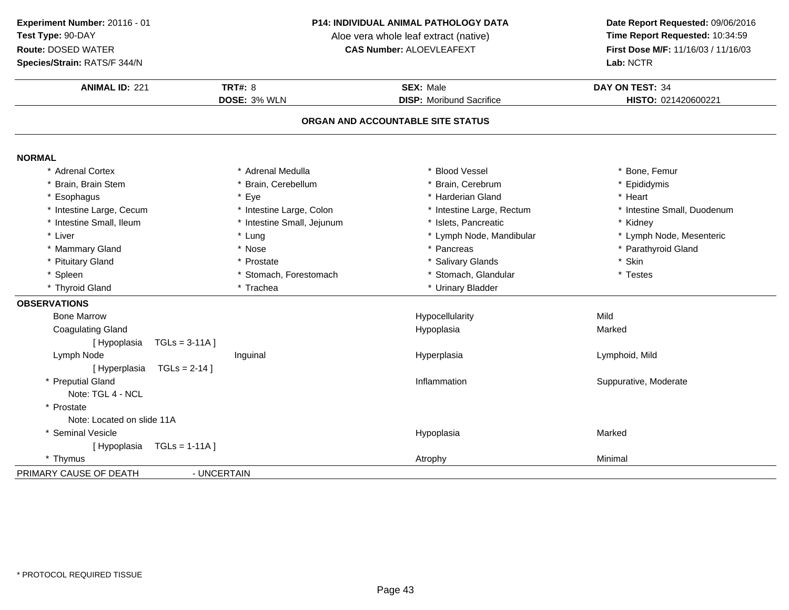**Species/Strain:** RATS/F 344/N

#### **P14: INDIVIDUAL ANIMAL PATHOLOGY DATA**

Aloe vera whole leaf extract (native)<br>**CAS Number:** ALOEVLEAFEXT

| <b>ANIMAL ID: 221</b>             | <b>TRT#: 8</b>             | <b>SEX: Male</b>                | DAY ON TEST: 34             |  |  |
|-----------------------------------|----------------------------|---------------------------------|-----------------------------|--|--|
|                                   | DOSE: 3% WLN               | <b>DISP:</b> Moribund Sacrifice | HISTO: 021420600221         |  |  |
| ORGAN AND ACCOUNTABLE SITE STATUS |                            |                                 |                             |  |  |
| <b>NORMAL</b>                     |                            |                                 |                             |  |  |
| * Adrenal Cortex                  | * Adrenal Medulla          | * Blood Vessel                  | * Bone, Femur               |  |  |
| * Brain, Brain Stem               | * Brain, Cerebellum        | * Brain, Cerebrum               | * Epididymis                |  |  |
| * Esophagus                       | * Eye                      | * Harderian Gland               | * Heart                     |  |  |
| * Intestine Large, Cecum          | * Intestine Large, Colon   | * Intestine Large, Rectum       | * Intestine Small, Duodenum |  |  |
| * Intestine Small, Ileum          | * Intestine Small, Jejunum | * Islets, Pancreatic            | * Kidney                    |  |  |
| * Liver                           | * Lung                     | * Lymph Node, Mandibular        | * Lymph Node, Mesenteric    |  |  |
| * Mammary Gland                   | * Nose                     | * Pancreas                      | * Parathyroid Gland         |  |  |
| * Pituitary Gland                 | * Prostate                 | * Salivary Glands               | * Skin                      |  |  |
| * Spleen                          | * Stomach, Forestomach     | * Stomach, Glandular            | * Testes                    |  |  |
| * Thyroid Gland                   | * Trachea                  | * Urinary Bladder               |                             |  |  |
| <b>OBSERVATIONS</b>               |                            |                                 |                             |  |  |
| <b>Bone Marrow</b>                |                            | Hypocellularity                 | Mild                        |  |  |
| <b>Coagulating Gland</b>          |                            | Hypoplasia                      | Marked                      |  |  |
| [Hypoplasia                       | $TGLs = 3-11A$ ]           |                                 |                             |  |  |
| Lymph Node                        | Inguinal                   | Hyperplasia                     | Lymphoid, Mild              |  |  |
| [Hyperplasia                      | $TGLs = 2-14$ ]            |                                 |                             |  |  |
| * Preputial Gland                 |                            | Inflammation                    | Suppurative, Moderate       |  |  |
| Note: TGL 4 - NCL                 |                            |                                 |                             |  |  |
| * Prostate                        |                            |                                 |                             |  |  |
| Note: Located on slide 11A        |                            |                                 |                             |  |  |
| * Seminal Vesicle                 |                            | Hypoplasia                      | Marked                      |  |  |
| [Hypoplasia                       | $TGLs = 1-11A$ ]           |                                 |                             |  |  |
| * Thymus                          |                            | Atrophy                         | Minimal                     |  |  |
| PRIMARY CAUSE OF DEATH            | - UNCERTAIN                |                                 |                             |  |  |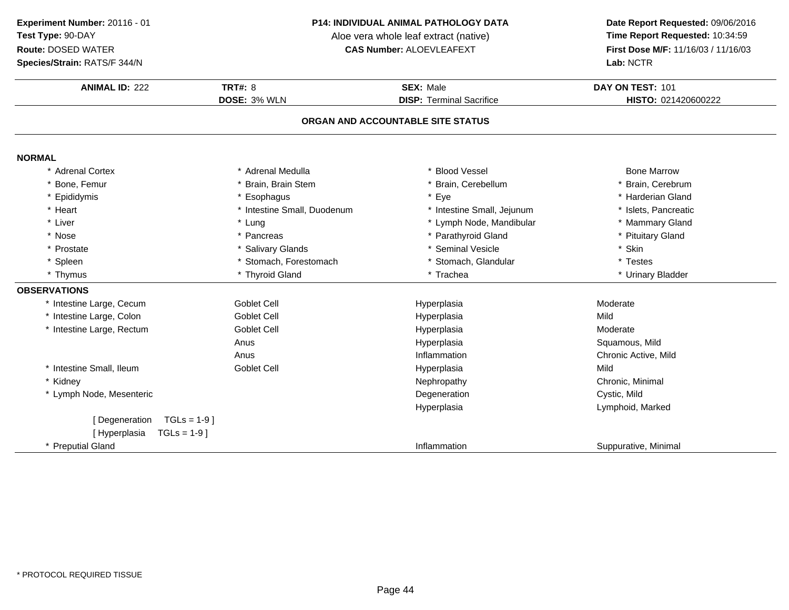### **Species/Strain:** RATS/F 344/N

#### **P14: INDIVIDUAL ANIMAL PATHOLOGY DATA**

Aloe vera whole leaf extract (native)<br>**CAS Number:** ALOEVLEAFEXT

| <b>ANIMAL ID: 222</b>             | TRT#: $8$                   | <b>SEX: Male</b>                | DAY ON TEST: 101     |  |  |
|-----------------------------------|-----------------------------|---------------------------------|----------------------|--|--|
|                                   | DOSE: 3% WLN                | <b>DISP: Terminal Sacrifice</b> | HISTO: 021420600222  |  |  |
| ORGAN AND ACCOUNTABLE SITE STATUS |                             |                                 |                      |  |  |
| <b>NORMAL</b>                     |                             |                                 |                      |  |  |
| * Adrenal Cortex                  | * Adrenal Medulla           | * Blood Vessel                  | <b>Bone Marrow</b>   |  |  |
| Bone, Femur                       | * Brain, Brain Stem         | * Brain, Cerebellum             | * Brain, Cerebrum    |  |  |
| Epididymis                        | * Esophagus                 | * Eye                           | * Harderian Gland    |  |  |
| * Heart                           | * Intestine Small, Duodenum | * Intestine Small, Jejunum      | * Islets, Pancreatic |  |  |
| * Liver                           | * Lung                      | * Lymph Node, Mandibular        | * Mammary Gland      |  |  |
| * Nose                            | * Pancreas                  | * Parathyroid Gland             | * Pituitary Gland    |  |  |
| * Prostate                        | * Salivary Glands           | * Seminal Vesicle               | * Skin               |  |  |
| * Spleen                          | * Stomach, Forestomach      | * Stomach, Glandular            | * Testes             |  |  |
| * Thymus                          | * Thyroid Gland             | * Trachea                       | * Urinary Bladder    |  |  |
| <b>OBSERVATIONS</b>               |                             |                                 |                      |  |  |
| * Intestine Large, Cecum          | <b>Goblet Cell</b>          | Hyperplasia                     | Moderate             |  |  |
| * Intestine Large, Colon          | Goblet Cell                 | Hyperplasia                     | Mild                 |  |  |
| * Intestine Large, Rectum         | <b>Goblet Cell</b>          | Hyperplasia                     | Moderate             |  |  |
|                                   | Anus                        | Hyperplasia                     | Squamous, Mild       |  |  |
|                                   | Anus                        | Inflammation                    | Chronic Active, Mild |  |  |
| * Intestine Small, Ileum          | <b>Goblet Cell</b>          | Hyperplasia                     | Mild                 |  |  |
| * Kidney                          |                             | Nephropathy                     | Chronic, Minimal     |  |  |
| * Lymph Node, Mesenteric          |                             | Degeneration                    | Cystic, Mild         |  |  |
|                                   |                             | Hyperplasia                     | Lymphoid, Marked     |  |  |
| [ Degeneration                    | $TGLs = 1-9$ ]              |                                 |                      |  |  |
| $TGLs = 1-9$ ]<br>[Hyperplasia    |                             |                                 |                      |  |  |
| * Preputial Gland                 |                             | Inflammation                    | Suppurative, Minimal |  |  |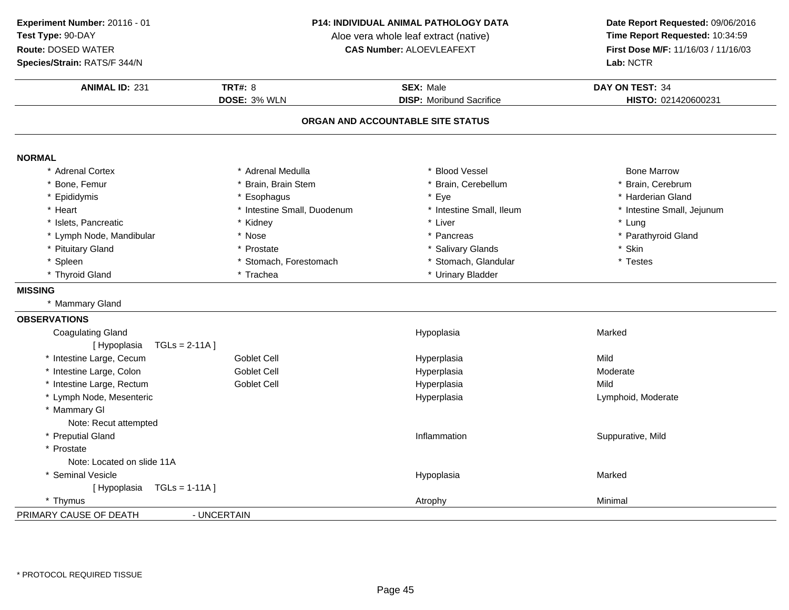**Experiment Number:** 20116 - 01**Test Type:** 90-DAY

**Route:** DOSED WATER

**Species/Strain:** RATS/F 344/N

#### **P14: INDIVIDUAL ANIMAL PATHOLOGY DATA**

Aloe vera whole leaf extract (native)<br>**CAS Number:** ALOEVLEAFEXT

| <b>ANIMAL ID: 231</b>           | <b>TRT#: 8</b><br>DOSE: 3% WLN | <b>SEX: Male</b><br><b>DISP:</b> Moribund Sacrifice | DAY ON TEST: 34<br>HISTO: 021420600231 |
|---------------------------------|--------------------------------|-----------------------------------------------------|----------------------------------------|
|                                 |                                | ORGAN AND ACCOUNTABLE SITE STATUS                   |                                        |
| <b>NORMAL</b>                   |                                |                                                     |                                        |
| * Adrenal Cortex                | * Adrenal Medulla              | * Blood Vessel                                      | <b>Bone Marrow</b>                     |
| * Bone, Femur                   | * Brain, Brain Stem            | * Brain, Cerebellum                                 | * Brain, Cerebrum                      |
| * Epididymis                    | * Esophagus                    | * Eye                                               | * Harderian Gland                      |
| * Heart                         | * Intestine Small, Duodenum    | * Intestine Small, Ileum                            | * Intestine Small, Jejunum             |
| * Islets, Pancreatic            | * Kidney                       | * Liver                                             | * Lung                                 |
| * Lymph Node, Mandibular        | * Nose                         | * Pancreas                                          | * Parathyroid Gland                    |
| * Pituitary Gland               | * Prostate                     | * Salivary Glands                                   | * Skin                                 |
| * Spleen                        | * Stomach, Forestomach         | * Stomach, Glandular                                | * Testes                               |
| * Thyroid Gland                 | * Trachea                      | * Urinary Bladder                                   |                                        |
| <b>MISSING</b>                  |                                |                                                     |                                        |
| * Mammary Gland                 |                                |                                                     |                                        |
| <b>OBSERVATIONS</b>             |                                |                                                     |                                        |
| <b>Coagulating Gland</b>        |                                | Hypoplasia                                          | Marked                                 |
| [Hypoplasia<br>$TGLs = 2-11A$ ] |                                |                                                     |                                        |
| * Intestine Large, Cecum        | <b>Goblet Cell</b>             | Hyperplasia                                         | Mild                                   |
| * Intestine Large, Colon        | <b>Goblet Cell</b>             | Hyperplasia                                         | Moderate                               |
| * Intestine Large, Rectum       | <b>Goblet Cell</b>             | Hyperplasia                                         | Mild                                   |
| * Lymph Node, Mesenteric        |                                | Hyperplasia                                         | Lymphoid, Moderate                     |
| * Mammary GI                    |                                |                                                     |                                        |
| Note: Recut attempted           |                                |                                                     |                                        |
| * Preputial Gland               |                                | Inflammation                                        | Suppurative, Mild                      |
| * Prostate                      |                                |                                                     |                                        |
| Note: Located on slide 11A      |                                |                                                     |                                        |
| * Seminal Vesicle               |                                | Hypoplasia                                          | Marked                                 |
| $TGLs = 1-11A$<br>[Hypoplasia   |                                |                                                     |                                        |
| * Thymus                        |                                | Atrophy                                             | Minimal                                |
| PRIMARY CAUSE OF DEATH          | - UNCERTAIN                    |                                                     |                                        |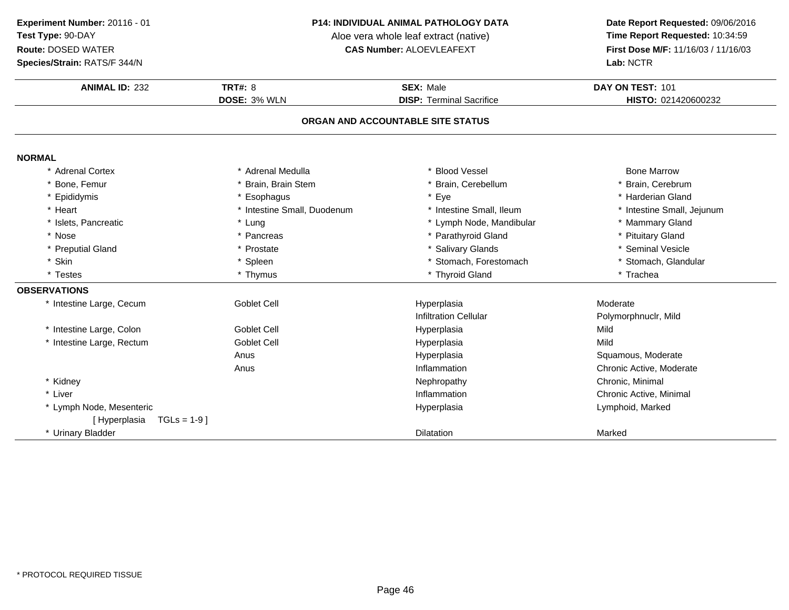**Species/Strain:** RATS/F 344/N

#### **P14: INDIVIDUAL ANIMAL PATHOLOGY DATA**

Aloe vera whole leaf extract (native)<br>**CAS Number:** ALOEVLEAFEXT

| <b>ANIMAL ID: 232</b>        | <b>TRT#: 8</b>              | <b>SEX: Male</b>                  | DAY ON TEST: 101           |
|------------------------------|-----------------------------|-----------------------------------|----------------------------|
|                              | <b>DOSE: 3% WLN</b>         | <b>DISP: Terminal Sacrifice</b>   | HISTO: 021420600232        |
|                              |                             | ORGAN AND ACCOUNTABLE SITE STATUS |                            |
| <b>NORMAL</b>                |                             |                                   |                            |
| * Adrenal Cortex             | * Adrenal Medulla           | * Blood Vessel                    | <b>Bone Marrow</b>         |
| * Bone, Femur                | * Brain. Brain Stem         | * Brain, Cerebellum               | * Brain, Cerebrum          |
| * Epididymis                 | * Esophagus                 | * Eye                             | * Harderian Gland          |
| * Heart                      | * Intestine Small, Duodenum | * Intestine Small, Ileum          | * Intestine Small, Jejunum |
| * Islets, Pancreatic         | * Lung                      | * Lymph Node, Mandibular          | * Mammary Gland            |
| * Nose                       | * Pancreas                  | * Parathyroid Gland               | * Pituitary Gland          |
| * Preputial Gland            | * Prostate                  | * Salivary Glands                 | * Seminal Vesicle          |
| * Skin                       | * Spleen                    | * Stomach, Forestomach            | * Stomach, Glandular       |
| * Testes                     | * Thymus                    | * Thyroid Gland                   | * Trachea                  |
| <b>OBSERVATIONS</b>          |                             |                                   |                            |
| * Intestine Large, Cecum     | <b>Goblet Cell</b>          | Hyperplasia                       | Moderate                   |
|                              |                             | <b>Infiltration Cellular</b>      | Polymorphnuclr, Mild       |
| * Intestine Large, Colon     | <b>Goblet Cell</b>          | Hyperplasia                       | Mild                       |
| * Intestine Large, Rectum    | <b>Goblet Cell</b>          | Hyperplasia                       | Mild                       |
|                              | Anus                        | Hyperplasia                       | Squamous, Moderate         |
|                              | Anus                        | Inflammation                      | Chronic Active, Moderate   |
| * Kidney                     |                             | Nephropathy                       | Chronic, Minimal           |
| * Liver                      |                             | Inflammation                      | Chronic Active, Minimal    |
| * Lymph Node, Mesenteric     |                             | Hyperplasia                       | Lymphoid, Marked           |
| [Hyperplasia<br>$TGLs = 1-9$ |                             |                                   |                            |
| * Urinary Bladder            |                             | <b>Dilatation</b>                 | Marked                     |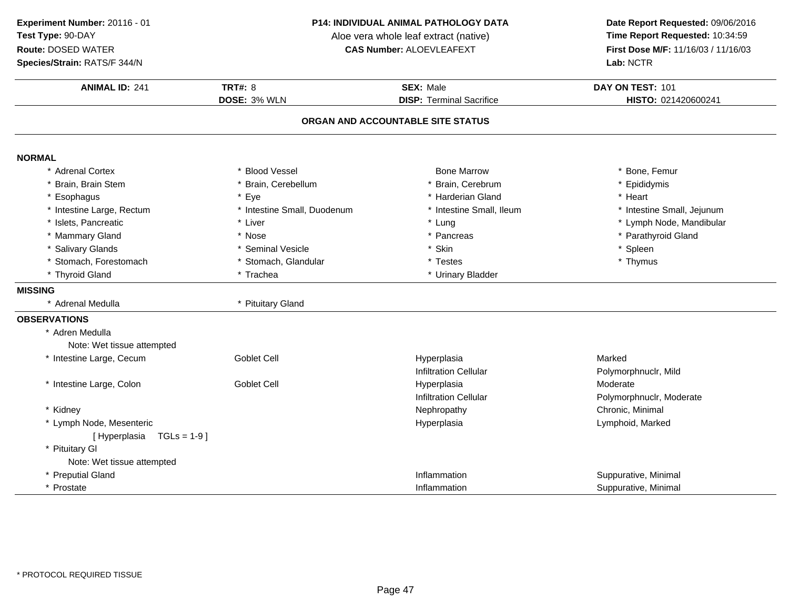**Species/Strain:** RATS/F 344/N

#### **P14: INDIVIDUAL ANIMAL PATHOLOGY DATA**

Aloe vera whole leaf extract (native)<br>**CAS Number:** ALOEVLEAFEXT

| <b>ANIMAL ID: 241</b>                         | <b>TRT#: 8</b>              | <b>SEX: Male</b>                            | DAY ON TEST: 101                     |
|-----------------------------------------------|-----------------------------|---------------------------------------------|--------------------------------------|
|                                               | DOSE: 3% WLN                | <b>DISP: Terminal Sacrifice</b>             | HISTO: 021420600241                  |
|                                               |                             | ORGAN AND ACCOUNTABLE SITE STATUS           |                                      |
| <b>NORMAL</b>                                 |                             |                                             |                                      |
| * Adrenal Cortex                              | * Blood Vessel              | <b>Bone Marrow</b>                          | * Bone, Femur                        |
| Brain, Brain Stem                             | * Brain, Cerebellum         | Brain, Cerebrum                             | * Epididymis                         |
| Esophagus                                     | * Eye                       | * Harderian Gland                           | * Heart                              |
| * Intestine Large, Rectum                     | * Intestine Small, Duodenum | * Intestine Small, Ileum                    | * Intestine Small, Jejunum           |
| Islets, Pancreatic                            | * Liver                     | * Lung                                      | * Lymph Node, Mandibular             |
| * Mammary Gland                               | * Nose                      | * Pancreas                                  | * Parathyroid Gland                  |
| * Salivary Glands                             | * Seminal Vesicle           | * Skin                                      | * Spleen                             |
| * Stomach, Forestomach                        | * Stomach, Glandular        | * Testes                                    | * Thymus                             |
| * Thyroid Gland                               | * Trachea                   | * Urinary Bladder                           |                                      |
| <b>MISSING</b>                                |                             |                                             |                                      |
| * Adrenal Medulla                             | * Pituitary Gland           |                                             |                                      |
| <b>OBSERVATIONS</b>                           |                             |                                             |                                      |
| * Adren Medulla<br>Note: Wet tissue attempted |                             |                                             |                                      |
| * Intestine Large, Cecum                      | Goblet Cell                 | Hyperplasia<br><b>Infiltration Cellular</b> | Marked<br>Polymorphnuclr, Mild       |
| * Intestine Large, Colon                      | Goblet Cell                 | Hyperplasia<br><b>Infiltration Cellular</b> | Moderate<br>Polymorphnuclr, Moderate |
| * Kidney                                      |                             | Nephropathy                                 | Chronic, Minimal                     |
| * Lymph Node, Mesenteric                      |                             | Hyperplasia                                 | Lymphoid, Marked                     |
| [Hyperplasia<br>$TGLs = 1-9$ ]                |                             |                                             |                                      |
| * Pituitary GI                                |                             |                                             |                                      |
| Note: Wet tissue attempted                    |                             |                                             |                                      |
| * Preputial Gland                             |                             | Inflammation                                | Suppurative, Minimal                 |
| * Prostate                                    |                             | Inflammation                                | Suppurative, Minimal                 |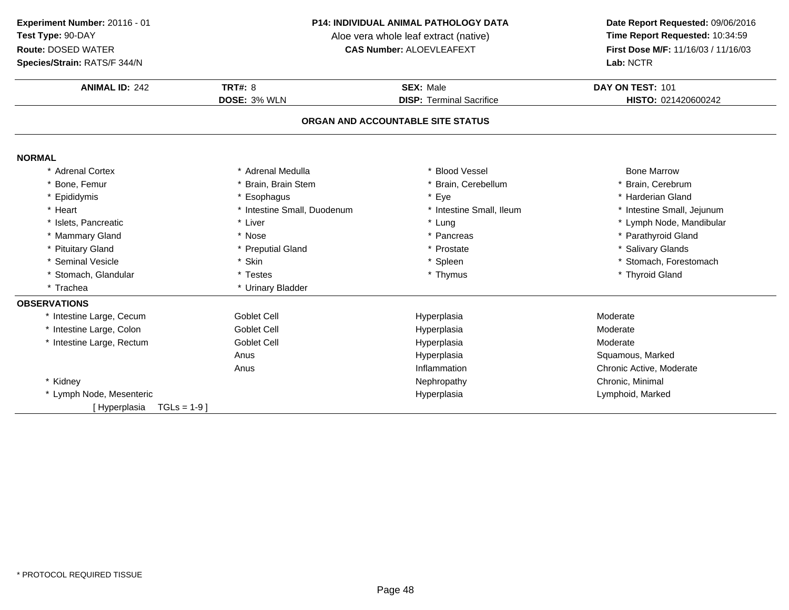**Experiment Number:** 20116 - 01**Test Type:** 90-DAY

### **Route:** DOSED WATER

**Species/Strain:** RATS/F 344/N

#### **P14: INDIVIDUAL ANIMAL PATHOLOGY DATA**

Aloe vera whole leaf extract (native)<br>**CAS Number:** ALOEVLEAFEXT

| <b>ANIMAL ID: 242</b>             | <b>TRT#: 8</b>              | <b>SEX: Male</b>                  | DAY ON TEST: 101           |
|-----------------------------------|-----------------------------|-----------------------------------|----------------------------|
|                                   | DOSE: 3% WLN                | <b>DISP: Terminal Sacrifice</b>   | HISTO: 021420600242        |
|                                   |                             | ORGAN AND ACCOUNTABLE SITE STATUS |                            |
|                                   |                             |                                   |                            |
| <b>NORMAL</b><br>* Adrenal Cortex | * Adrenal Medulla           | * Blood Vessel                    | <b>Bone Marrow</b>         |
| * Bone, Femur                     | * Brain. Brain Stem         | * Brain, Cerebellum               | * Brain, Cerebrum          |
| * Epididymis                      | * Esophagus                 | * Eye                             | * Harderian Gland          |
| * Heart                           | * Intestine Small, Duodenum | * Intestine Small, Ileum          | * Intestine Small, Jejunum |
| * Islets, Pancreatic              | * Liver                     | * Lung                            | * Lymph Node, Mandibular   |
| * Mammary Gland                   | * Nose                      | * Pancreas                        | * Parathyroid Gland        |
| * Pituitary Gland                 | * Preputial Gland           | * Prostate                        | * Salivary Glands          |
| * Seminal Vesicle                 | * Skin                      | * Spleen                          | * Stomach, Forestomach     |
| * Stomach, Glandular              | * Testes                    | * Thymus                          | * Thyroid Gland            |
| * Trachea                         | * Urinary Bladder           |                                   |                            |
| <b>OBSERVATIONS</b>               |                             |                                   |                            |
| * Intestine Large, Cecum          | <b>Goblet Cell</b>          | Hyperplasia                       | Moderate                   |
| * Intestine Large, Colon          | <b>Goblet Cell</b>          | Hyperplasia                       | Moderate                   |
| * Intestine Large, Rectum         | <b>Goblet Cell</b>          | Hyperplasia                       | Moderate                   |
|                                   | Anus                        | Hyperplasia                       | Squamous, Marked           |
|                                   | Anus                        | Inflammation                      | Chronic Active, Moderate   |
| * Kidney                          |                             | Nephropathy                       | Chronic, Minimal           |
| * Lymph Node, Mesenteric          |                             | Hyperplasia                       | Lymphoid, Marked           |
| $TGLs = 1-9$ ]<br>Hyperplasia     |                             |                                   |                            |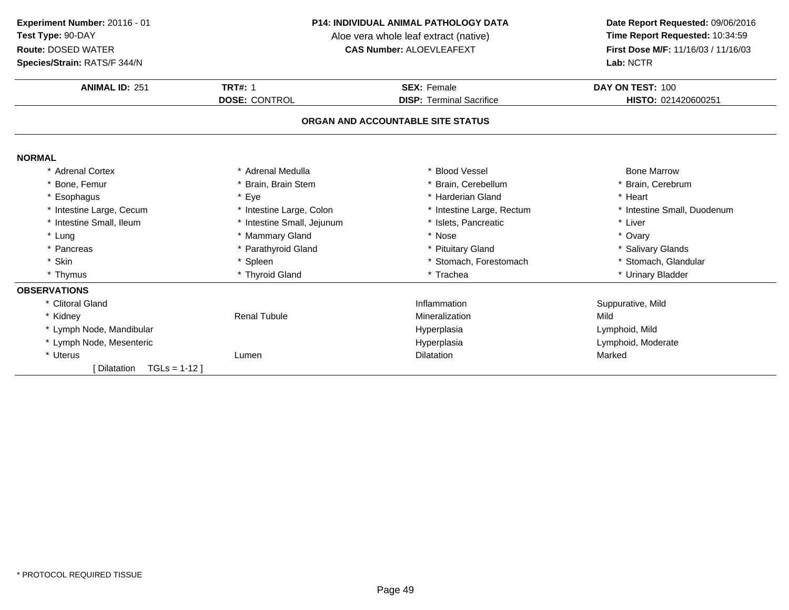**Species/Strain:** RATS/F 344/N

#### **P14: INDIVIDUAL ANIMAL PATHOLOGY DATA**

Aloe vera whole leaf extract (native)<br>**CAS Number:** ALOEVLEAFEXT

| <b>ANIMAL ID: 251</b>        | <b>TRT#: 1</b>             | <b>SEX: Female</b>                | DAY ON TEST: 100            |
|------------------------------|----------------------------|-----------------------------------|-----------------------------|
|                              | <b>DOSE: CONTROL</b>       | <b>DISP: Terminal Sacrifice</b>   | HISTO: 021420600251         |
|                              |                            | ORGAN AND ACCOUNTABLE SITE STATUS |                             |
| <b>NORMAL</b>                |                            |                                   |                             |
| * Adrenal Cortex             | * Adrenal Medulla          | * Blood Vessel                    | <b>Bone Marrow</b>          |
| * Bone, Femur                | Brain, Brain Stem          | Brain, Cerebellum                 | Brain, Cerebrum             |
| * Esophagus                  | * Eye                      | * Harderian Gland                 | * Heart                     |
| * Intestine Large, Cecum     | * Intestine Large, Colon   | * Intestine Large, Rectum         | * Intestine Small, Duodenum |
| * Intestine Small, Ileum     | * Intestine Small, Jejunum | * Islets, Pancreatic              | * Liver                     |
| * Lung                       | * Mammary Gland            | * Nose                            | * Ovary                     |
| * Pancreas                   | * Parathyroid Gland        | * Pituitary Gland                 | * Salivary Glands           |
| * Skin                       | Spleen                     | * Stomach, Forestomach            | * Stomach, Glandular        |
| * Thymus                     | * Thyroid Gland            | * Trachea                         | * Urinary Bladder           |
| <b>OBSERVATIONS</b>          |                            |                                   |                             |
| * Clitoral Gland             |                            | Inflammation                      | Suppurative, Mild           |
| * Kidney                     | <b>Renal Tubule</b>        | Mineralization                    | Mild                        |
| * Lymph Node, Mandibular     |                            | Hyperplasia                       | Lymphoid, Mild              |
| * Lymph Node, Mesenteric     |                            | Hyperplasia                       | Lymphoid, Moderate          |
| * Uterus                     | Lumen                      | <b>Dilatation</b>                 | Marked                      |
| $TGLs = 1-12$<br>[Dilatation |                            |                                   |                             |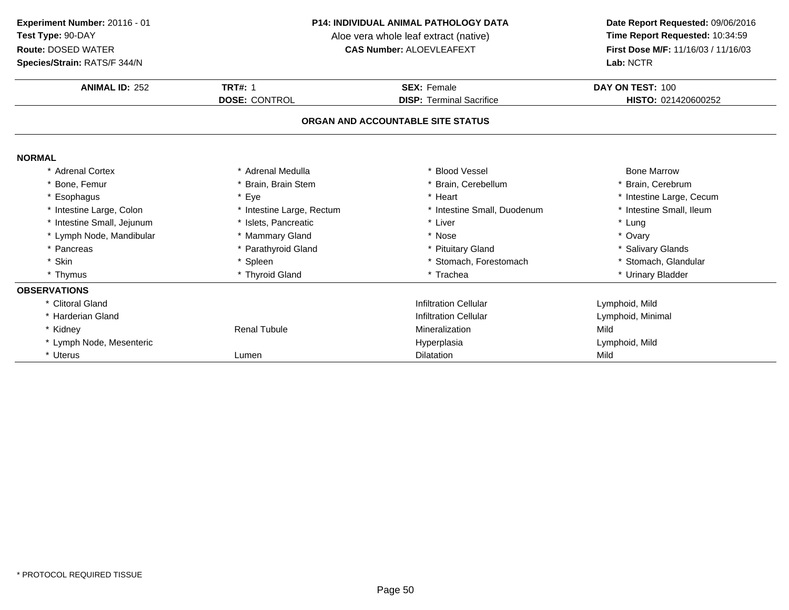**Species/Strain:** RATS/F 344/N

#### **P14: INDIVIDUAL ANIMAL PATHOLOGY DATA**

Aloe vera whole leaf extract (native)<br>**CAS Number:** ALOEVLEAFEXT

| Species/Strain: RATS/F 344/N |                           | Lab: NCTR                         |                          |  |
|------------------------------|---------------------------|-----------------------------------|--------------------------|--|
| <b>ANIMAL ID: 252</b>        | <b>TRT#: 1</b>            | <b>SEX: Female</b>                | DAY ON TEST: 100         |  |
|                              | <b>DOSE: CONTROL</b>      | <b>DISP: Terminal Sacrifice</b>   | HISTO: 021420600252      |  |
|                              |                           | ORGAN AND ACCOUNTABLE SITE STATUS |                          |  |
| <b>NORMAL</b>                |                           |                                   |                          |  |
| * Adrenal Cortex             | * Adrenal Medulla         | <b>Blood Vessel</b>               | <b>Bone Marrow</b>       |  |
| * Bone, Femur                | Brain, Brain Stem         | Brain, Cerebellum                 | Brain, Cerebrum          |  |
| * Esophagus                  | * Eye                     | * Heart                           | * Intestine Large, Cecum |  |
| * Intestine Large, Colon     | * Intestine Large, Rectum | * Intestine Small, Duodenum       | * Intestine Small, Ileum |  |
| * Intestine Small, Jejunum   | * Islets, Pancreatic      | * Liver                           | * Lung                   |  |
| * Lymph Node, Mandibular     | * Mammary Gland           | * Nose                            | * Ovary                  |  |
| * Pancreas                   | * Parathyroid Gland       | * Pituitary Gland                 | * Salivary Glands        |  |
| * Skin                       | Spleen                    | * Stomach, Forestomach            | * Stomach, Glandular     |  |
| * Thymus                     | * Thyroid Gland           | * Trachea                         | * Urinary Bladder        |  |
| <b>OBSERVATIONS</b>          |                           |                                   |                          |  |
| * Clitoral Gland             |                           | <b>Infiltration Cellular</b>      | Lymphoid, Mild           |  |
| * Harderian Gland            |                           | <b>Infiltration Cellular</b>      | Lymphoid, Minimal        |  |
| * Kidney                     | <b>Renal Tubule</b>       | Mineralization                    | Mild                     |  |
| * Lymph Node, Mesenteric     |                           | Hyperplasia                       | Lymphoid, Mild           |  |
| * Uterus                     | Lumen                     | <b>Dilatation</b>                 | Mild                     |  |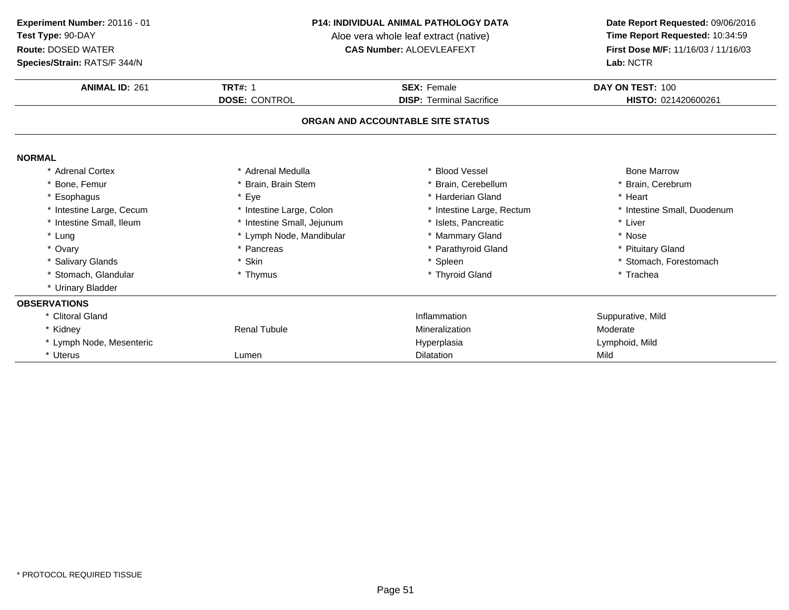**Species/Strain:** RATS/F 344/N

#### **P14: INDIVIDUAL ANIMAL PATHOLOGY DATA**

Aloe vera whole leaf extract (native)<br>**CAS Number:** ALOEVLEAFEXT

| <b>ANIMAL ID: 261</b>             | <b>TRT#: 1</b>             | <b>SEX: Female</b>              | DAY ON TEST: 100            |  |  |
|-----------------------------------|----------------------------|---------------------------------|-----------------------------|--|--|
|                                   | <b>DOSE: CONTROL</b>       | <b>DISP: Terminal Sacrifice</b> | HISTO: 021420600261         |  |  |
| ORGAN AND ACCOUNTABLE SITE STATUS |                            |                                 |                             |  |  |
| <b>NORMAL</b>                     |                            |                                 |                             |  |  |
| * Adrenal Cortex                  | * Adrenal Medulla          | * Blood Vessel                  | <b>Bone Marrow</b>          |  |  |
| * Bone, Femur                     | Brain, Brain Stem          | * Brain, Cerebellum             | * Brain, Cerebrum           |  |  |
| * Esophagus                       | * Eye                      | * Harderian Gland               | * Heart                     |  |  |
| * Intestine Large, Cecum          | * Intestine Large, Colon   | * Intestine Large, Rectum       | * Intestine Small, Duodenum |  |  |
| * Intestine Small, Ileum          | * Intestine Small, Jejunum | * Islets, Pancreatic            | * Liver                     |  |  |
| * Lung                            | * Lymph Node, Mandibular   | * Mammary Gland                 | * Nose                      |  |  |
| * Ovary                           | * Pancreas                 | * Parathyroid Gland             | * Pituitary Gland           |  |  |
| * Salivary Glands                 | * Skin                     | * Spleen                        | * Stomach, Forestomach      |  |  |
| * Stomach, Glandular              | * Thymus                   | * Thyroid Gland                 | * Trachea                   |  |  |
| * Urinary Bladder                 |                            |                                 |                             |  |  |
| <b>OBSERVATIONS</b>               |                            |                                 |                             |  |  |
| * Clitoral Gland                  |                            | Inflammation                    | Suppurative, Mild           |  |  |
| * Kidney                          | <b>Renal Tubule</b>        | Mineralization                  | Moderate                    |  |  |
| * Lymph Node, Mesenteric          |                            | Hyperplasia                     | Lymphoid, Mild              |  |  |
| * Uterus                          | Lumen                      | <b>Dilatation</b>               | Mild                        |  |  |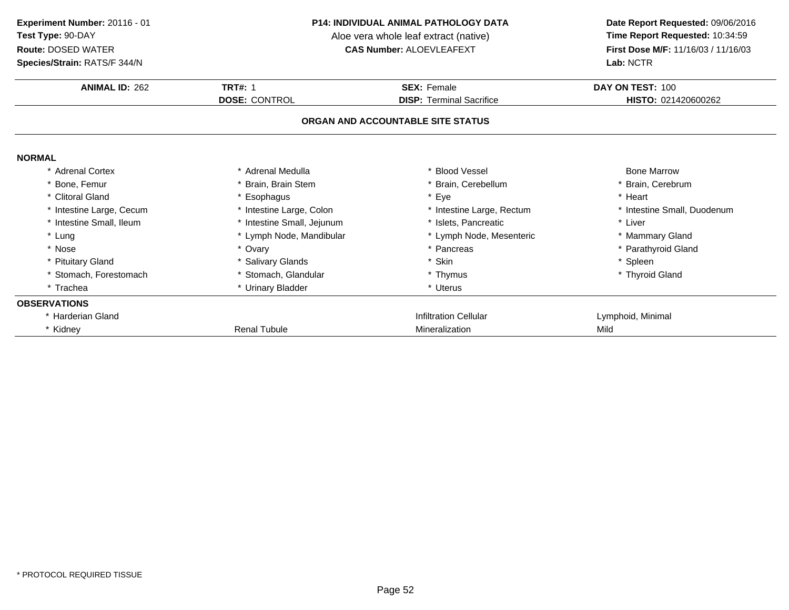**Species/Strain:** RATS/F 344/N

#### **P14: INDIVIDUAL ANIMAL PATHOLOGY DATA**

Aloe vera whole leaf extract (native)<br>**CAS Number:** ALOEVLEAFEXT

| <b>Species/Strain: RATS/F 344/N</b> |                            |                                   |                             |
|-------------------------------------|----------------------------|-----------------------------------|-----------------------------|
| <b>ANIMAL ID: 262</b>               | <b>TRT#: 1</b>             | <b>SEX: Female</b>                | DAY ON TEST: 100            |
|                                     | <b>DOSE: CONTROL</b>       | <b>DISP: Terminal Sacrifice</b>   | HISTO: 021420600262         |
|                                     |                            | ORGAN AND ACCOUNTABLE SITE STATUS |                             |
| <b>NORMAL</b>                       |                            |                                   |                             |
| * Adrenal Cortex                    | * Adrenal Medulla          | * Blood Vessel                    | <b>Bone Marrow</b>          |
| * Bone, Femur                       | Brain, Brain Stem          | * Brain, Cerebellum               | * Brain, Cerebrum           |
| * Clitoral Gland                    | * Esophagus                | * Eye                             | * Heart                     |
| * Intestine Large, Cecum            | * Intestine Large, Colon   | * Intestine Large, Rectum         | * Intestine Small, Duodenum |
| * Intestine Small, Ileum            | * Intestine Small, Jejunum | * Islets, Pancreatic              | * Liver                     |
| * Lung                              | * Lymph Node, Mandibular   | * Lymph Node, Mesenteric          | * Mammary Gland             |
| * Nose                              | * Ovary                    | * Pancreas                        | * Parathyroid Gland         |
| * Pituitary Gland                   | * Salivary Glands          | * Skin                            | * Spleen                    |
| * Stomach, Forestomach              | * Stomach, Glandular       | * Thymus                          | * Thyroid Gland             |
| * Trachea                           | * Urinary Bladder          | * Uterus                          |                             |
| <b>OBSERVATIONS</b>                 |                            |                                   |                             |
| * Harderian Gland                   |                            | <b>Infiltration Cellular</b>      | Lymphoid, Minimal           |
| * Kidney                            | <b>Renal Tubule</b>        | Mineralization                    | Mild                        |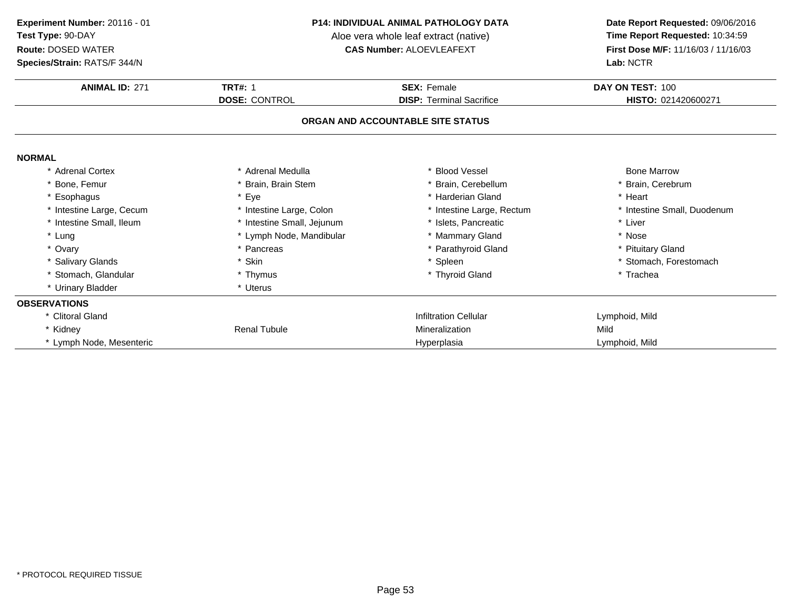**Species/Strain:** RATS/F 344/N

#### **P14: INDIVIDUAL ANIMAL PATHOLOGY DATA**

Aloe vera whole leaf extract (native)<br>**CAS Number:** ALOEVLEAFEXT

| Species/Strain: RATS/F 344/N |                            |                                   | Lab: NCTR                   |
|------------------------------|----------------------------|-----------------------------------|-----------------------------|
| <b>ANIMAL ID: 271</b>        | <b>TRT#: 1</b>             | <b>SEX: Female</b>                | DAY ON TEST: 100            |
|                              | <b>DOSE: CONTROL</b>       | <b>DISP: Terminal Sacrifice</b>   | HISTO: 021420600271         |
|                              |                            | ORGAN AND ACCOUNTABLE SITE STATUS |                             |
| <b>NORMAL</b>                |                            |                                   |                             |
| * Adrenal Cortex             | * Adrenal Medulla          | <b>Blood Vessel</b>               | <b>Bone Marrow</b>          |
| * Bone, Femur                | Brain, Brain Stem          | * Brain, Cerebellum               | Brain, Cerebrum             |
| * Esophagus                  | * Eye                      | * Harderian Gland                 | * Heart                     |
| * Intestine Large, Cecum     | * Intestine Large, Colon   | * Intestine Large, Rectum         | * Intestine Small, Duodenum |
| * Intestine Small, Ileum     | * Intestine Small, Jejunum | * Islets, Pancreatic              | * Liver                     |
| * Lung                       | * Lymph Node, Mandibular   | * Mammary Gland                   | * Nose                      |
| * Ovary                      | * Pancreas                 | * Parathyroid Gland               | * Pituitary Gland           |
| * Salivary Glands            | * Skin                     | * Spleen                          | * Stomach, Forestomach      |
| * Stomach, Glandular         | * Thymus                   | * Thyroid Gland                   | * Trachea                   |
| * Urinary Bladder            | * Uterus                   |                                   |                             |
| <b>OBSERVATIONS</b>          |                            |                                   |                             |
| * Clitoral Gland             |                            | <b>Infiltration Cellular</b>      | Lymphoid, Mild              |
| * Kidney                     | <b>Renal Tubule</b>        | Mineralization                    | Mild                        |
| * Lymph Node, Mesenteric     |                            | Hyperplasia                       | Lymphoid, Mild              |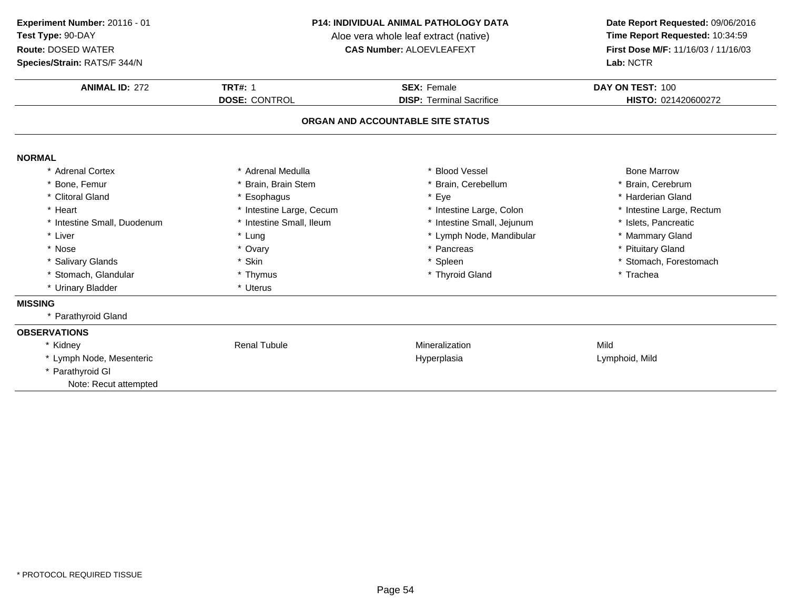**Species/Strain:** RATS/F 344/N

#### **P14: INDIVIDUAL ANIMAL PATHOLOGY DATA**

Aloe vera whole leaf extract (native)<br>**CAS Number:** ALOEVLEAFEXT

| <b>ANIMAL ID: 272</b>       | <b>TRT#: 1</b>           | <b>SEX: Female</b>                | DAY ON TEST: 100          |
|-----------------------------|--------------------------|-----------------------------------|---------------------------|
|                             | <b>DOSE: CONTROL</b>     | <b>DISP: Terminal Sacrifice</b>   | HISTO: 021420600272       |
|                             |                          | ORGAN AND ACCOUNTABLE SITE STATUS |                           |
| <b>NORMAL</b>               |                          |                                   |                           |
| * Adrenal Cortex            | Adrenal Medulla          | <b>Blood Vessel</b>               | <b>Bone Marrow</b>        |
| * Bone, Femur               | Brain, Brain Stem        | * Brain, Cerebellum               | * Brain, Cerebrum         |
| * Clitoral Gland            | Esophagus                | Eye                               | * Harderian Gland         |
| * Heart                     | * Intestine Large, Cecum | * Intestine Large, Colon          | * Intestine Large, Rectum |
| * Intestine Small, Duodenum | * Intestine Small, Ileum | * Intestine Small, Jejunum        | * Islets, Pancreatic      |
| * Liver                     | * Lung                   | * Lymph Node, Mandibular          | * Mammary Gland           |
| * Nose                      | * Ovary                  | * Pancreas                        | * Pituitary Gland         |
| * Salivary Glands           | * Skin                   | * Spleen                          | * Stomach, Forestomach    |
| * Stomach, Glandular        | * Thymus                 | * Thyroid Gland                   | * Trachea                 |
| * Urinary Bladder           | * Uterus                 |                                   |                           |
| <b>MISSING</b>              |                          |                                   |                           |
| * Parathyroid Gland         |                          |                                   |                           |
| <b>OBSERVATIONS</b>         |                          |                                   |                           |
| * Kidney                    | <b>Renal Tubule</b>      | Mineralization                    | Mild                      |
| * Lymph Node, Mesenteric    |                          | Hyperplasia                       | Lymphoid, Mild            |
| * Parathyroid GI            |                          |                                   |                           |
| Note: Recut attempted       |                          |                                   |                           |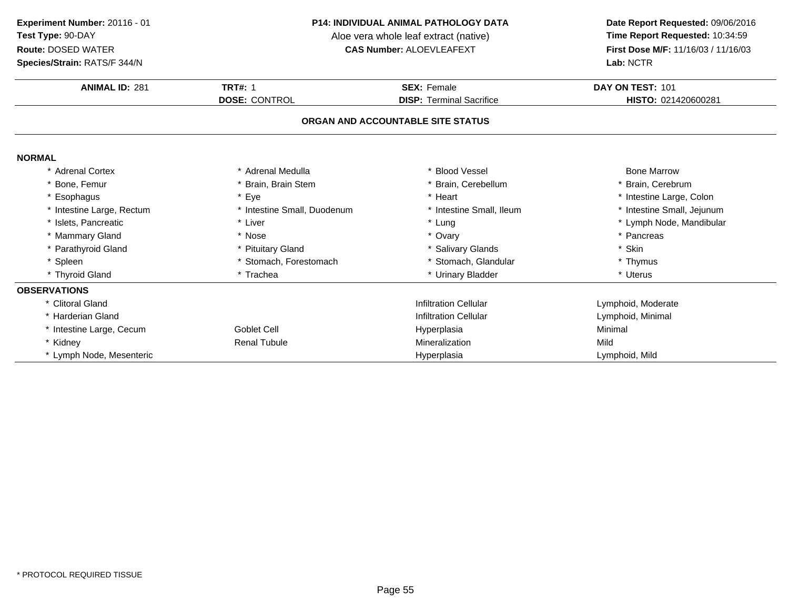#### **Species/Strain:** RATS/F 344/N

#### **P14: INDIVIDUAL ANIMAL PATHOLOGY DATA**

Aloe vera whole leaf extract (native)<br>**CAS Number:** ALOEVLEAFEXT

| <b>ANIMAL ID: 281</b>             | <b>TRT#: 1</b>              | <b>SEX: Female</b>              | DAY ON TEST: 101           |  |  |
|-----------------------------------|-----------------------------|---------------------------------|----------------------------|--|--|
|                                   | <b>DOSE: CONTROL</b>        | <b>DISP: Terminal Sacrifice</b> | HISTO: 021420600281        |  |  |
| ORGAN AND ACCOUNTABLE SITE STATUS |                             |                                 |                            |  |  |
| <b>NORMAL</b>                     |                             |                                 |                            |  |  |
| <b>Adrenal Cortex</b>             | * Adrenal Medulla           | * Blood Vessel                  | <b>Bone Marrow</b>         |  |  |
| * Bone, Femur                     | * Brain, Brain Stem         | * Brain, Cerebellum             | * Brain, Cerebrum          |  |  |
| * Esophagus                       | * Eye                       | * Heart                         | * Intestine Large, Colon   |  |  |
| * Intestine Large, Rectum         | * Intestine Small, Duodenum | * Intestine Small, Ileum        | * Intestine Small, Jejunum |  |  |
| * Islets, Pancreatic              | * Liver                     | * Lung                          | * Lymph Node, Mandibular   |  |  |
| * Mammary Gland                   | * Nose                      | * Ovary                         | * Pancreas                 |  |  |
| * Parathyroid Gland               | * Pituitary Gland           | * Salivary Glands               | * Skin                     |  |  |
| * Spleen                          | * Stomach, Forestomach      | * Stomach, Glandular            | * Thymus                   |  |  |
| * Thyroid Gland                   | * Trachea                   | * Urinary Bladder               | * Uterus                   |  |  |
| <b>OBSERVATIONS</b>               |                             |                                 |                            |  |  |
| * Clitoral Gland                  |                             | <b>Infiltration Cellular</b>    | Lymphoid, Moderate         |  |  |
| * Harderian Gland                 |                             | <b>Infiltration Cellular</b>    | Lymphoid, Minimal          |  |  |
| * Intestine Large, Cecum          | <b>Goblet Cell</b>          | Hyperplasia                     | Minimal                    |  |  |
| * Kidney                          | <b>Renal Tubule</b>         | <b>Mineralization</b>           | Mild                       |  |  |
| * Lymph Node, Mesenteric          |                             | Hyperplasia                     | Lymphoid, Mild             |  |  |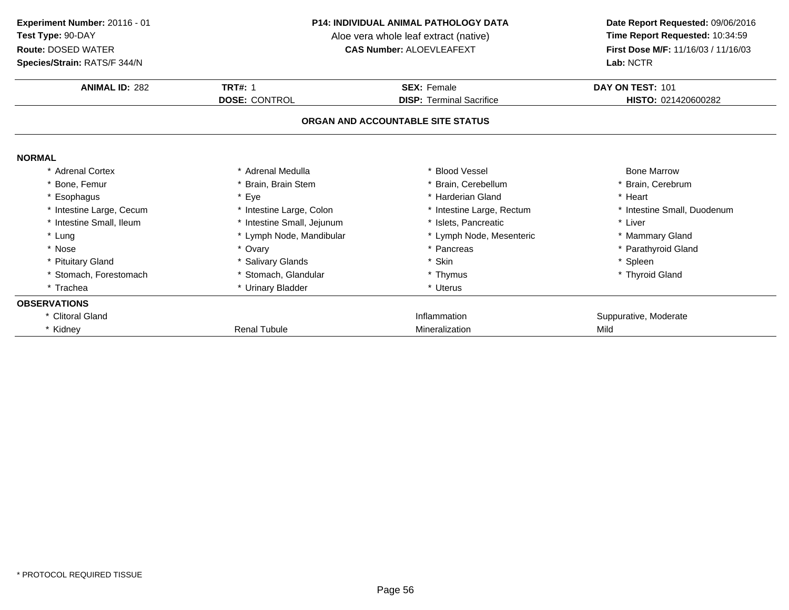**Species/Strain:** RATS/F 344/N

#### **P14: INDIVIDUAL ANIMAL PATHOLOGY DATA**

Aloe vera whole leaf extract (native)<br>**CAS Number:** ALOEVLEAFEXT

| <b>Species/Strain: RATS/F 344/N</b> |                            | Lab: NCTR                         |                             |  |
|-------------------------------------|----------------------------|-----------------------------------|-----------------------------|--|
| <b>ANIMAL ID: 282</b>               | <b>TRT#: 1</b>             | <b>SEX: Female</b>                | DAY ON TEST: 101            |  |
|                                     | <b>DOSE: CONTROL</b>       | <b>DISP: Terminal Sacrifice</b>   | HISTO: 021420600282         |  |
|                                     |                            | ORGAN AND ACCOUNTABLE SITE STATUS |                             |  |
| <b>NORMAL</b>                       |                            |                                   |                             |  |
| * Adrenal Cortex                    | * Adrenal Medulla          | * Blood Vessel                    | <b>Bone Marrow</b>          |  |
| * Bone, Femur                       | Brain, Brain Stem          | * Brain, Cerebellum               | * Brain, Cerebrum           |  |
| Esophagus                           | * Eye                      | * Harderian Gland                 | * Heart                     |  |
| * Intestine Large, Cecum            | * Intestine Large, Colon   | * Intestine Large, Rectum         | * Intestine Small, Duodenum |  |
| * Intestine Small, Ileum            | * Intestine Small, Jejunum | * Islets, Pancreatic              | * Liver                     |  |
| * Lung                              | * Lymph Node, Mandibular   | * Lymph Node, Mesenteric          | * Mammary Gland             |  |
| * Nose                              | * Ovary                    | * Pancreas                        | * Parathyroid Gland         |  |
| * Pituitary Gland                   | * Salivary Glands          | * Skin                            | * Spleen                    |  |
| * Stomach, Forestomach              | Stomach, Glandular         | * Thymus                          | * Thyroid Gland             |  |
| * Trachea                           | * Urinary Bladder          | * Uterus                          |                             |  |
| <b>OBSERVATIONS</b>                 |                            |                                   |                             |  |
| * Clitoral Gland                    |                            | Inflammation                      | Suppurative, Moderate       |  |
| * Kidney                            | <b>Renal Tubule</b>        | Mineralization                    | Mild                        |  |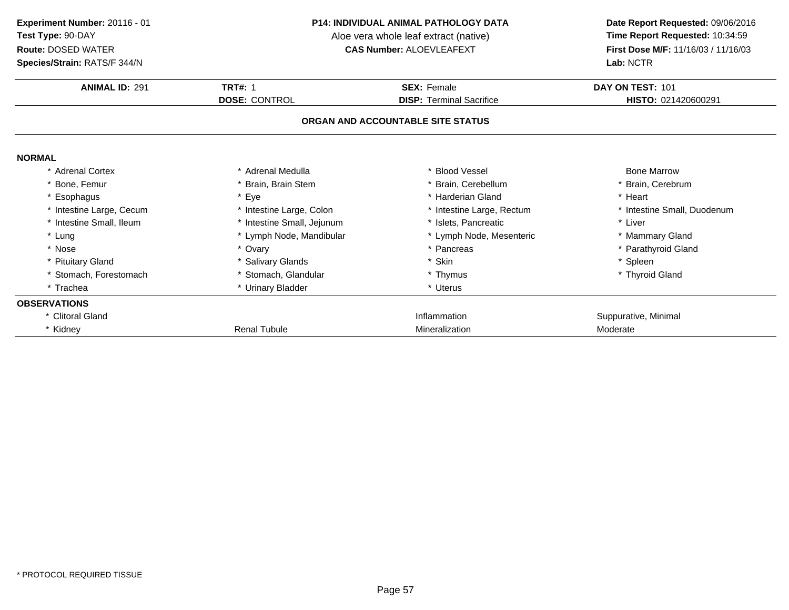**Species/Strain:** RATS/F 344/N

#### **P14: INDIVIDUAL ANIMAL PATHOLOGY DATA**

Aloe vera whole leaf extract (native)<br>**CAS Number:** ALOEVLEAFEXT

| <b>Species/Strain: RATS/F 344/N</b> |                            |                                   | Lab: NCTR                   |  |
|-------------------------------------|----------------------------|-----------------------------------|-----------------------------|--|
| <b>ANIMAL ID: 291</b>               | <b>TRT#: 1</b>             | <b>SEX: Female</b>                | DAY ON TEST: 101            |  |
|                                     | <b>DOSE: CONTROL</b>       | <b>DISP: Terminal Sacrifice</b>   | HISTO: 021420600291         |  |
|                                     |                            | ORGAN AND ACCOUNTABLE SITE STATUS |                             |  |
| <b>NORMAL</b>                       |                            |                                   |                             |  |
| * Adrenal Cortex                    | * Adrenal Medulla          | * Blood Vessel                    | <b>Bone Marrow</b>          |  |
| * Bone, Femur                       | Brain, Brain Stem          | * Brain, Cerebellum               | * Brain, Cerebrum           |  |
| Esophagus                           | * Eye                      | * Harderian Gland                 | * Heart                     |  |
| * Intestine Large, Cecum            | * Intestine Large, Colon   | * Intestine Large, Rectum         | * Intestine Small, Duodenum |  |
| * Intestine Small, Ileum            | * Intestine Small, Jejunum | * Islets, Pancreatic              | * Liver                     |  |
| * Lung                              | * Lymph Node, Mandibular   | * Lymph Node, Mesenteric          | * Mammary Gland             |  |
| * Nose                              | * Ovary                    | * Pancreas                        | * Parathyroid Gland         |  |
| * Pituitary Gland                   | * Salivary Glands          | * Skin                            | * Spleen                    |  |
| * Stomach, Forestomach              | * Stomach, Glandular       | * Thymus                          | * Thyroid Gland             |  |
| * Trachea                           | * Urinary Bladder          | * Uterus                          |                             |  |
| <b>OBSERVATIONS</b>                 |                            |                                   |                             |  |
| * Clitoral Gland                    |                            | Inflammation                      | Suppurative, Minimal        |  |
| * Kidney                            | <b>Renal Tubule</b>        | Mineralization                    | Moderate                    |  |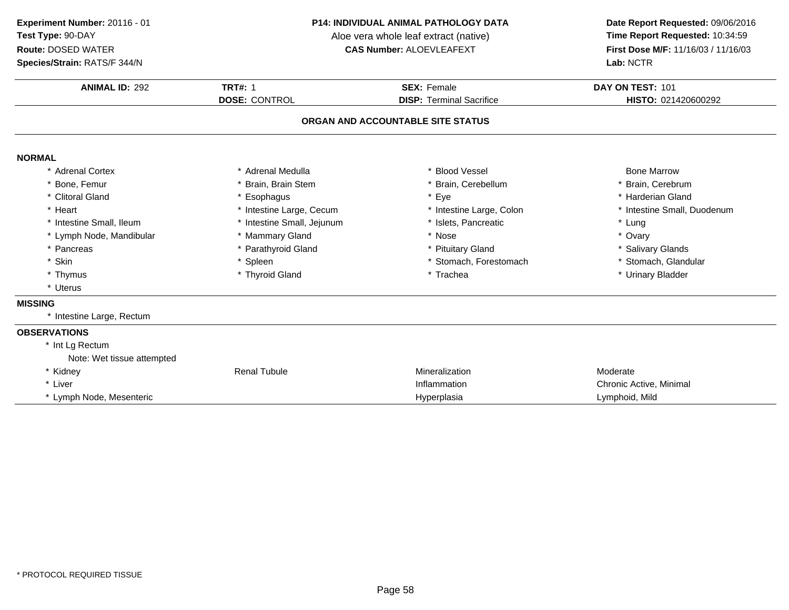**Species/Strain:** RATS/F 344/N

#### **P14: INDIVIDUAL ANIMAL PATHOLOGY DATA**

Aloe vera whole leaf extract (native)<br>**CAS Number:** ALOEVLEAFEXT

| <b>ANIMAL ID: 292</b>      | <b>TRT#: 1</b>             | <b>SEX: Female</b>                | DAY ON TEST: 101            |
|----------------------------|----------------------------|-----------------------------------|-----------------------------|
|                            | <b>DOSE: CONTROL</b>       | <b>DISP: Terminal Sacrifice</b>   | HISTO: 021420600292         |
|                            |                            | ORGAN AND ACCOUNTABLE SITE STATUS |                             |
| <b>NORMAL</b>              |                            |                                   |                             |
| * Adrenal Cortex           | * Adrenal Medulla          | * Blood Vessel                    | <b>Bone Marrow</b>          |
| * Bone, Femur              | <b>Brain, Brain Stem</b>   | * Brain, Cerebellum               | * Brain, Cerebrum           |
| * Clitoral Gland           | * Esophagus                | * Eye                             | * Harderian Gland           |
| * Heart                    | * Intestine Large, Cecum   | * Intestine Large, Colon          | * Intestine Small, Duodenum |
| * Intestine Small, Ileum   | * Intestine Small, Jejunum | * Islets, Pancreatic              | * Lung                      |
| * Lymph Node, Mandibular   | * Mammary Gland            | * Nose                            | * Ovary                     |
| * Pancreas                 | * Parathyroid Gland        | * Pituitary Gland                 | * Salivary Glands           |
| * Skin                     | * Spleen                   | * Stomach, Forestomach            | * Stomach, Glandular        |
| * Thymus                   | * Thyroid Gland            | * Trachea                         | * Urinary Bladder           |
| * Uterus                   |                            |                                   |                             |
| <b>MISSING</b>             |                            |                                   |                             |
| * Intestine Large, Rectum  |                            |                                   |                             |
| <b>OBSERVATIONS</b>        |                            |                                   |                             |
| * Int Lg Rectum            |                            |                                   |                             |
| Note: Wet tissue attempted |                            |                                   |                             |
| * Kidney                   | <b>Renal Tubule</b>        | Mineralization                    | Moderate                    |
| * Liver                    |                            | Inflammation                      | Chronic Active, Minimal     |
| * Lymph Node, Mesenteric   |                            | Hyperplasia                       | Lymphoid, Mild              |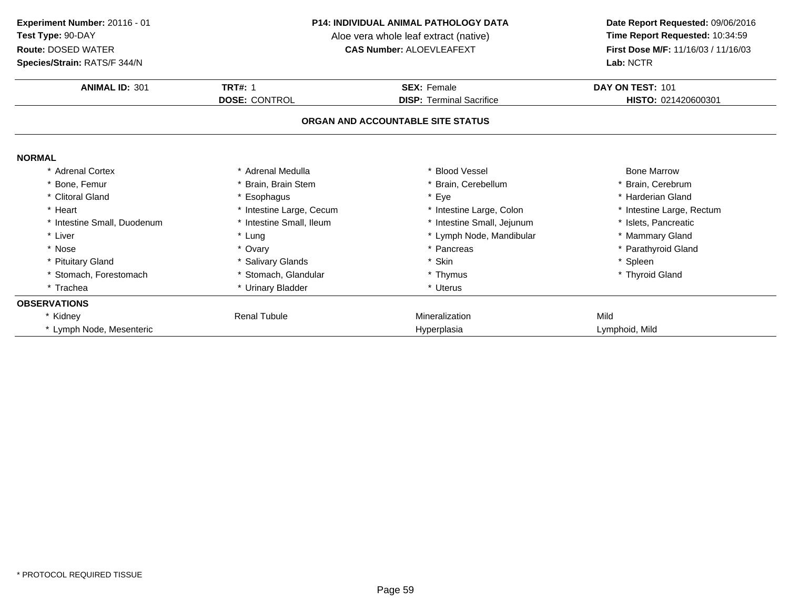**Species/Strain:** RATS/F 344/N

#### **P14: INDIVIDUAL ANIMAL PATHOLOGY DATA**

Aloe vera whole leaf extract (native)<br>**CAS Number:** ALOEVLEAFEXT

| <b>Species/Strain: RATS/F 344/N</b> |                          | Lab: NCTR                         |                           |  |
|-------------------------------------|--------------------------|-----------------------------------|---------------------------|--|
| <b>ANIMAL ID: 301</b>               | <b>TRT#: 1</b>           | <b>SEX: Female</b>                | DAY ON TEST: 101          |  |
|                                     | <b>DOSE: CONTROL</b>     | <b>DISP: Terminal Sacrifice</b>   | HISTO: 021420600301       |  |
|                                     |                          | ORGAN AND ACCOUNTABLE SITE STATUS |                           |  |
| <b>NORMAL</b>                       |                          |                                   |                           |  |
| * Adrenal Cortex                    | * Adrenal Medulla        | * Blood Vessel                    | <b>Bone Marrow</b>        |  |
| * Bone, Femur                       | Brain, Brain Stem        | * Brain, Cerebellum               | * Brain, Cerebrum         |  |
| * Clitoral Gland                    | * Esophagus              | * Eye                             | * Harderian Gland         |  |
| * Heart                             | * Intestine Large, Cecum | * Intestine Large, Colon          | * Intestine Large, Rectum |  |
| * Intestine Small, Duodenum         | * Intestine Small, Ileum | * Intestine Small, Jejunum        | * Islets, Pancreatic      |  |
| * Liver                             | * Lung                   | * Lymph Node, Mandibular          | * Mammary Gland           |  |
| * Nose                              | * Ovary                  | * Pancreas                        | * Parathyroid Gland       |  |
| * Pituitary Gland                   | * Salivary Glands        | * Skin                            | * Spleen                  |  |
| * Stomach, Forestomach              | * Stomach, Glandular     | * Thymus                          | * Thyroid Gland           |  |
| * Trachea                           | * Urinary Bladder        | * Uterus                          |                           |  |
| <b>OBSERVATIONS</b>                 |                          |                                   |                           |  |
| * Kidney                            | <b>Renal Tubule</b>      | Mineralization                    | Mild                      |  |
| * Lymph Node, Mesenteric            |                          | Hyperplasia                       | Lymphoid, Mild            |  |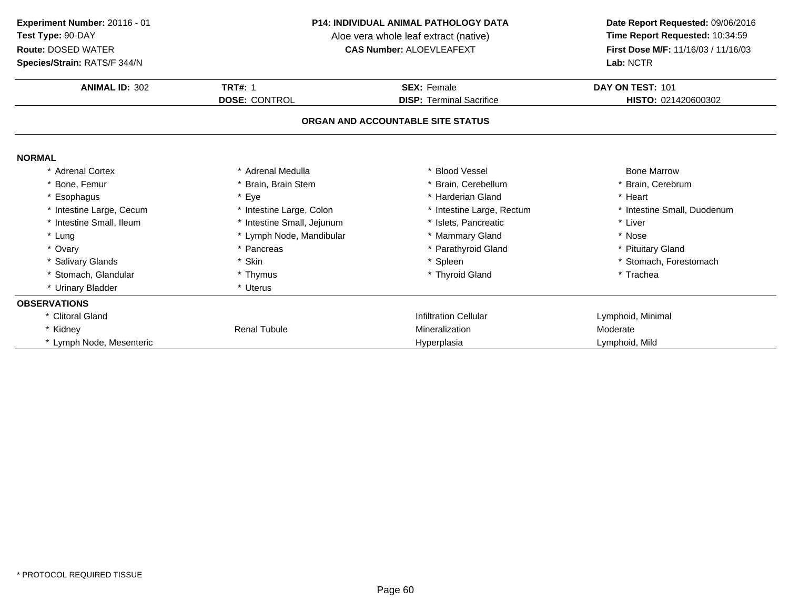**Species/Strain:** RATS/F 344/N

#### **P14: INDIVIDUAL ANIMAL PATHOLOGY DATA**

Aloe vera whole leaf extract (native)<br>**CAS Number:** ALOEVLEAFEXT

| Species/Strain: RATS/F 344/N |                            |                                   | Lab: NCTR                   |
|------------------------------|----------------------------|-----------------------------------|-----------------------------|
| <b>ANIMAL ID: 302</b>        | <b>TRT#: 1</b>             | <b>SEX: Female</b>                | DAY ON TEST: 101            |
|                              | <b>DOSE: CONTROL</b>       | <b>DISP: Terminal Sacrifice</b>   | HISTO: 021420600302         |
|                              |                            | ORGAN AND ACCOUNTABLE SITE STATUS |                             |
| <b>NORMAL</b>                |                            |                                   |                             |
| * Adrenal Cortex             | * Adrenal Medulla          | <b>Blood Vessel</b>               | <b>Bone Marrow</b>          |
| * Bone, Femur                | Brain, Brain Stem          | Brain, Cerebellum                 | Brain, Cerebrum             |
| * Esophagus                  | * Eye                      | * Harderian Gland                 | * Heart                     |
| * Intestine Large, Cecum     | * Intestine Large, Colon   | * Intestine Large, Rectum         | * Intestine Small, Duodenum |
| * Intestine Small, Ileum     | * Intestine Small, Jejunum | * Islets, Pancreatic              | * Liver                     |
| * Lung                       | * Lymph Node, Mandibular   | * Mammary Gland                   | * Nose                      |
| * Ovary                      | * Pancreas                 | * Parathyroid Gland               | * Pituitary Gland           |
| * Salivary Glands            | * Skin                     | * Spleen                          | * Stomach, Forestomach      |
| * Stomach, Glandular         | * Thymus                   | * Thyroid Gland                   | * Trachea                   |
| * Urinary Bladder            | * Uterus                   |                                   |                             |
| <b>OBSERVATIONS</b>          |                            |                                   |                             |
| * Clitoral Gland             |                            | <b>Infiltration Cellular</b>      | Lymphoid, Minimal           |
| * Kidney                     | <b>Renal Tubule</b>        | Mineralization                    | Moderate                    |
| * Lymph Node, Mesenteric     |                            | Hyperplasia                       | Lymphoid, Mild              |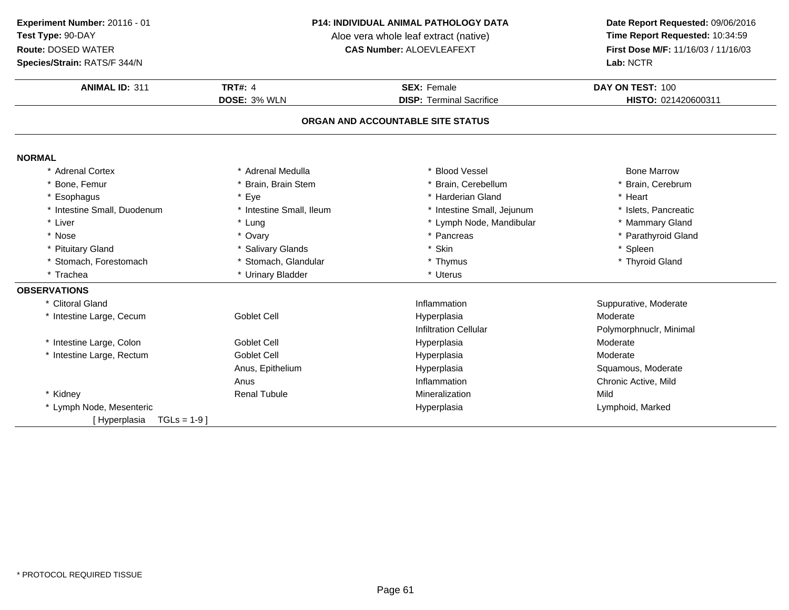**Species/Strain:** RATS/F 344/N

#### **P14: INDIVIDUAL ANIMAL PATHOLOGY DATA**

Aloe vera whole leaf extract (native)<br>**CAS Number:** ALOEVLEAFEXT

| <b>ANIMAL ID: 311</b>          | <b>TRT#: 4</b>           | <b>SEX: Female</b>                | DAY ON TEST: 100        |
|--------------------------------|--------------------------|-----------------------------------|-------------------------|
|                                | DOSE: 3% WLN             | <b>DISP: Terminal Sacrifice</b>   | HISTO: 021420600311     |
|                                |                          | ORGAN AND ACCOUNTABLE SITE STATUS |                         |
| <b>NORMAL</b>                  |                          |                                   |                         |
| * Adrenal Cortex               | * Adrenal Medulla        | * Blood Vessel                    | <b>Bone Marrow</b>      |
| * Bone, Femur                  | * Brain, Brain Stem      | * Brain, Cerebellum               | * Brain, Cerebrum       |
| * Esophagus                    | * Eye                    | * Harderian Gland                 | * Heart                 |
| * Intestine Small, Duodenum    | * Intestine Small, Ileum | * Intestine Small, Jejunum        | * Islets, Pancreatic    |
| * Liver                        | * Lung                   | * Lymph Node, Mandibular          | * Mammary Gland         |
| * Nose                         | * Ovary                  | * Pancreas                        | * Parathyroid Gland     |
| * Pituitary Gland              | * Salivary Glands        | * Skin                            | * Spleen                |
| * Stomach, Forestomach         | * Stomach, Glandular     | * Thymus                          | * Thyroid Gland         |
| * Trachea                      | * Urinary Bladder        | * Uterus                          |                         |
| <b>OBSERVATIONS</b>            |                          |                                   |                         |
| * Clitoral Gland               |                          | Inflammation                      | Suppurative, Moderate   |
| * Intestine Large, Cecum       | <b>Goblet Cell</b>       | Hyperplasia                       | Moderate                |
|                                |                          | <b>Infiltration Cellular</b>      | Polymorphnuclr, Minimal |
| * Intestine Large, Colon       | <b>Goblet Cell</b>       | Hyperplasia                       | Moderate                |
| * Intestine Large, Rectum      | <b>Goblet Cell</b>       | Hyperplasia                       | Moderate                |
|                                | Anus, Epithelium         | Hyperplasia                       | Squamous, Moderate      |
|                                | Anus                     | Inflammation                      | Chronic Active, Mild    |
| * Kidney                       | <b>Renal Tubule</b>      | Mineralization                    | Mild                    |
| * Lymph Node, Mesenteric       |                          | Hyperplasia                       | Lymphoid, Marked        |
| $TGLs = 1-9$ ]<br>[Hyperplasia |                          |                                   |                         |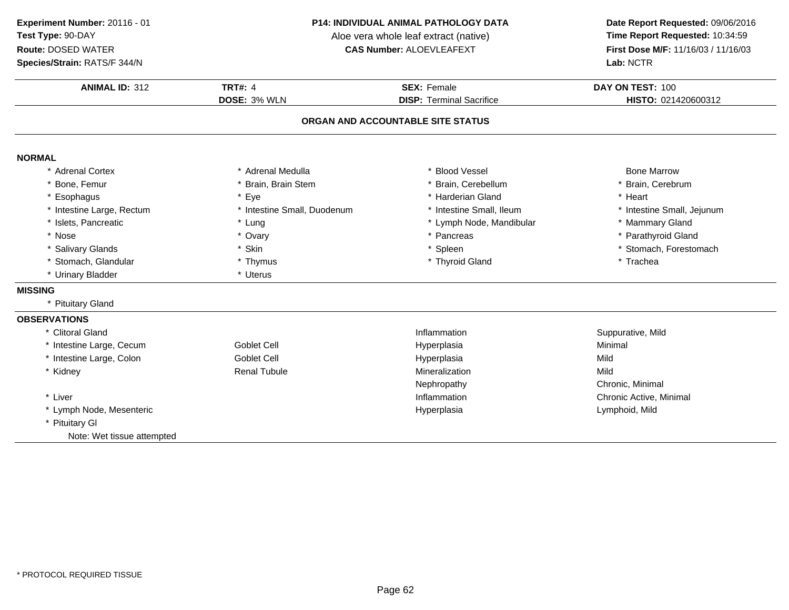**ANIMAL ID:** <sup>312</sup> **TRT#:** <sup>4</sup> **SEX:** Female **DAY ON TEST:** <sup>100</sup> **DOSE:** 3% WLN **DISP:** Terminal Sacrifice **HISTO:** <sup>021420600312</sup> **ORGAN AND ACCOUNTABLE SITE STATUSNORMAL** \* Adrenal Cortex \* Adrenal Medullaa the second vessel and the Second Vessel and the Second Bone Marrow \* Brain, Cerebrum \* Bone, Femur \* Brain, Brain Stem \* Brain, Cerebellum \* Brain, Cerebrum \* Esophaguss \* Eye e the settlement of the state of the state of the state of the state of the state of the state of the state of the state of the state of the state of the state of the state of the state of the state of the state of the sta \* Intestine Large, Rectum\* Intestine Small, Duodenum \* 1992)<br>
\* Lung \* Lymph Node, Mandibular \* Lymph Node, Mandibular \* Mammary Gland \* Islets, Pancreatic \* Lung\* Lung \* Lymph Node, Mandibular \* Mammary Gland<br>\* Ovary \* Pancreas \* Parathyroid Gland \* Nose \* Ovary \* Pancreas \* Parathyroid Gland \* Salivary Glands \* Skin\* Skin \* Spleen \* Spleen \* Spleen \* Stomach, Forestomach \* Thymus \* Stomach, Forestomach \* Thymus \* Trachea \* Stomach, Glandular **\*** Thymus \* Thyroid Gland \* Trachea \* Urinary Bladder \* Uterus **MISSING** \* Pituitary Gland**OBSERVATIONS** \* Clitoral Glandd
and
the contract of the state of the inflammation
state of the suppurative, Mild
state of the Suppurative, Mild
state of the Suppurative, Mild
state of the Suppurative, Mild
state of the Suppurative, Mild
state of the Su \* Intestine Large, Cecum Goblet Cell Hyperplasia Minimal \* Intestine Large, Colon Goblet Cell Hyperplasia Mild \* Kidney Renal Tubulee metallization metalization and the Mild Nephropathy Chronic, Minimal \* Liver \* Liver **Inflammation Inflammation**  Chronic Active, Minimal \* Lymph Node, Mesentericc and the contract of the contract of the contract of the Hyperplasia Lymphoid, Mild \* Pituitary Gl Note: Wet tissue attempted**Experiment Number:** 20116 - 01 **P14: INDIVIDUAL ANIMAL PATHOLOGY DATA Date Report Requested:** 09/06/2016 **Test Type:** 90-DAYAloe vera whole leaf extract (native)<br>**CAS Number:** ALOEVLEAFEXT **Route:** DOSED WATER**First Dose M/F:** 11/16/03 / 11/16/03<br>**Lab:** NCTR **Species/Strain:** RATS/F 344/N**Lab:** NCTR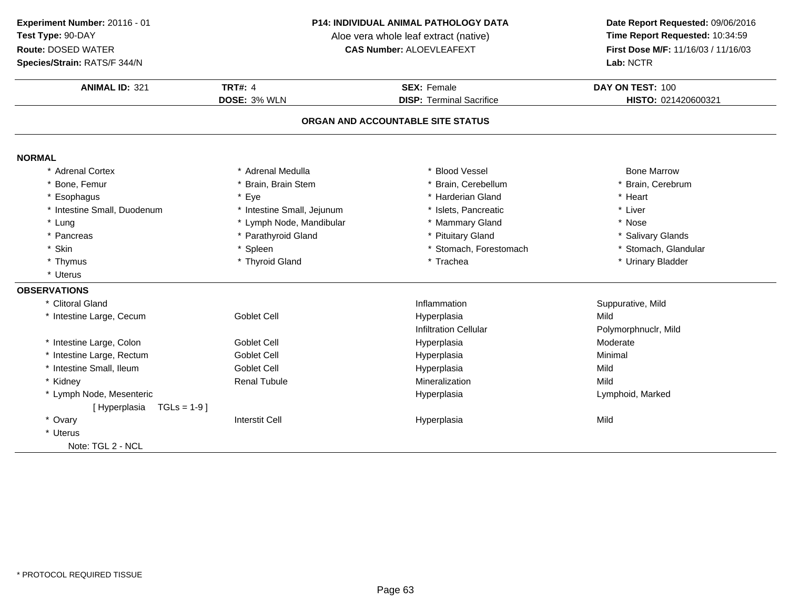**Species/Strain:** RATS/F 344/N

#### **P14: INDIVIDUAL ANIMAL PATHOLOGY DATA**

Aloe vera whole leaf extract (native)<br>**CAS Number:** ALOEVLEAFEXT

| Species/Strain: RATS/F 344/N |                            |                                   | Lab: NCTR            |
|------------------------------|----------------------------|-----------------------------------|----------------------|
| <b>ANIMAL ID: 321</b>        | <b>TRT#: 4</b>             | <b>SEX: Female</b>                | DAY ON TEST: 100     |
|                              | DOSE: 3% WLN               | <b>DISP: Terminal Sacrifice</b>   | HISTO: 021420600321  |
|                              |                            | ORGAN AND ACCOUNTABLE SITE STATUS |                      |
| <b>NORMAL</b>                |                            |                                   |                      |
| * Adrenal Cortex             | * Adrenal Medulla          | * Blood Vessel                    | <b>Bone Marrow</b>   |
| Bone, Femur                  | * Brain, Brain Stem        | * Brain, Cerebellum               | * Brain, Cerebrum    |
| Esophagus                    | * Eye                      | * Harderian Gland                 | * Heart              |
| * Intestine Small, Duodenum  | * Intestine Small, Jejunum | * Islets, Pancreatic              | * Liver              |
| * Lung                       | * Lymph Node, Mandibular   | * Mammary Gland                   | * Nose               |
| * Pancreas                   | * Parathyroid Gland        | * Pituitary Gland                 | * Salivary Glands    |
| Skin                         | * Spleen                   | * Stomach, Forestomach            | * Stomach, Glandular |
| * Thymus                     | * Thyroid Gland            | * Trachea                         | * Urinary Bladder    |
| * Uterus                     |                            |                                   |                      |
| <b>OBSERVATIONS</b>          |                            |                                   |                      |
| * Clitoral Gland             |                            | Inflammation                      | Suppurative, Mild    |
| * Intestine Large, Cecum     | <b>Goblet Cell</b>         | Hyperplasia                       | Mild                 |
|                              |                            | <b>Infiltration Cellular</b>      | Polymorphnuclr, Mild |
| * Intestine Large, Colon     | <b>Goblet Cell</b>         | Hyperplasia                       | Moderate             |
| * Intestine Large, Rectum    | <b>Goblet Cell</b>         | Hyperplasia                       | Minimal              |
| * Intestine Small, Ileum     | <b>Goblet Cell</b>         | Hyperplasia                       | Mild                 |
| * Kidney                     | <b>Renal Tubule</b>        | Mineralization                    | Mild                 |
| * Lymph Node, Mesenteric     |                            | Hyperplasia                       | Lymphoid, Marked     |
| [Hyperplasia TGLs = 1-9]     |                            |                                   |                      |
| * Ovary                      | <b>Interstit Cell</b>      | Hyperplasia                       | Mild                 |
| * Uterus                     |                            |                                   |                      |
| Note: TGL 2 - NCL            |                            |                                   |                      |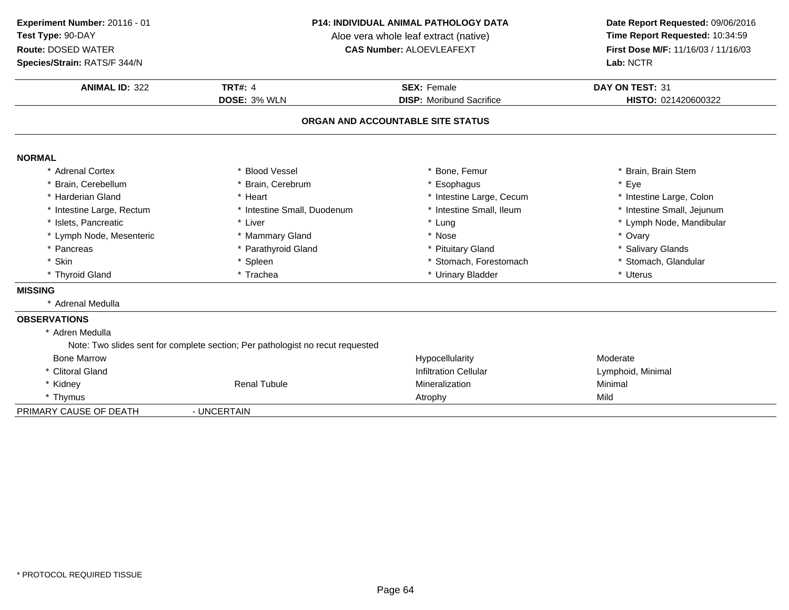**ANIMAL ID:** <sup>322</sup> **TRT#:** <sup>4</sup> **SEX:** Female **DAY ON TEST:** <sup>31</sup> **DOSE:** 3% WLN **DISP:** Moribund Sacrifice **HISTO:** <sup>021420600322</sup> **ORGAN AND ACCOUNTABLE SITE STATUSNORMAL** \* Adrenal Cortexx \* Blood Vessel \* \* Bone, Femur \* Bone, Femur \* \* Brain, Brain Stem \* Brain, Cerebellum \* Brain, Cerebrum \* Esophagus \* Eye \* Harderian Gland\* Heart \* Heart \* Intestine Large, Cecum<br>\* Intestine Small. Duodenum \* \* Intestine Small. Ileum \* Intestine Large, Colon<br>\* Intestine Small, Jejunum \* Intestine Large, Rectum\* Intestine Small, Duodenum \* 1ntestine Small, Duodenum \* Intestine Small, Intesting \* Intesting \* Intesting \* Intesting \* Intesting \* Intesting \* Intesting \* Intesting \* Intesting \* Intesting \* Intesting \* Intesting \* Int \* Islets, Pancreaticc \* Liver \* Liver \* Lung \* Lymph Node, Mandibular \* Lymph Node, Mesenteric \* Mammary Gland \* Nose \* Ovary \* Pancreas \* Parathyroid Gland\* Pituitary Gland<br>
\* Stomach, Forestomach<br>
\* Stomach, Glandular \* Skinn that is the set of the Spleen term in the store of the store of the store of the store of the store of the store of the store of the store of the store of the store of the store of the store of the store of the store of \* Thyroid Glandd **a** \* Trachea \* Trachea \* \* Urinary Bladder \* Urinary Bradder \* \* Uterus **MISSING** \* Adrenal Medulla**OBSERVATIONS** \* Adren Medulla Note: Two slides sent for complete section; Per pathologist no recut requestedBone Marroww metal control of the extension of the Hypocellularity and the Moderate Moderate \* Clitoral Gland Infiltration Cellular Lymphoid, Minimal \* Kidney Renal Tubulee Mineralization e Minimal \* Thymuss and the contract of the contract of the contract of the contract of the contract of the contract of the contract of the contract of the contract of the contract of the contract of the contract of the contract of the cont PRIMARY CAUSE OF DEATH - UNCERTAIN **Experiment Number:** 20116 - 01 **P14: INDIVIDUAL ANIMAL PATHOLOGY DATA Date Report Requested:** 09/06/2016 **Test Type:** 90-DAYAloe vera whole leaf extract (native)<br>**CAS Number:** ALOEVLEAFEXT **Route:** DOSED WATER**First Dose M/F:** 11/16/03 / 11/16/03<br>**Lab:** NCTR **Species/Strain:** RATS/F 344/N**Lab:** NCTR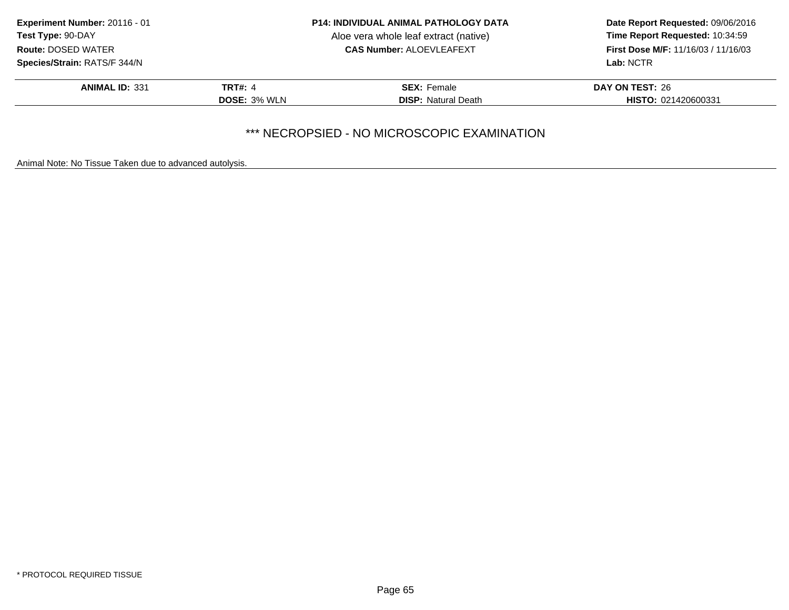| <b>Experiment Number: 20116 - 01</b> | <b>P14: INDIVIDUAL ANIMAL PATHOLOGY DATA</b> |                                       | Date Report Requested: 09/06/2016                                             |  |
|--------------------------------------|----------------------------------------------|---------------------------------------|-------------------------------------------------------------------------------|--|
| Test Type: 90-DAY                    |                                              | Aloe vera whole leaf extract (native) | Time Report Requested: 10:34:59<br><b>First Dose M/F: 11/16/03 / 11/16/03</b> |  |
| <b>Route: DOSED WATER</b>            |                                              | <b>CAS Number: ALOEVLEAFEXT</b>       |                                                                               |  |
| Species/Strain: RATS/F 344/N         |                                              |                                       | <b>Lab: NCTR</b>                                                              |  |
| <b>ANIMAL ID: 331</b>                | <b>TRT#: 4</b>                               | <b>SEX: Female</b>                    | DAY ON TEST: 26                                                               |  |
|                                      | <b>DOSE: 3% WLN</b>                          | <b>DISP: Natural Death</b>            | <b>HISTO: 021420600331</b>                                                    |  |

### \*\*\* NECROPSIED - NO MICROSCOPIC EXAMINATION

Animal Note: No Tissue Taken due to advanced autolysis.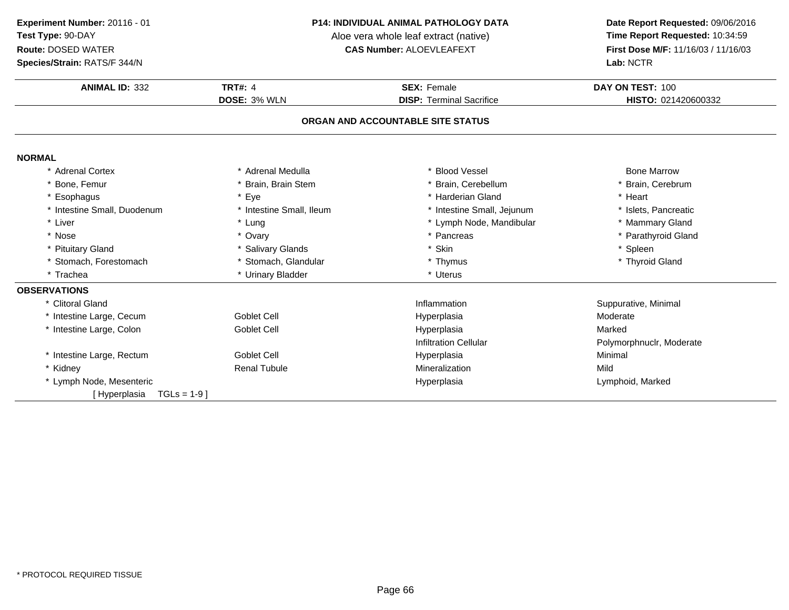**Species/Strain:** RATS/F 344/N

#### **P14: INDIVIDUAL ANIMAL PATHOLOGY DATA**

Aloe vera whole leaf extract (native)<br>**CAS Number:** ALOEVLEAFEXT

| <b>ANIMAL ID: 332</b>          | <b>TRT#: 4</b>           | <b>SEX: Female</b>                | DAY ON TEST: 100         |
|--------------------------------|--------------------------|-----------------------------------|--------------------------|
|                                | DOSE: 3% WLN             | <b>DISP: Terminal Sacrifice</b>   | HISTO: 021420600332      |
|                                |                          | ORGAN AND ACCOUNTABLE SITE STATUS |                          |
|                                |                          |                                   |                          |
| <b>NORMAL</b>                  |                          |                                   |                          |
| * Adrenal Cortex               | * Adrenal Medulla        | <b>Blood Vessel</b>               | <b>Bone Marrow</b>       |
| * Bone, Femur                  | * Brain, Brain Stem      | Brain, Cerebellum                 | * Brain, Cerebrum        |
| * Esophagus                    | * Eye                    | * Harderian Gland                 | * Heart                  |
| * Intestine Small, Duodenum    | * Intestine Small, Ileum | * Intestine Small, Jejunum        | * Islets, Pancreatic     |
| * Liver                        | * Lung                   | * Lymph Node, Mandibular          | * Mammary Gland          |
| * Nose                         | * Ovary                  | * Pancreas                        | * Parathyroid Gland      |
| * Pituitary Gland              | * Salivary Glands        | * Skin                            | * Spleen                 |
| * Stomach, Forestomach         | * Stomach, Glandular     | * Thymus                          | * Thyroid Gland          |
| * Trachea                      | * Urinary Bladder        | * Uterus                          |                          |
| <b>OBSERVATIONS</b>            |                          |                                   |                          |
| * Clitoral Gland               |                          | Inflammation                      | Suppurative, Minimal     |
| * Intestine Large, Cecum       | <b>Goblet Cell</b>       | Hyperplasia                       | Moderate                 |
| * Intestine Large, Colon       | <b>Goblet Cell</b>       | Hyperplasia                       | Marked                   |
|                                |                          | <b>Infiltration Cellular</b>      | Polymorphnuclr, Moderate |
| * Intestine Large, Rectum      | Goblet Cell              | Hyperplasia                       | Minimal                  |
| * Kidney                       | <b>Renal Tubule</b>      | Mineralization                    | Mild                     |
| * Lymph Node, Mesenteric       |                          | Hyperplasia                       | Lymphoid, Marked         |
| $TGLs = 1-9$ ]<br>[Hyperplasia |                          |                                   |                          |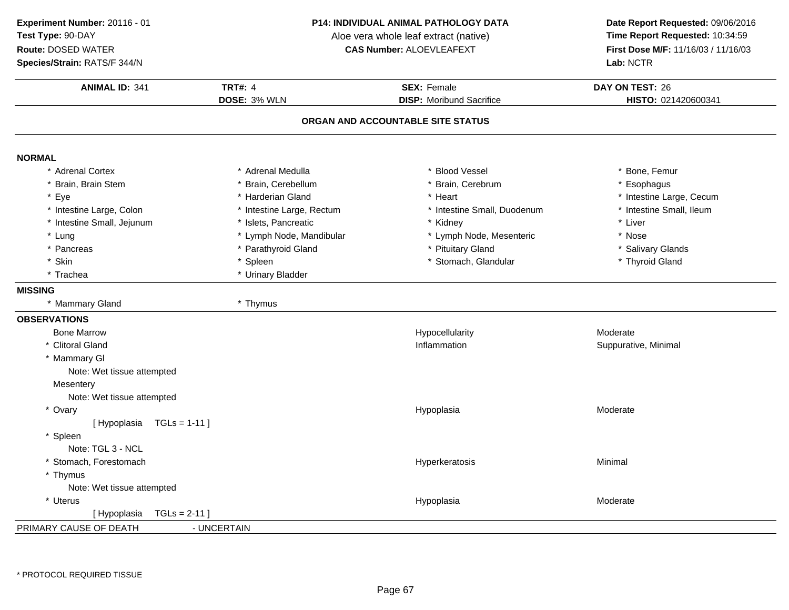**ANIMAL ID:** <sup>341</sup> **TRT#:** <sup>4</sup> **SEX:** Female **DAY ON TEST:** <sup>26</sup> **DOSE:** 3% WLN **DISP:** Moribund Sacrifice **HISTO:** <sup>021420600341</sup> **ORGAN AND ACCOUNTABLE SITE STATUSNORMAL** \* Adrenal Cortex\* Adrenal Medulla<br>\* Brain, Cerebellum a the second vessel that the second vertex  $\sim$  \* Bone, Femur \* Brain, Brain Stem \* Brain, Cerebellum \* Brain, Cerebrum \* Esophagus \* Eyee the second of the second term in the second term in the second term in the second term in the second term in the second term in the second term in the second term in the second term in the second term in the second term \* Intestine Small, Ileum \* Intestine Large, Colon\* Intestine Large, Rectum<br>\* Islets, Pancreatic \* Intestine Small, Duodenum \* \* Intest<br>\* Kidney \* \* Liver \* Intestine Small, Jejunum \* Islets, Pancreatic \* Kidney \* Liver \* Lung\* Lymph Node, Mandibular \* 1990 \* Lymph Node, Mesenteric \* \* Nose \* Nose \* Parathyroid Gland \* Saliva \* Pancreas \* Parathyroid Gland\* Pituitary Gland<br>
\* Stomach, Glandular<br>
\* Thyroid Gland<br>
\* Thyroid Gland \* Skinn the stormach, Glandular the stormach of the stormach of the stormach, Glandular the stormach of the stormach \* Trachea \* Urinary Bladder **MISSING** \* Mammary Gland \* Thymus **OBSERVATIONS** Bone Marroww metal control of the Hypocellularity and the Moderate Moderate Moderate \* Clitoral GlandInflammation **Suppurative**, Minimal \* Mammary Gl Note: Wet tissue attempted**Mesentery**  Note: Wet tissue attempted\* Ovaryy and the contract of the contract of the contract of the contract of the contract of the contract of the contract of the contract of the contract of the contract of the contract of the contract of the contract of the cont Hypoplasia Moderate [ Hypoplasia TGLs = 1-11 ]\* Spleen Note: TGL 3 - NCL \* Stomach, Forestomachh ann an t-ainmeile ann an t-ainmeile ann an t-ainmeile an t-ainmeile an t-ainmeile an t-ainmeile an t-ainmeil \* Thymus Note: Wet tissue attempted**Experiment Number:** 20116 - 01 **P14: INDIVIDUAL ANIMAL PATHOLOGY DATA Date Report Requested:** 09/06/2016 **Test Type:** 90-DAYAloe vera whole leaf extract (native)<br>**CAS Number:** ALOEVLEAFEXT **Route:** DOSED WATER**First Dose M/F:** 11/16/03 / 11/16/03<br>**Lab:** NCTR **Species/Strain:** RATS/F 344/N**Lab:** NCTR

\* UterusHypoplasia

PRIMARY CAUSE OF DEATH- UNCERTAIN

[ Hypoplasia TGLs = 2-11 ]

Hypoplasia Moderate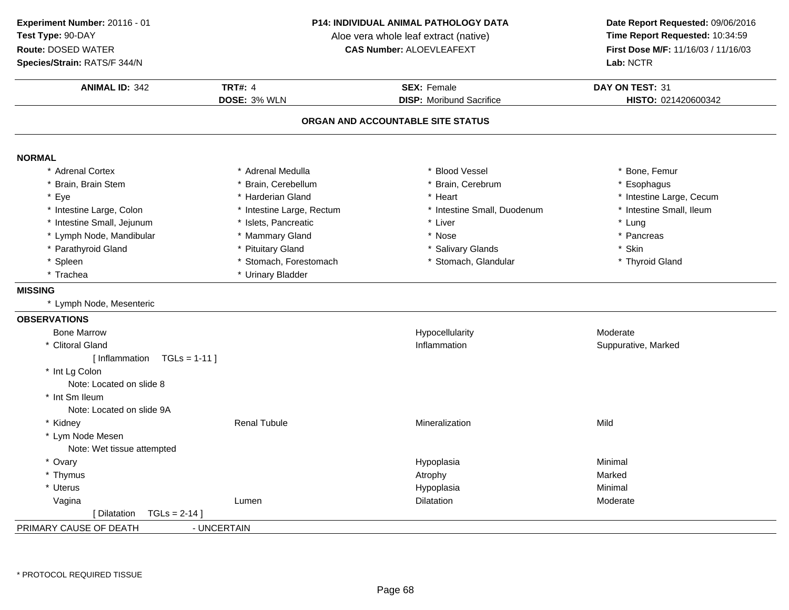#### **Species/Strain:** RATS/F 344/N

#### **P14: INDIVIDUAL ANIMAL PATHOLOGY DATA**

Aloe vera whole leaf extract (native)<br>**CAS Number:** ALOEVLEAFEXT

| <b>ANIMAL ID: 342</b>                | <b>TRT#: 4</b>            | <b>SEX: Female</b>              | DAY ON TEST: 31          |  |
|--------------------------------------|---------------------------|---------------------------------|--------------------------|--|
|                                      | DOSE: 3% WLN              | <b>DISP:</b> Moribund Sacrifice | HISTO: 021420600342      |  |
| ORGAN AND ACCOUNTABLE SITE STATUS    |                           |                                 |                          |  |
| <b>NORMAL</b>                        |                           |                                 |                          |  |
| * Adrenal Cortex                     | * Adrenal Medulla         | * Blood Vessel                  | * Bone, Femur            |  |
| * Brain, Brain Stem                  | * Brain, Cerebellum       | * Brain, Cerebrum               | * Esophagus              |  |
| * Eye                                | * Harderian Gland         | * Heart                         | * Intestine Large, Cecum |  |
| * Intestine Large, Colon             | * Intestine Large, Rectum | * Intestine Small, Duodenum     | * Intestine Small, Ileum |  |
| * Intestine Small, Jejunum           | * Islets, Pancreatic      | * Liver                         | * Lung                   |  |
| * Lymph Node, Mandibular             | * Mammary Gland           | * Nose                          | * Pancreas               |  |
| * Parathyroid Gland                  | * Pituitary Gland         | * Salivary Glands               | * Skin                   |  |
| * Spleen                             | * Stomach, Forestomach    | * Stomach, Glandular            | * Thyroid Gland          |  |
| * Trachea                            | * Urinary Bladder         |                                 |                          |  |
| <b>MISSING</b>                       |                           |                                 |                          |  |
| * Lymph Node, Mesenteric             |                           |                                 |                          |  |
| <b>OBSERVATIONS</b>                  |                           |                                 |                          |  |
| <b>Bone Marrow</b>                   |                           | Hypocellularity                 | Moderate                 |  |
| * Clitoral Gland                     |                           | Inflammation                    | Suppurative, Marked      |  |
| [Inflammation TGLs = 1-11]           |                           |                                 |                          |  |
| * Int Lg Colon                       |                           |                                 |                          |  |
| Note: Located on slide 8             |                           |                                 |                          |  |
| * Int Sm Ileum                       |                           |                                 |                          |  |
| Note: Located on slide 9A            |                           |                                 |                          |  |
| * Kidney                             | <b>Renal Tubule</b>       | Mineralization                  | Mild                     |  |
| * Lym Node Mesen                     |                           |                                 |                          |  |
| Note: Wet tissue attempted           |                           |                                 |                          |  |
| * Ovary                              |                           | Hypoplasia                      | Minimal                  |  |
| * Thymus                             |                           | Atrophy                         | Marked                   |  |
| * Uterus                             |                           | Hypoplasia                      | Minimal                  |  |
| Vagina                               | Lumen                     | Dilatation                      | Moderate                 |  |
| $TGLs = 2-14$<br><b>I</b> Dilatation |                           |                                 |                          |  |
| PRIMARY CAUSE OF DEATH               | - UNCERTAIN               |                                 |                          |  |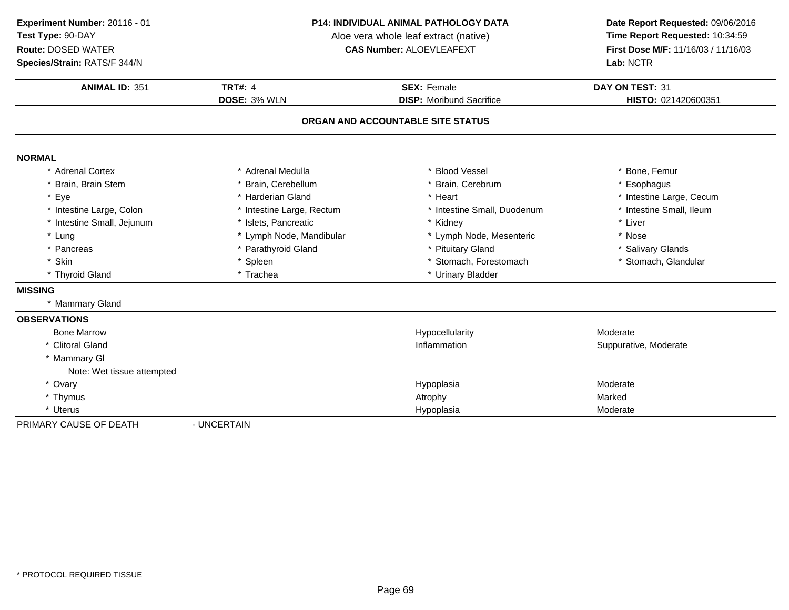**Species/Strain:** RATS/F 344/N

#### **P14: INDIVIDUAL ANIMAL PATHOLOGY DATA**

Aloe vera whole leaf extract (native)<br>**CAS Number:** ALOEVLEAFEXT

| <b>ANIMAL ID: 351</b>      | <b>TRT#: 4</b>            | <b>SEX: Female</b>                | DAY ON TEST: 31          |
|----------------------------|---------------------------|-----------------------------------|--------------------------|
|                            | DOSE: 3% WLN              | <b>DISP:</b> Moribund Sacrifice   | HISTO: 021420600351      |
|                            |                           | ORGAN AND ACCOUNTABLE SITE STATUS |                          |
| <b>NORMAL</b>              |                           |                                   |                          |
| * Adrenal Cortex           | * Adrenal Medulla         | * Blood Vessel                    | * Bone, Femur            |
| * Brain, Brain Stem        | * Brain, Cerebellum       | * Brain, Cerebrum                 | * Esophagus              |
| * Eye                      | * Harderian Gland         | * Heart                           | * Intestine Large, Cecum |
| * Intestine Large, Colon   | * Intestine Large, Rectum | * Intestine Small, Duodenum       | * Intestine Small, Ileum |
| * Intestine Small, Jejunum | * Islets, Pancreatic      | * Kidney                          | * Liver                  |
| * Lung                     | * Lymph Node, Mandibular  | * Lymph Node, Mesenteric          | * Nose                   |
| * Pancreas                 | * Parathyroid Gland       | * Pituitary Gland                 | * Salivary Glands        |
| * Skin                     | * Spleen                  | * Stomach, Forestomach            | * Stomach, Glandular     |
| * Thyroid Gland            | * Trachea                 | * Urinary Bladder                 |                          |
| <b>MISSING</b>             |                           |                                   |                          |
| * Mammary Gland            |                           |                                   |                          |
| <b>OBSERVATIONS</b>        |                           |                                   |                          |
| <b>Bone Marrow</b>         |                           | Hypocellularity                   | Moderate                 |
| * Clitoral Gland           |                           | Inflammation                      | Suppurative, Moderate    |
| * Mammary GI               |                           |                                   |                          |
| Note: Wet tissue attempted |                           |                                   |                          |
| * Ovary                    |                           | Hypoplasia                        | Moderate                 |
| * Thymus                   |                           | Atrophy                           | Marked                   |
| * Uterus                   |                           | Hypoplasia                        | Moderate                 |
| PRIMARY CAUSE OF DEATH     | - UNCERTAIN               |                                   |                          |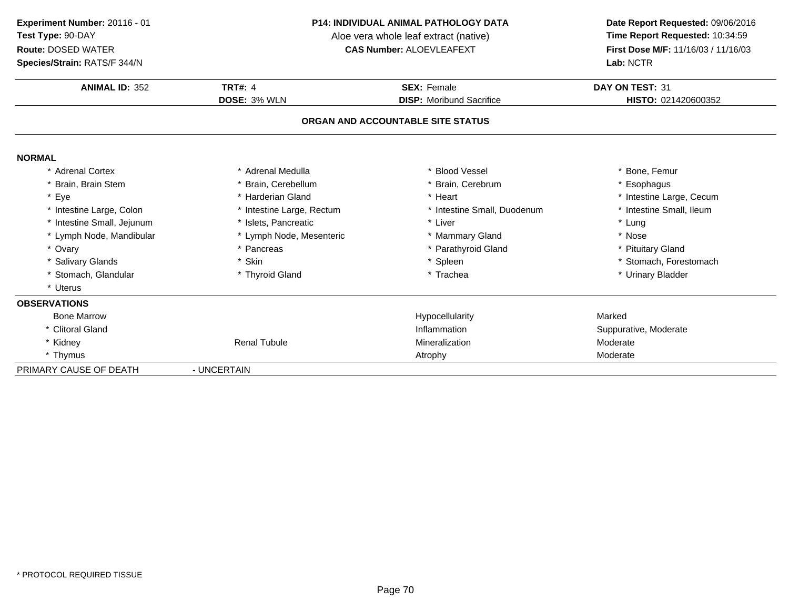### **Species/Strain:** RATS/F 344/N

#### **P14: INDIVIDUAL ANIMAL PATHOLOGY DATA**

Aloe vera whole leaf extract (native)<br>**CAS Number:** ALOEVLEAFEXT

| Species/Strain: RATS/F 344/N |                           |                                   | Lab: NCTR                |
|------------------------------|---------------------------|-----------------------------------|--------------------------|
| <b>ANIMAL ID: 352</b>        | <b>TRT#: 4</b>            | <b>SEX: Female</b>                | DAY ON TEST: 31          |
|                              | DOSE: 3% WLN              | <b>DISP:</b> Moribund Sacrifice   | HISTO: 021420600352      |
|                              |                           | ORGAN AND ACCOUNTABLE SITE STATUS |                          |
| <b>NORMAL</b>                |                           |                                   |                          |
| * Adrenal Cortex             | * Adrenal Medulla         | * Blood Vessel                    | * Bone, Femur            |
| * Brain, Brain Stem          | * Brain, Cerebellum       | * Brain, Cerebrum                 | * Esophagus              |
| * Eye                        | * Harderian Gland         | * Heart                           | * Intestine Large, Cecum |
| * Intestine Large, Colon     | * Intestine Large, Rectum | * Intestine Small, Duodenum       | * Intestine Small, Ileum |
| * Intestine Small, Jejunum   | * Islets. Pancreatic      | * Liver                           | * Lung                   |
| * Lymph Node, Mandibular     | * Lymph Node, Mesenteric  | * Mammary Gland                   | * Nose                   |
| * Ovary                      | * Pancreas                | * Parathyroid Gland               | * Pituitary Gland        |
| * Salivary Glands            | * Skin                    | * Spleen                          | * Stomach, Forestomach   |
| * Stomach, Glandular         | * Thyroid Gland           | * Trachea                         | * Urinary Bladder        |
| * Uterus                     |                           |                                   |                          |
| <b>OBSERVATIONS</b>          |                           |                                   |                          |
| <b>Bone Marrow</b>           |                           | Hypocellularity                   | Marked                   |
| * Clitoral Gland             |                           | Inflammation                      | Suppurative, Moderate    |
| * Kidney                     | <b>Renal Tubule</b>       | Mineralization                    | Moderate                 |
| * Thymus                     |                           | Atrophy                           | Moderate                 |
| PRIMARY CAUSE OF DEATH       | - UNCERTAIN               |                                   |                          |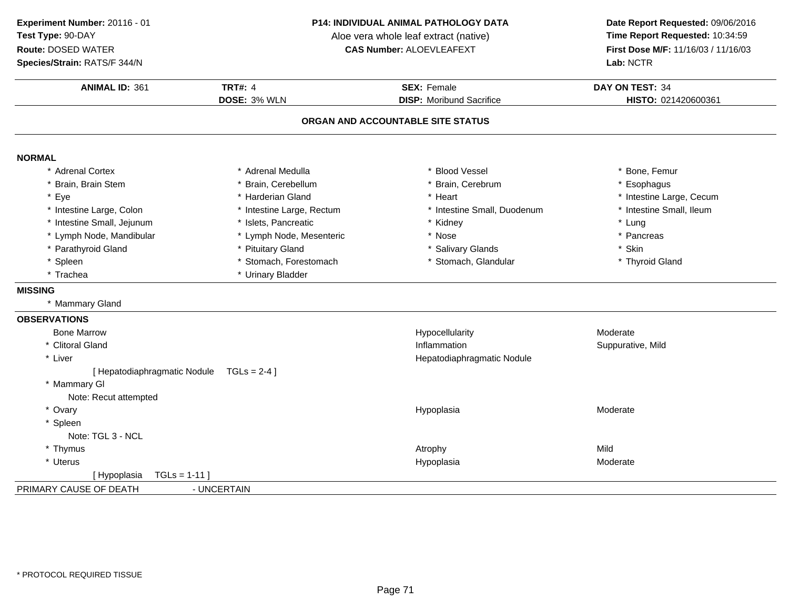**Experiment Number:** 20116 - 01**Test Type:** 90-DAY

### **Route:** DOSED WATER

**Species/Strain:** RATS/F 344/N

#### **P14: INDIVIDUAL ANIMAL PATHOLOGY DATA**

Aloe vera whole leaf extract (native)<br>**CAS Number:** ALOEVLEAFEXT

| <b>ANIMAL ID: 361</b>        | <b>TRT#: 4</b><br>DOSE: 3% WLN | <b>SEX: Female</b><br><b>DISP:</b> Moribund Sacrifice | DAY ON TEST: 34          |
|------------------------------|--------------------------------|-------------------------------------------------------|--------------------------|
|                              |                                |                                                       | HISTO: 021420600361      |
|                              |                                | ORGAN AND ACCOUNTABLE SITE STATUS                     |                          |
| <b>NORMAL</b>                |                                |                                                       |                          |
| * Adrenal Cortex             | * Adrenal Medulla              | * Blood Vessel                                        | * Bone, Femur            |
| * Brain, Brain Stem          | * Brain, Cerebellum            | * Brain, Cerebrum                                     | * Esophagus              |
| Eye                          | * Harderian Gland              | * Heart                                               | * Intestine Large, Cecum |
| * Intestine Large, Colon     | * Intestine Large, Rectum      | * Intestine Small, Duodenum                           | * Intestine Small, Ileum |
| Intestine Small, Jejunum     | * Islets, Pancreatic           | * Kidney                                              | * Lung                   |
| * Lymph Node, Mandibular     | * Lymph Node, Mesenteric       | * Nose                                                | * Pancreas               |
| * Parathyroid Gland          | * Pituitary Gland              | * Salivary Glands                                     | * Skin                   |
| * Spleen                     | * Stomach, Forestomach         | * Stomach, Glandular                                  | * Thyroid Gland          |
| * Trachea                    | * Urinary Bladder              |                                                       |                          |
| <b>MISSING</b>               |                                |                                                       |                          |
| * Mammary Gland              |                                |                                                       |                          |
| <b>OBSERVATIONS</b>          |                                |                                                       |                          |
| <b>Bone Marrow</b>           |                                | Hypocellularity                                       | Moderate                 |
| * Clitoral Gland             |                                | Inflammation                                          | Suppurative, Mild        |
| * Liver                      |                                | Hepatodiaphragmatic Nodule                            |                          |
| [ Hepatodiaphragmatic Nodule | $TGLS = 2-4$ ]                 |                                                       |                          |
| * Mammary GI                 |                                |                                                       |                          |
| Note: Recut attempted        |                                |                                                       |                          |
| * Ovary                      |                                | Hypoplasia                                            | Moderate                 |
| * Spleen                     |                                |                                                       |                          |
| Note: TGL 3 - NCL            |                                |                                                       |                          |
| * Thymus                     |                                | Atrophy                                               | Mild                     |
| * Uterus                     |                                | Hypoplasia                                            | Moderate                 |
| $TGLs = 1-11$<br>[Hypoplasia |                                |                                                       |                          |
| PRIMARY CAUSE OF DEATH       | - UNCERTAIN                    |                                                       |                          |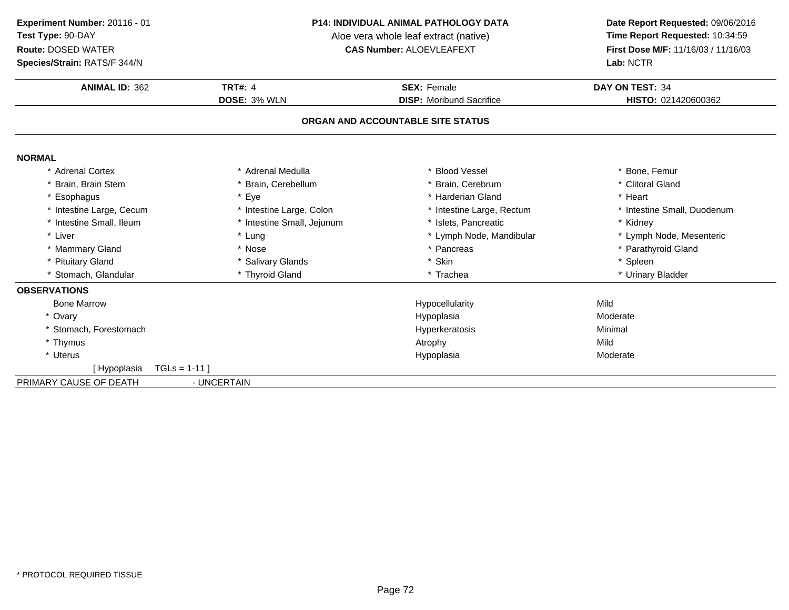**Species/Strain:** RATS/F 344/N

#### **P14: INDIVIDUAL ANIMAL PATHOLOGY DATA**

Aloe vera whole leaf extract (native)<br>**CAS Number:** ALOEVLEAFEXT

| <b>ANIMAL ID: 362</b>        | <b>TRT#: 4</b>             | <b>SEX: Female</b>                | DAY ON TEST: 34             |
|------------------------------|----------------------------|-----------------------------------|-----------------------------|
|                              | <b>DOSE: 3% WLN</b>        | <b>DISP:</b> Moribund Sacrifice   | HISTO: 021420600362         |
|                              |                            | ORGAN AND ACCOUNTABLE SITE STATUS |                             |
| <b>NORMAL</b>                |                            |                                   |                             |
| * Adrenal Cortex             | Adrenal Medulla            | * Blood Vessel                    | * Bone, Femur               |
| Brain, Brain Stem            | * Brain, Cerebellum        | * Brain, Cerebrum                 | * Clitoral Gland            |
| Esophagus                    | * Eye                      | * Harderian Gland                 | * Heart                     |
| * Intestine Large, Cecum     | * Intestine Large, Colon   | * Intestine Large, Rectum         | * Intestine Small, Duodenum |
| * Intestine Small, Ileum     | * Intestine Small, Jejunum | * Islets. Pancreatic              | * Kidney                    |
| * Liver                      | * Lung                     | * Lymph Node, Mandibular          | * Lymph Node, Mesenteric    |
| * Mammary Gland              | * Nose                     | * Pancreas                        | * Parathyroid Gland         |
| <b>Pituitary Gland</b>       | * Salivary Glands          | * Skin                            | * Spleen                    |
| * Stomach, Glandular         | * Thyroid Gland            | * Trachea                         | * Urinary Bladder           |
| <b>OBSERVATIONS</b>          |                            |                                   |                             |
| <b>Bone Marrow</b>           |                            | Hypocellularity                   | Mild                        |
| * Ovary                      |                            | Hypoplasia                        | Moderate                    |
| * Stomach. Forestomach       |                            | Hyperkeratosis                    | Minimal                     |
| * Thymus                     |                            | Atrophy                           | Mild                        |
| * Uterus                     |                            | Hypoplasia                        | Moderate                    |
| $TGLs = 1-11$<br>[Hypoplasia |                            |                                   |                             |
| PRIMARY CAUSE OF DEATH       | - UNCERTAIN                |                                   |                             |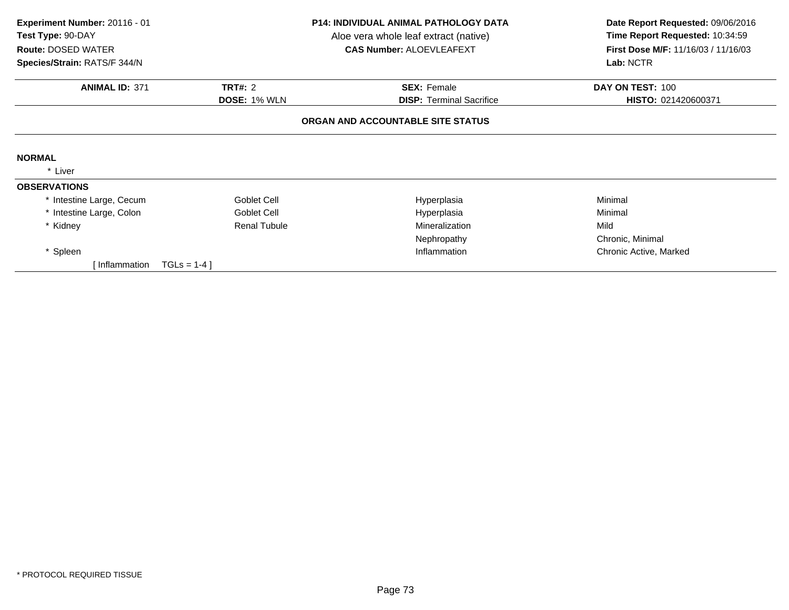| Experiment Number: 20116 - 01<br>Test Type: 90-DAY<br><b>Route: DOSED WATER</b><br>Species/Strain: RATS/F 344/N | <b>P14: INDIVIDUAL ANIMAL PATHOLOGY DATA</b><br>Aloe vera whole leaf extract (native)<br><b>CAS Number: ALOEVLEAFEXT</b> |                                   | Date Report Requested: 09/06/2016<br>Time Report Requested: 10:34:59<br>First Dose M/F: 11/16/03 / 11/16/03<br>Lab: NCTR |  |
|-----------------------------------------------------------------------------------------------------------------|--------------------------------------------------------------------------------------------------------------------------|-----------------------------------|--------------------------------------------------------------------------------------------------------------------------|--|
| <b>ANIMAL ID: 371</b>                                                                                           | <b>TRT#: 2</b>                                                                                                           | <b>SEX: Female</b>                | DAY ON TEST: 100                                                                                                         |  |
|                                                                                                                 | <b>DOSE: 1% WLN</b>                                                                                                      | <b>DISP: Terminal Sacrifice</b>   | HISTO: 021420600371                                                                                                      |  |
|                                                                                                                 |                                                                                                                          | ORGAN AND ACCOUNTABLE SITE STATUS |                                                                                                                          |  |
| <b>NORMAL</b>                                                                                                   |                                                                                                                          |                                   |                                                                                                                          |  |
| Liver                                                                                                           |                                                                                                                          |                                   |                                                                                                                          |  |
| <b>OBSERVATIONS</b>                                                                                             |                                                                                                                          |                                   |                                                                                                                          |  |
| * Intestine Large, Cecum                                                                                        | Goblet Cell                                                                                                              | Hyperplasia                       | Minimal                                                                                                                  |  |
| * Intestine Large, Colon                                                                                        | Goblet Cell                                                                                                              | Hyperplasia                       | Minimal                                                                                                                  |  |
| * Kidney                                                                                                        | <b>Renal Tubule</b>                                                                                                      | Mineralization                    | Mild                                                                                                                     |  |
|                                                                                                                 |                                                                                                                          | Nephropathy                       | Chronic, Minimal                                                                                                         |  |
| * Spleen                                                                                                        |                                                                                                                          | Inflammation                      | Chronic Active, Marked                                                                                                   |  |
| Inflammation                                                                                                    | $TGLS = 1-4$                                                                                                             |                                   |                                                                                                                          |  |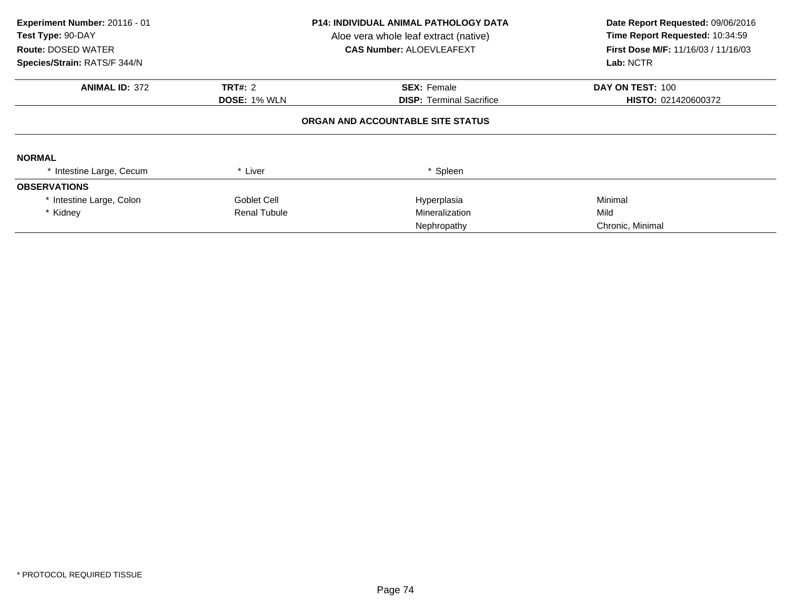| Experiment Number: 20116 - 01<br>Test Type: 90-DAY<br><b>Route: DOSED WATER</b><br>Species/Strain: RATS/F 344/N |                     | <b>P14: INDIVIDUAL ANIMAL PATHOLOGY DATA</b><br>Aloe vera whole leaf extract (native)<br><b>CAS Number: ALOEVLEAFEXT</b> | Date Report Requested: 09/06/2016<br>Time Report Requested: 10:34:59<br>First Dose M/F: 11/16/03 / 11/16/03<br>Lab: NCTR |
|-----------------------------------------------------------------------------------------------------------------|---------------------|--------------------------------------------------------------------------------------------------------------------------|--------------------------------------------------------------------------------------------------------------------------|
| <b>ANIMAL ID: 372</b>                                                                                           | <b>TRT#: 2</b>      | <b>SEX: Female</b>                                                                                                       | DAY ON TEST: 100                                                                                                         |
|                                                                                                                 | <b>DOSE: 1% WLN</b> | <b>DISP: Terminal Sacrifice</b>                                                                                          | HISTO: 021420600372                                                                                                      |
|                                                                                                                 |                     | ORGAN AND ACCOUNTABLE SITE STATUS                                                                                        |                                                                                                                          |
| <b>NORMAL</b>                                                                                                   |                     |                                                                                                                          |                                                                                                                          |
| * Intestine Large, Cecum                                                                                        | * Liver             | * Spleen                                                                                                                 |                                                                                                                          |
| <b>OBSERVATIONS</b>                                                                                             |                     |                                                                                                                          |                                                                                                                          |
| * Intestine Large, Colon                                                                                        | Goblet Cell         | Hyperplasia                                                                                                              | Minimal                                                                                                                  |
| * Kidney                                                                                                        | <b>Renal Tubule</b> | Mineralization                                                                                                           | Mild                                                                                                                     |
|                                                                                                                 |                     | Nephropathy                                                                                                              | Chronic, Minimal                                                                                                         |
|                                                                                                                 |                     |                                                                                                                          |                                                                                                                          |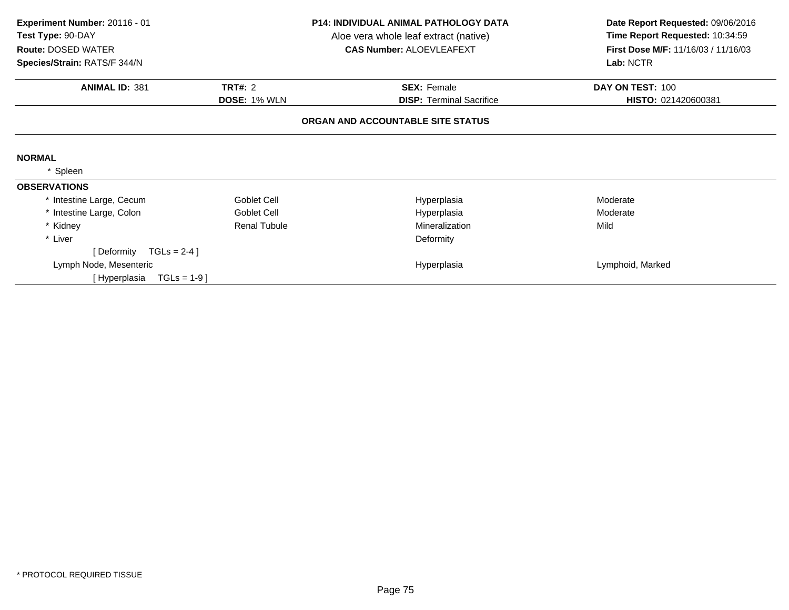| Experiment Number: 20116 - 01<br>Test Type: 90-DAY        |                     | <b>P14: INDIVIDUAL ANIMAL PATHOLOGY DATA</b><br>Aloe vera whole leaf extract (native) | Date Report Requested: 09/06/2016<br>Time Report Requested: 10:34:59 |  |
|-----------------------------------------------------------|---------------------|---------------------------------------------------------------------------------------|----------------------------------------------------------------------|--|
| <b>Route: DOSED WATER</b><br>Species/Strain: RATS/F 344/N |                     | <b>CAS Number: ALOEVLEAFEXT</b>                                                       | First Dose M/F: 11/16/03 / 11/16/03<br>Lab: NCTR                     |  |
|                                                           |                     |                                                                                       |                                                                      |  |
| <b>ANIMAL ID: 381</b>                                     | <b>TRT#: 2</b>      | <b>SEX: Female</b>                                                                    | DAY ON TEST: 100                                                     |  |
|                                                           | <b>DOSE: 1% WLN</b> | <b>DISP: Terminal Sacrifice</b>                                                       | HISTO: 021420600381                                                  |  |
|                                                           |                     | ORGAN AND ACCOUNTABLE SITE STATUS                                                     |                                                                      |  |
| <b>NORMAL</b>                                             |                     |                                                                                       |                                                                      |  |
| Spleen                                                    |                     |                                                                                       |                                                                      |  |
| <b>OBSERVATIONS</b>                                       |                     |                                                                                       |                                                                      |  |
| * Intestine Large, Cecum                                  | Goblet Cell         | Hyperplasia                                                                           | Moderate                                                             |  |
| * Intestine Large, Colon                                  | Goblet Cell         | Hyperplasia                                                                           | Moderate                                                             |  |
| * Kidney                                                  | <b>Renal Tubule</b> | Mineralization                                                                        | Mild                                                                 |  |
| * Liver                                                   |                     | Deformity                                                                             |                                                                      |  |
| [Deformity $TGLs = 2-4$ ]                                 |                     |                                                                                       |                                                                      |  |
| Lymph Node, Mesenteric                                    |                     | Hyperplasia                                                                           | Lymphoid, Marked                                                     |  |
| $TGLs = 1-9$<br>[ Hyperplasia                             |                     |                                                                                       |                                                                      |  |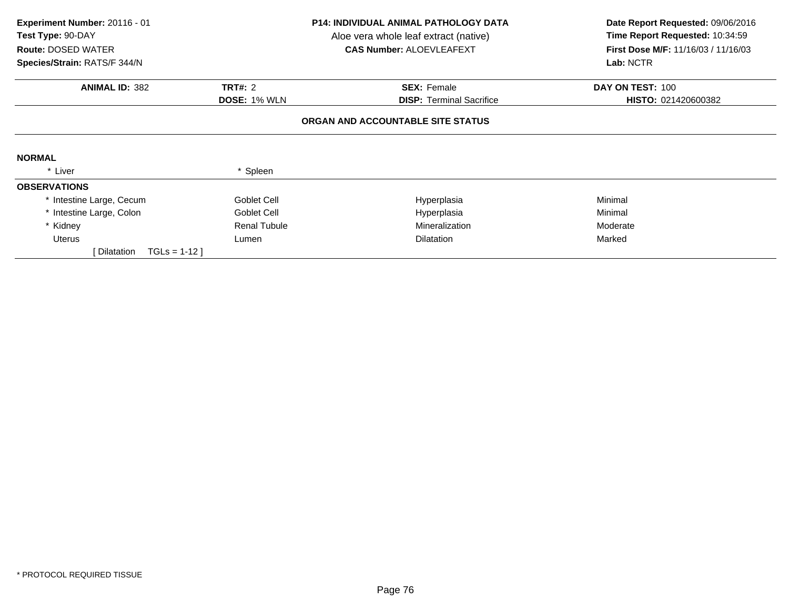| Experiment Number: 20116 - 01<br>Test Type: 90-DAY<br><b>Route: DOSED WATER</b><br>Species/Strain: RATS/F 344/N |                     | <b>P14: INDIVIDUAL ANIMAL PATHOLOGY DATA</b><br>Aloe vera whole leaf extract (native)<br><b>CAS Number: ALOEVLEAFEXT</b> | Date Report Requested: 09/06/2016<br>Time Report Requested: 10:34:59<br><b>First Dose M/F: 11/16/03 / 11/16/03</b><br>Lab: NCTR |  |
|-----------------------------------------------------------------------------------------------------------------|---------------------|--------------------------------------------------------------------------------------------------------------------------|---------------------------------------------------------------------------------------------------------------------------------|--|
| <b>ANIMAL ID: 382</b>                                                                                           | <b>TRT#: 2</b>      | <b>SEX: Female</b>                                                                                                       | DAY ON TEST: 100                                                                                                                |  |
|                                                                                                                 | <b>DOSE: 1% WLN</b> | <b>DISP: Terminal Sacrifice</b>                                                                                          | HISTO: 021420600382                                                                                                             |  |
|                                                                                                                 |                     | ORGAN AND ACCOUNTABLE SITE STATUS                                                                                        |                                                                                                                                 |  |
| <b>NORMAL</b>                                                                                                   |                     |                                                                                                                          |                                                                                                                                 |  |
| * Liver                                                                                                         | Spleen              |                                                                                                                          |                                                                                                                                 |  |
| <b>OBSERVATIONS</b>                                                                                             |                     |                                                                                                                          |                                                                                                                                 |  |
| * Intestine Large, Cecum                                                                                        | Goblet Cell         | Hyperplasia                                                                                                              | Minimal                                                                                                                         |  |
| * Intestine Large, Colon                                                                                        | Goblet Cell         | Hyperplasia                                                                                                              | Minimal                                                                                                                         |  |
| * Kidney                                                                                                        | <b>Renal Tubule</b> | Mineralization                                                                                                           | Moderate                                                                                                                        |  |
| <b>Uterus</b>                                                                                                   | Lumen               | <b>Dilatation</b>                                                                                                        | Marked                                                                                                                          |  |
| Dilatation<br>$TGLs = 1-12$                                                                                     |                     |                                                                                                                          |                                                                                                                                 |  |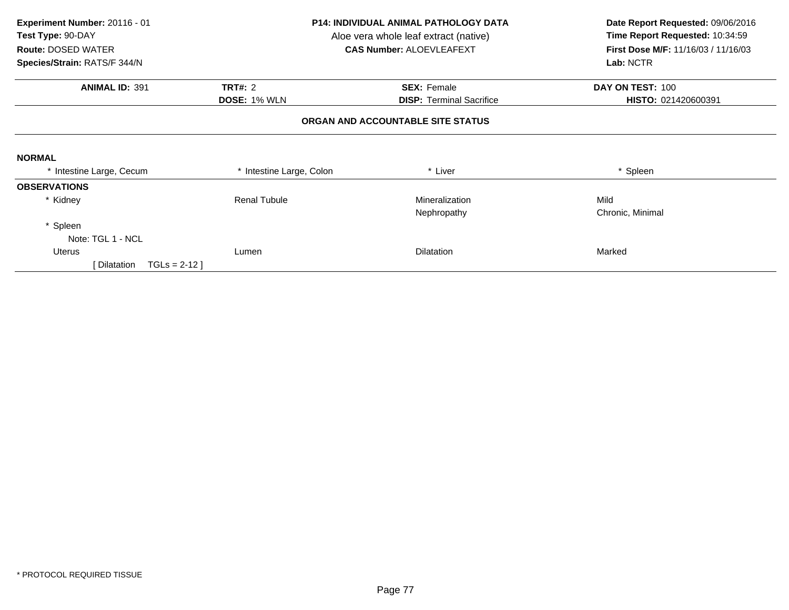| Experiment Number: 20116 - 01<br>Test Type: 90-DAY<br><b>Route: DOSED WATER</b> | <b>P14: INDIVIDUAL ANIMAL PATHOLOGY DATA</b><br>Aloe vera whole leaf extract (native)<br><b>CAS Number: ALOEVLEAFEXT</b> |                                   | Date Report Requested: 09/06/2016<br>Time Report Requested: 10:34:59<br><b>First Dose M/F: 11/16/03 / 11/16/03</b> |  |
|---------------------------------------------------------------------------------|--------------------------------------------------------------------------------------------------------------------------|-----------------------------------|--------------------------------------------------------------------------------------------------------------------|--|
| Species/Strain: RATS/F 344/N                                                    |                                                                                                                          |                                   | Lab: NCTR                                                                                                          |  |
| <b>ANIMAL ID: 391</b>                                                           | <b>TRT#: 2</b>                                                                                                           | <b>SEX: Female</b>                | DAY ON TEST: 100                                                                                                   |  |
|                                                                                 | <b>DOSE: 1% WLN</b>                                                                                                      | <b>DISP: Terminal Sacrifice</b>   | HISTO: 021420600391                                                                                                |  |
|                                                                                 |                                                                                                                          | ORGAN AND ACCOUNTABLE SITE STATUS |                                                                                                                    |  |
| <b>NORMAL</b>                                                                   |                                                                                                                          |                                   |                                                                                                                    |  |
| * Intestine Large, Cecum                                                        | * Intestine Large, Colon                                                                                                 | * Liver                           | * Spleen                                                                                                           |  |
| <b>OBSERVATIONS</b>                                                             |                                                                                                                          |                                   |                                                                                                                    |  |
| * Kidney                                                                        | <b>Renal Tubule</b>                                                                                                      | <b>Mineralization</b>             | Mild                                                                                                               |  |
|                                                                                 |                                                                                                                          | Nephropathy                       | Chronic, Minimal                                                                                                   |  |
| * Spleen                                                                        |                                                                                                                          |                                   |                                                                                                                    |  |
| Note: TGL 1 - NCL                                                               |                                                                                                                          |                                   |                                                                                                                    |  |
| Uterus                                                                          | Lumen                                                                                                                    | <b>Dilatation</b>                 | Marked                                                                                                             |  |
| $TGLS = 2-12$<br>Dilatation                                                     |                                                                                                                          |                                   |                                                                                                                    |  |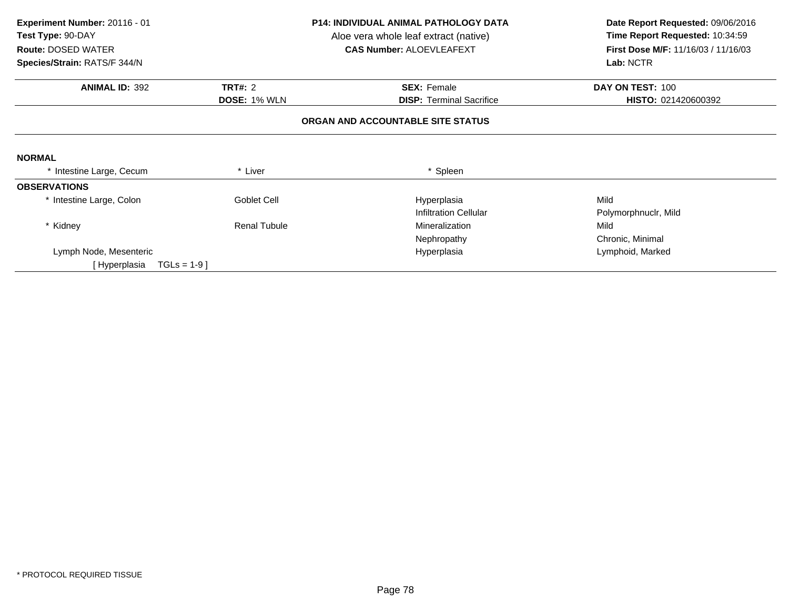| Experiment Number: 20116 - 01<br>Test Type: 90-DAY |                     | <b>P14: INDIVIDUAL ANIMAL PATHOLOGY DATA</b><br>Aloe vera whole leaf extract (native) | Date Report Requested: 09/06/2016<br>Time Report Requested: 10:34:59 |  |
|----------------------------------------------------|---------------------|---------------------------------------------------------------------------------------|----------------------------------------------------------------------|--|
| <b>Route: DOSED WATER</b>                          |                     | <b>CAS Number: ALOEVLEAFEXT</b>                                                       | First Dose M/F: 11/16/03 / 11/16/03                                  |  |
| Species/Strain: RATS/F 344/N                       |                     |                                                                                       | Lab: NCTR                                                            |  |
| <b>ANIMAL ID: 392</b>                              | <b>TRT#: 2</b>      | <b>SEX: Female</b>                                                                    | DAY ON TEST: 100                                                     |  |
|                                                    | <b>DOSE: 1% WLN</b> | <b>DISP:</b> Terminal Sacrifice                                                       | HISTO: 021420600392                                                  |  |
|                                                    |                     | ORGAN AND ACCOUNTABLE SITE STATUS                                                     |                                                                      |  |
| <b>NORMAL</b>                                      |                     |                                                                                       |                                                                      |  |
| * Intestine Large, Cecum                           | * Liver             | * Spleen                                                                              |                                                                      |  |
| <b>OBSERVATIONS</b>                                |                     |                                                                                       |                                                                      |  |
| * Intestine Large, Colon                           | Goblet Cell         | Hyperplasia                                                                           | Mild                                                                 |  |
|                                                    |                     | <b>Infiltration Cellular</b>                                                          | Polymorphnuclr, Mild                                                 |  |
| * Kidney                                           | <b>Renal Tubule</b> | Mineralization                                                                        | Mild                                                                 |  |
|                                                    |                     | Nephropathy                                                                           | Chronic, Minimal                                                     |  |
| Lymph Node, Mesenteric                             |                     | Hyperplasia                                                                           | Lymphoid, Marked                                                     |  |
| [Hyperplasia<br>$TGLs = 1-9$                       |                     |                                                                                       |                                                                      |  |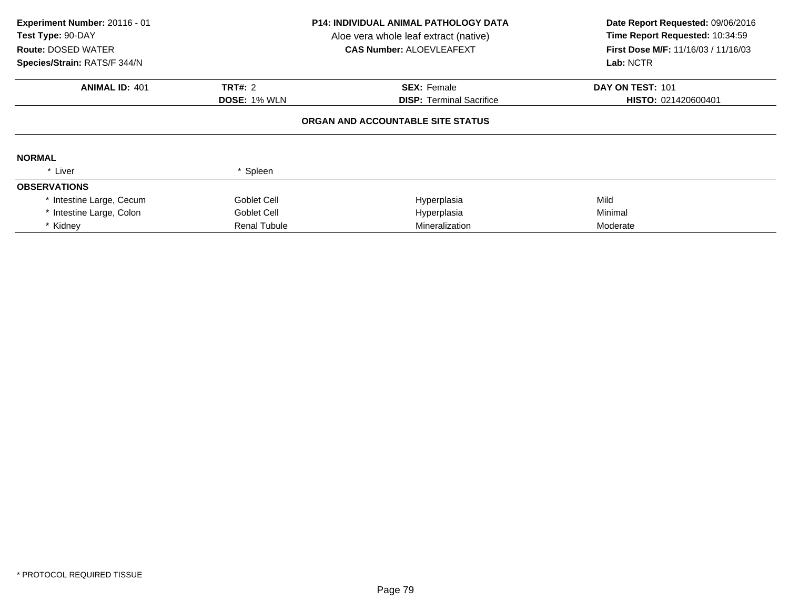| Experiment Number: 20116 - 01<br><b>Test Type: 90-DAY</b><br><b>Route: DOSED WATER</b><br>Species/Strain: RATS/F 344/N |                     | <b>P14: INDIVIDUAL ANIMAL PATHOLOGY DATA</b><br>Aloe vera whole leaf extract (native)<br><b>CAS Number: ALOEVLEAFEXT</b> | Date Report Requested: 09/06/2016<br>Time Report Requested: 10:34:59<br>First Dose M/F: 11/16/03 / 11/16/03<br>Lab: NCTR |  |
|------------------------------------------------------------------------------------------------------------------------|---------------------|--------------------------------------------------------------------------------------------------------------------------|--------------------------------------------------------------------------------------------------------------------------|--|
|                                                                                                                        |                     |                                                                                                                          |                                                                                                                          |  |
| <b>ANIMAL ID: 401</b>                                                                                                  | <b>TRT#: 2</b>      | <b>SEX: Female</b>                                                                                                       | DAY ON TEST: 101                                                                                                         |  |
|                                                                                                                        | <b>DOSE: 1% WLN</b> | <b>DISP: Terminal Sacrifice</b>                                                                                          | HISTO: 021420600401                                                                                                      |  |
| <b>NORMAL</b>                                                                                                          |                     | ORGAN AND ACCOUNTABLE SITE STATUS                                                                                        |                                                                                                                          |  |
| * Liver                                                                                                                | * Spleen            |                                                                                                                          |                                                                                                                          |  |
| <b>OBSERVATIONS</b>                                                                                                    |                     |                                                                                                                          |                                                                                                                          |  |
| * Intestine Large, Cecum                                                                                               | Goblet Cell         | Hyperplasia                                                                                                              | Mild                                                                                                                     |  |
| * Intestine Large, Colon                                                                                               | Goblet Cell         | Hyperplasia                                                                                                              | Minimal                                                                                                                  |  |
| * Kidney                                                                                                               | <b>Renal Tubule</b> | <b>Mineralization</b>                                                                                                    | Moderate                                                                                                                 |  |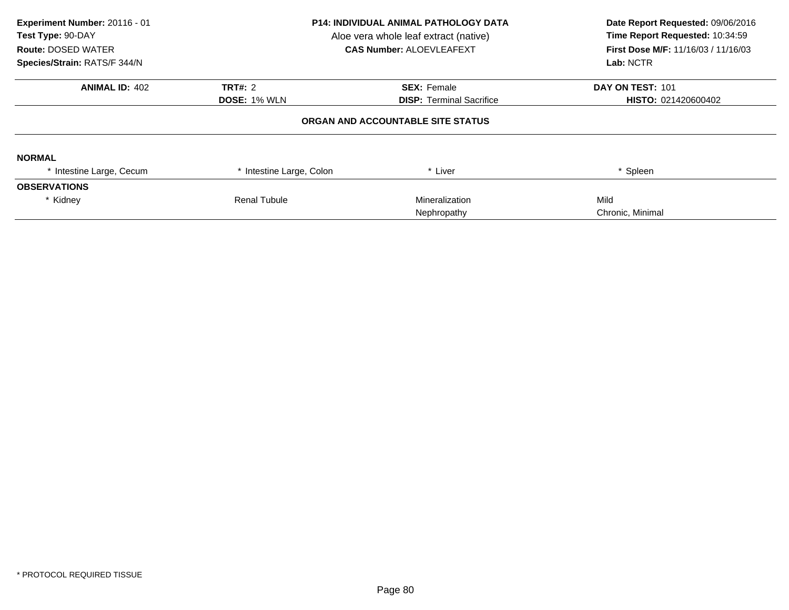| Experiment Number: 20116 - 01<br>Test Type: 90-DAY<br><b>Route: DOSED WATER</b><br>Species/Strain: RATS/F 344/N | P14: INDIVIDUAL ANIMAL PATHOLOGY DATA<br>Aloe vera whole leaf extract (native)<br><b>CAS Number: ALOEVLEAFEXT</b> |                                   | Date Report Requested: 09/06/2016<br>Time Report Requested: 10:34:59<br><b>First Dose M/F: 11/16/03 / 11/16/03</b><br>Lab: NCTR |  |
|-----------------------------------------------------------------------------------------------------------------|-------------------------------------------------------------------------------------------------------------------|-----------------------------------|---------------------------------------------------------------------------------------------------------------------------------|--|
| <b>ANIMAL ID: 402</b>                                                                                           | <b>TRT#: 2</b>                                                                                                    | <b>SEX: Female</b>                | DAY ON TEST: 101                                                                                                                |  |
|                                                                                                                 | <b>DOSE: 1% WLN</b><br><b>DISP: Terminal Sacrifice</b>                                                            |                                   | HISTO: 021420600402                                                                                                             |  |
|                                                                                                                 |                                                                                                                   | ORGAN AND ACCOUNTABLE SITE STATUS |                                                                                                                                 |  |
| <b>NORMAL</b>                                                                                                   |                                                                                                                   |                                   |                                                                                                                                 |  |
| Intestine Large, Cecum                                                                                          | Intestine Large, Colon                                                                                            | * Liver                           | * Spleen                                                                                                                        |  |
| <b>OBSERVATIONS</b>                                                                                             |                                                                                                                   |                                   |                                                                                                                                 |  |
| * Kidney                                                                                                        | <b>Renal Tubule</b>                                                                                               | Mineralization                    | Mild                                                                                                                            |  |
|                                                                                                                 |                                                                                                                   | Nephropathy                       | Chronic, Minimal                                                                                                                |  |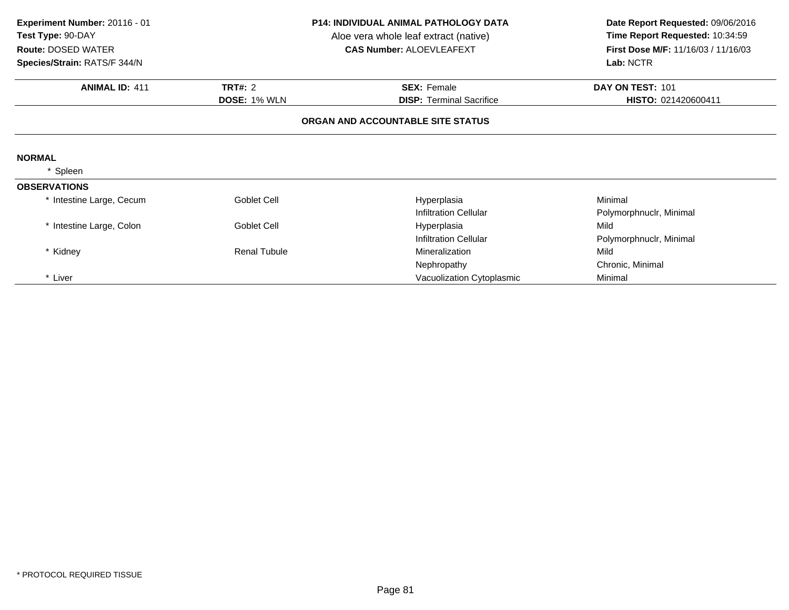| Experiment Number: 20116 - 01<br>Test Type: 90-DAY<br><b>Route: DOSED WATER</b><br>Species/Strain: RATS/F 344/N | <b>P14: INDIVIDUAL ANIMAL PATHOLOGY DATA</b><br>Aloe vera whole leaf extract (native)<br><b>CAS Number: ALOEVLEAFEXT</b> |                                   | Date Report Requested: 09/06/2016<br>Time Report Requested: 10:34:59<br>First Dose M/F: 11/16/03 / 11/16/03<br>Lab: NCTR |
|-----------------------------------------------------------------------------------------------------------------|--------------------------------------------------------------------------------------------------------------------------|-----------------------------------|--------------------------------------------------------------------------------------------------------------------------|
| <b>ANIMAL ID: 411</b>                                                                                           | <b>TRT#: 2</b>                                                                                                           | <b>SEX: Female</b>                | DAY ON TEST: 101                                                                                                         |
|                                                                                                                 | <b>DOSE: 1% WLN</b>                                                                                                      | <b>DISP: Terminal Sacrifice</b>   | HISTO: 021420600411                                                                                                      |
|                                                                                                                 |                                                                                                                          | ORGAN AND ACCOUNTABLE SITE STATUS |                                                                                                                          |
| <b>NORMAL</b>                                                                                                   |                                                                                                                          |                                   |                                                                                                                          |
| Spleen                                                                                                          |                                                                                                                          |                                   |                                                                                                                          |
| <b>OBSERVATIONS</b>                                                                                             |                                                                                                                          |                                   |                                                                                                                          |
| * Intestine Large, Cecum                                                                                        | Goblet Cell                                                                                                              | Hyperplasia                       | Minimal                                                                                                                  |
|                                                                                                                 |                                                                                                                          | <b>Infiltration Cellular</b>      | Polymorphnuclr, Minimal                                                                                                  |
| * Intestine Large, Colon                                                                                        | <b>Goblet Cell</b>                                                                                                       | Hyperplasia                       | Mild                                                                                                                     |
|                                                                                                                 |                                                                                                                          | <b>Infiltration Cellular</b>      | Polymorphnuclr, Minimal                                                                                                  |
| * Kidney                                                                                                        | Renal Tubule                                                                                                             | <b>Mineralization</b>             | Mild                                                                                                                     |
|                                                                                                                 |                                                                                                                          | Nephropathy                       | Chronic, Minimal                                                                                                         |
| * Liver                                                                                                         |                                                                                                                          | Vacuolization Cytoplasmic         | Minimal                                                                                                                  |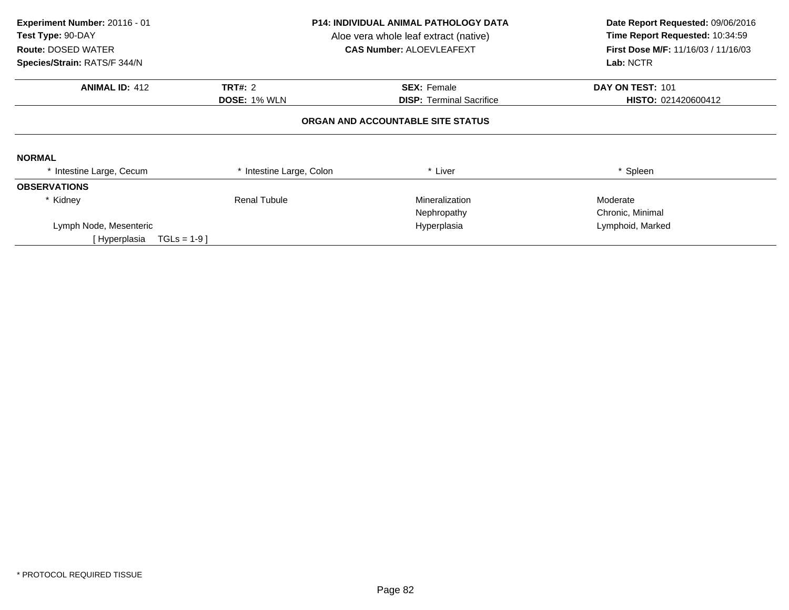| Experiment Number: 20116 - 01<br>Test Type: 90-DAY<br><b>Route: DOSED WATER</b><br>Species/Strain: RATS/F 344/N |                          | <b>P14: INDIVIDUAL ANIMAL PATHOLOGY DATA</b><br>Aloe vera whole leaf extract (native)<br><b>CAS Number: ALOEVLEAFEXT</b> | Date Report Requested: 09/06/2016<br>Time Report Requested: 10:34:59<br><b>First Dose M/F: 11/16/03 / 11/16/03</b><br>Lab: NCTR |  |
|-----------------------------------------------------------------------------------------------------------------|--------------------------|--------------------------------------------------------------------------------------------------------------------------|---------------------------------------------------------------------------------------------------------------------------------|--|
| <b>ANIMAL ID: 412</b>                                                                                           | <b>TRT#: 2</b>           | <b>SEX: Female</b>                                                                                                       | DAY ON TEST: 101                                                                                                                |  |
|                                                                                                                 | <b>DOSE: 1% WLN</b>      | <b>DISP:</b> Terminal Sacrifice                                                                                          | HISTO: 021420600412                                                                                                             |  |
|                                                                                                                 |                          | ORGAN AND ACCOUNTABLE SITE STATUS                                                                                        |                                                                                                                                 |  |
| <b>NORMAL</b>                                                                                                   |                          |                                                                                                                          |                                                                                                                                 |  |
| * Intestine Large, Cecum                                                                                        | * Intestine Large, Colon | * Liver                                                                                                                  | * Spleen                                                                                                                        |  |
| <b>OBSERVATIONS</b>                                                                                             |                          |                                                                                                                          |                                                                                                                                 |  |
| * Kidney                                                                                                        | <b>Renal Tubule</b>      | Mineralization                                                                                                           | Moderate                                                                                                                        |  |
|                                                                                                                 |                          | Nephropathy                                                                                                              | Chronic, Minimal                                                                                                                |  |
| Lymph Node, Mesenteric                                                                                          |                          | Hyperplasia                                                                                                              | Lymphoid, Marked                                                                                                                |  |
| $TGLs = 1-9$<br>[ Hyperplasia                                                                                   |                          |                                                                                                                          |                                                                                                                                 |  |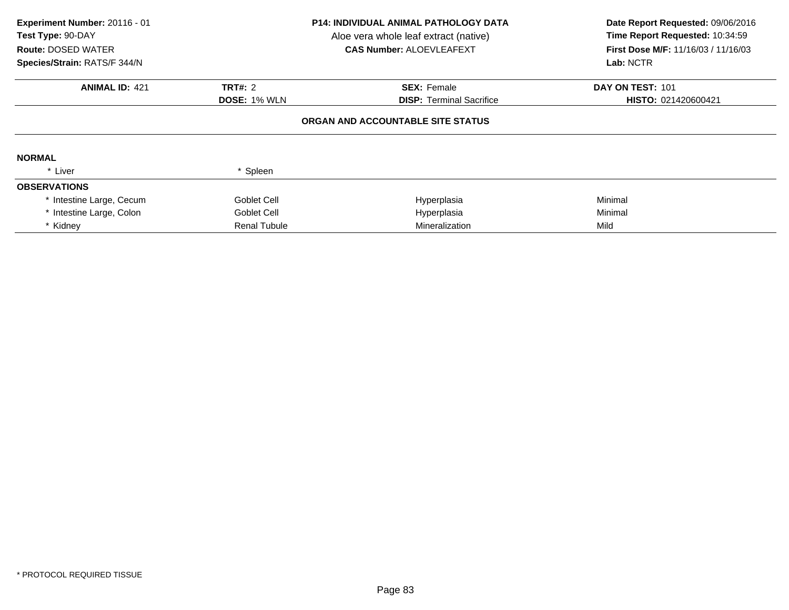| Experiment Number: 20116 - 01<br><b>Test Type: 90-DAY</b><br><b>Route: DOSED WATER</b><br>Species/Strain: RATS/F 344/N |                     | <b>P14: INDIVIDUAL ANIMAL PATHOLOGY DATA</b><br>Aloe vera whole leaf extract (native)<br><b>CAS Number: ALOEVLEAFEXT</b> | Date Report Requested: 09/06/2016<br>Time Report Requested: 10:34:59<br>First Dose M/F: 11/16/03 / 11/16/03<br>Lab: NCTR |
|------------------------------------------------------------------------------------------------------------------------|---------------------|--------------------------------------------------------------------------------------------------------------------------|--------------------------------------------------------------------------------------------------------------------------|
|                                                                                                                        |                     |                                                                                                                          |                                                                                                                          |
| <b>ANIMAL ID: 421</b>                                                                                                  | <b>TRT#: 2</b>      | <b>SEX: Female</b>                                                                                                       | DAY ON TEST: 101                                                                                                         |
|                                                                                                                        | <b>DOSE: 1% WLN</b> | <b>DISP:</b> Terminal Sacrifice                                                                                          | HISTO: 021420600421                                                                                                      |
| <b>NORMAL</b>                                                                                                          |                     | ORGAN AND ACCOUNTABLE SITE STATUS                                                                                        |                                                                                                                          |
| * Liver                                                                                                                | * Spleen            |                                                                                                                          |                                                                                                                          |
| <b>OBSERVATIONS</b>                                                                                                    |                     |                                                                                                                          |                                                                                                                          |
| * Intestine Large, Cecum                                                                                               | Goblet Cell         | Hyperplasia                                                                                                              | Minimal                                                                                                                  |
| * Intestine Large, Colon                                                                                               | Goblet Cell         | Hyperplasia                                                                                                              | Minimal                                                                                                                  |
| * Kidney                                                                                                               | <b>Renal Tubule</b> | Mineralization                                                                                                           | Mild                                                                                                                     |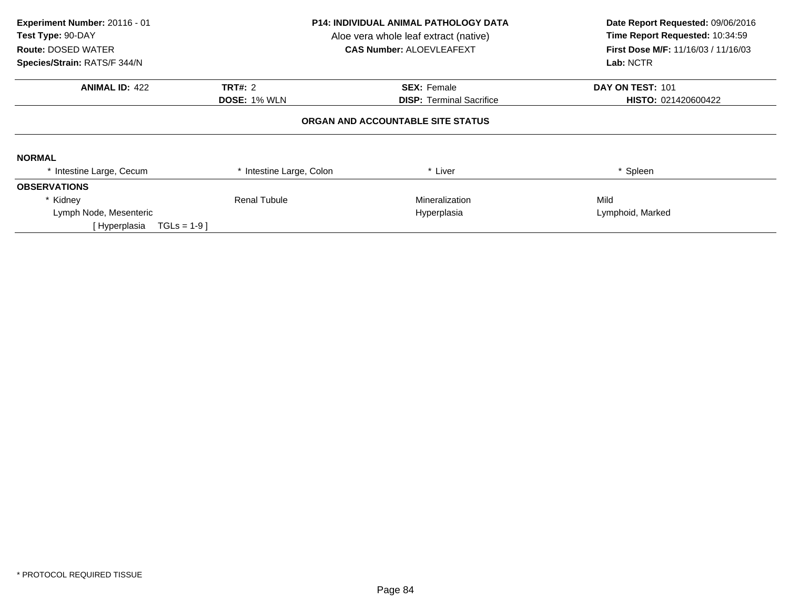| Experiment Number: 20116 - 01<br>Test Type: 90-DAY<br><b>Route: DOSED WATER</b><br>Species/Strain: RATS/F 344/N | <b>P14: INDIVIDUAL ANIMAL PATHOLOGY DATA</b><br>Aloe vera whole leaf extract (native)<br><b>CAS Number: ALOEVLEAFEXT</b> |                                   | Date Report Requested: 09/06/2016<br>Time Report Requested: 10:34:59<br>First Dose M/F: 11/16/03 / 11/16/03<br>Lab: NCTR |  |
|-----------------------------------------------------------------------------------------------------------------|--------------------------------------------------------------------------------------------------------------------------|-----------------------------------|--------------------------------------------------------------------------------------------------------------------------|--|
| <b>ANIMAL ID: 422</b>                                                                                           | TRT#: 2                                                                                                                  | <b>SEX: Female</b>                | DAY ON TEST: 101                                                                                                         |  |
|                                                                                                                 | <b>DOSE: 1% WLN</b>                                                                                                      | <b>DISP:</b> Terminal Sacrifice   | HISTO: 021420600422                                                                                                      |  |
|                                                                                                                 |                                                                                                                          | ORGAN AND ACCOUNTABLE SITE STATUS |                                                                                                                          |  |
| <b>NORMAL</b>                                                                                                   |                                                                                                                          |                                   |                                                                                                                          |  |
| * Intestine Large, Cecum                                                                                        | Intestine Large, Colon                                                                                                   | * Liver                           | * Spleen                                                                                                                 |  |
| <b>OBSERVATIONS</b>                                                                                             |                                                                                                                          |                                   |                                                                                                                          |  |
| * Kidney                                                                                                        | <b>Renal Tubule</b>                                                                                                      | Mineralization                    | Mild                                                                                                                     |  |
| Lymph Node, Mesenteric                                                                                          | Hyperplasia                                                                                                              |                                   | Lymphoid, Marked                                                                                                         |  |
| $TGLs = 1-9$<br>[Hyperplasia                                                                                    |                                                                                                                          |                                   |                                                                                                                          |  |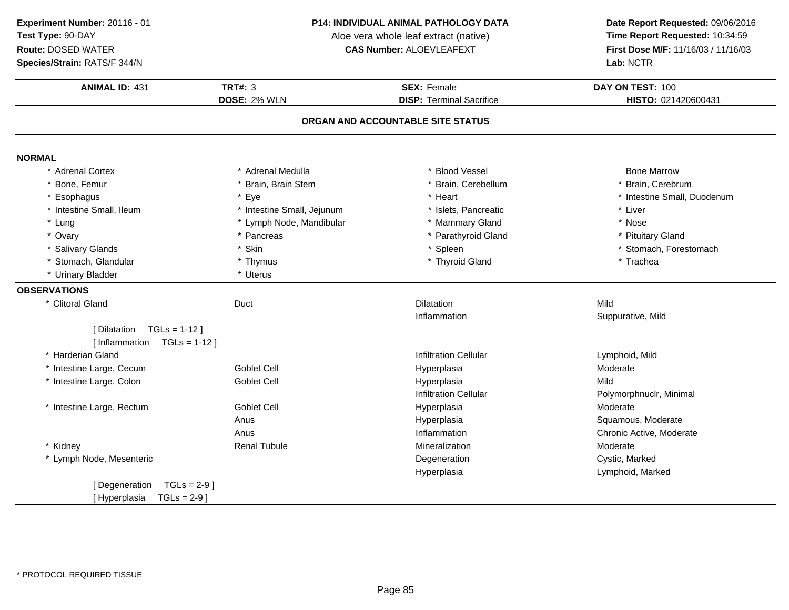**Species/Strain:** RATS/F 344/N

### **P14: INDIVIDUAL ANIMAL PATHOLOGY DATA**

Aloe vera whole leaf extract (native)<br>**CAS Number:** ALOEVLEAFEXT

| <b>ANIMAL ID: 431</b>            | <b>TRT#: 3</b>             | <b>SEX: Female</b>                | DAY ON TEST: 100            |
|----------------------------------|----------------------------|-----------------------------------|-----------------------------|
|                                  | DOSE: 2% WLN               | <b>DISP: Terminal Sacrifice</b>   | HISTO: 021420600431         |
|                                  |                            |                                   |                             |
|                                  |                            | ORGAN AND ACCOUNTABLE SITE STATUS |                             |
| <b>NORMAL</b>                    |                            |                                   |                             |
| * Adrenal Cortex                 | * Adrenal Medulla          | * Blood Vessel                    | <b>Bone Marrow</b>          |
| * Bone, Femur                    | * Brain, Brain Stem        | * Brain, Cerebellum               | * Brain, Cerebrum           |
| * Esophagus                      | * Eye                      | * Heart                           | * Intestine Small, Duodenum |
| * Intestine Small, Ileum         | * Intestine Small, Jejunum | * Islets, Pancreatic              | * Liver                     |
| * Lung                           | * Lymph Node, Mandibular   | * Mammary Gland                   | * Nose                      |
| * Ovary                          | * Pancreas                 | * Parathyroid Gland               | * Pituitary Gland           |
| * Salivary Glands                | * Skin                     | * Spleen                          | * Stomach, Forestomach      |
| * Stomach, Glandular             | * Thymus                   | * Thyroid Gland                   | * Trachea                   |
| * Urinary Bladder                | * Uterus                   |                                   |                             |
| <b>OBSERVATIONS</b>              |                            |                                   |                             |
| * Clitoral Gland                 | Duct                       | <b>Dilatation</b>                 | Mild                        |
|                                  |                            | Inflammation                      | Suppurative, Mild           |
| [Dilatation TGLs = 1-12]         |                            |                                   |                             |
| [Inflammation $TGLs = 1-12$ ]    |                            |                                   |                             |
| * Harderian Gland                |                            | <b>Infiltration Cellular</b>      | Lymphoid, Mild              |
| * Intestine Large, Cecum         | <b>Goblet Cell</b>         | Hyperplasia                       | Moderate                    |
| * Intestine Large, Colon         | Goblet Cell                | Hyperplasia                       | Mild                        |
|                                  |                            | <b>Infiltration Cellular</b>      | Polymorphnuclr, Minimal     |
| * Intestine Large, Rectum        | Goblet Cell                | Hyperplasia                       | Moderate                    |
|                                  | Anus                       | Hyperplasia                       | Squamous, Moderate          |
|                                  | Anus                       | Inflammation                      | Chronic Active, Moderate    |
| * Kidney                         | <b>Renal Tubule</b>        | Mineralization                    | Moderate                    |
| * Lymph Node, Mesenteric         |                            | Degeneration                      | Cystic, Marked              |
|                                  |                            | Hyperplasia                       | Lymphoid, Marked            |
| [ Degeneration<br>$TGLs = 2-9$ ] |                            |                                   |                             |
| [Hyperplasia<br>$TGLs = 2-9$ ]   |                            |                                   |                             |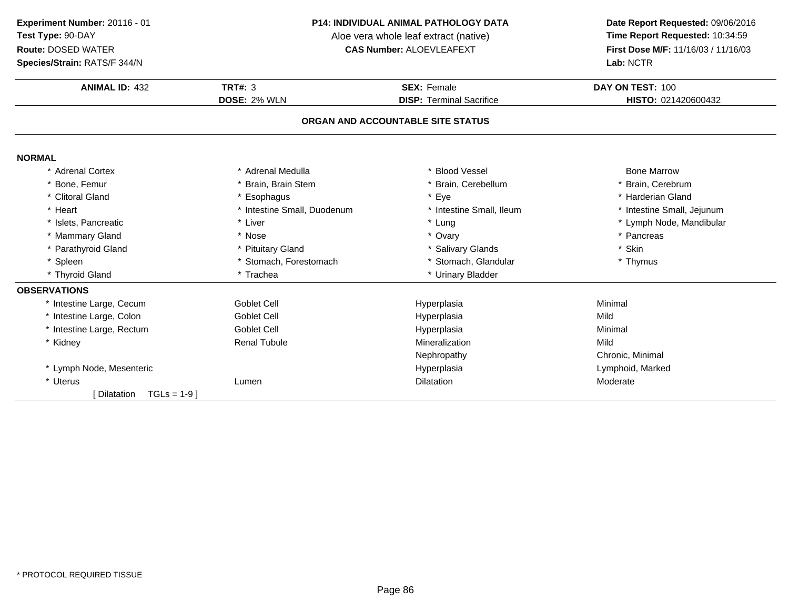**Experiment Number:** 20116 - 01**Test Type:** 90-DAY

### **Route:** DOSED WATER

**Species/Strain:** RATS/F 344/N

#### **P14: INDIVIDUAL ANIMAL PATHOLOGY DATA**

Aloe vera whole leaf extract (native)<br>**CAS Number:** ALOEVLEAFEXT

| <b>ANIMAL ID: 432</b>       | TRT#: $3$                   | <b>SEX: Female</b>                | DAY ON TEST: 100           |
|-----------------------------|-----------------------------|-----------------------------------|----------------------------|
|                             | DOSE: 2% WLN                | <b>DISP: Terminal Sacrifice</b>   | HISTO: 021420600432        |
|                             |                             | ORGAN AND ACCOUNTABLE SITE STATUS |                            |
| <b>NORMAL</b>               |                             |                                   |                            |
| * Adrenal Cortex            | * Adrenal Medulla           | * Blood Vessel                    | <b>Bone Marrow</b>         |
| * Bone, Femur               | * Brain, Brain Stem         | * Brain, Cerebellum               | * Brain, Cerebrum          |
| * Clitoral Gland            | * Esophagus                 | * Eye                             | * Harderian Gland          |
| * Heart                     | * Intestine Small, Duodenum | * Intestine Small, Ileum          | * Intestine Small, Jejunum |
| * Islets, Pancreatic        | * Liver                     | * Lung                            | * Lymph Node, Mandibular   |
| * Mammary Gland             | * Nose                      | * Ovary                           | * Pancreas                 |
| * Parathyroid Gland         | * Pituitary Gland           | * Salivary Glands                 | * Skin                     |
| * Spleen                    | * Stomach, Forestomach      | * Stomach, Glandular              | * Thymus                   |
| * Thyroid Gland             | * Trachea                   | * Urinary Bladder                 |                            |
| <b>OBSERVATIONS</b>         |                             |                                   |                            |
| * Intestine Large, Cecum    | <b>Goblet Cell</b>          | Hyperplasia                       | Minimal                    |
| * Intestine Large, Colon    | <b>Goblet Cell</b>          | Hyperplasia                       | Mild                       |
| * Intestine Large, Rectum   | <b>Goblet Cell</b>          | Hyperplasia                       | Minimal                    |
| * Kidney                    | <b>Renal Tubule</b>         | Mineralization                    | Mild                       |
|                             |                             | Nephropathy                       | Chronic, Minimal           |
| * Lymph Node, Mesenteric    |                             | Hyperplasia                       | Lymphoid, Marked           |
| * Uterus                    | Lumen                       | <b>Dilatation</b>                 | Moderate                   |
| [Dilatation<br>$TGLs = 1-9$ |                             |                                   |                            |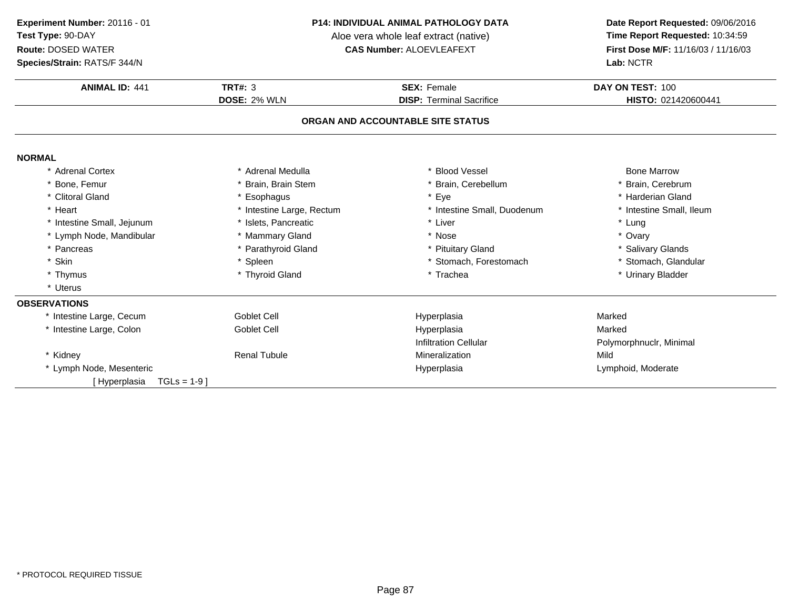#### **P14: INDIVIDUAL ANIMAL PATHOLOGY DATA**

Aloe vera whole leaf extract (native)<br>**CAS Number:** ALOEVLEAFEXT

| Species/Strain: RATS/F 344/N |                           | Lab: NCTR                         |                          |  |
|------------------------------|---------------------------|-----------------------------------|--------------------------|--|
| <b>ANIMAL ID: 441</b>        | <b>TRT#: 3</b>            | <b>SEX: Female</b>                | DAY ON TEST: 100         |  |
|                              | DOSE: 2% WLN              | <b>DISP: Terminal Sacrifice</b>   | HISTO: 021420600441      |  |
|                              |                           | ORGAN AND ACCOUNTABLE SITE STATUS |                          |  |
| <b>NORMAL</b>                |                           |                                   |                          |  |
| * Adrenal Cortex             | * Adrenal Medulla         | <b>Blood Vessel</b>               | <b>Bone Marrow</b>       |  |
| Bone, Femur                  | * Brain, Brain Stem       | Brain, Cerebellum                 | * Brain, Cerebrum        |  |
| * Clitoral Gland             | * Esophagus               | * Eye                             | * Harderian Gland        |  |
| * Heart                      | * Intestine Large, Rectum | * Intestine Small, Duodenum       | * Intestine Small, Ileum |  |
| * Intestine Small, Jejunum   | * Islets, Pancreatic      | * Liver                           | * Lung                   |  |
| * Lymph Node, Mandibular     | * Mammary Gland           | * Nose                            | * Ovary                  |  |
| * Pancreas                   | * Parathyroid Gland       | * Pituitary Gland                 | * Salivary Glands        |  |
| * Skin                       | * Spleen                  | * Stomach, Forestomach            | * Stomach, Glandular     |  |
| * Thymus                     | * Thyroid Gland           | * Trachea                         | * Urinary Bladder        |  |
| * Uterus                     |                           |                                   |                          |  |
| <b>OBSERVATIONS</b>          |                           |                                   |                          |  |
| * Intestine Large, Cecum     | <b>Goblet Cell</b>        | Hyperplasia                       | Marked                   |  |
| * Intestine Large, Colon     | <b>Goblet Cell</b>        | Hyperplasia                       | Marked                   |  |
|                              |                           | <b>Infiltration Cellular</b>      | Polymorphnuclr, Minimal  |  |
| * Kidney                     | <b>Renal Tubule</b>       | Mineralization                    | Mild                     |  |
| * Lymph Node, Mesenteric     |                           | Hyperplasia                       | Lymphoid, Moderate       |  |
| $TGLs = 1-9$<br>[Hyperplasia |                           |                                   |                          |  |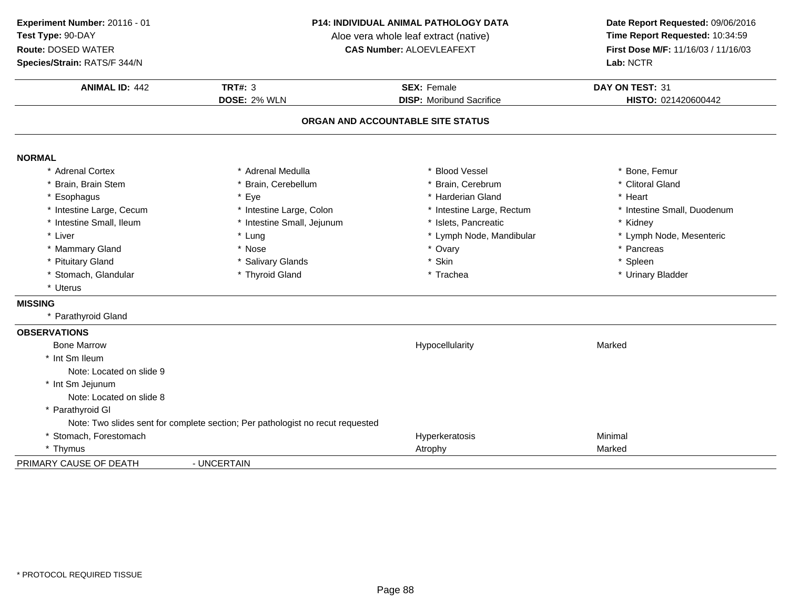**ANIMAL ID:** <sup>442</sup> **TRT#:** <sup>3</sup> **SEX:** Female **DAY ON TEST:** <sup>31</sup> **DOSE:** 2% WLN **DISP:** Moribund Sacrifice **HISTO:** <sup>021420600442</sup> **ORGAN AND ACCOUNTABLE SITE STATUSNORMAL** \* Adrenal Cortex\* Adrenal Medulla<br>\* Brain, Cerebellum a the second vessel that the second vertex  $\sim$  \* Bone, Femur \* Brain, Brain Stem \* Brain, Cerebellum \* Brain, Cerebrum \* Clitoral Gland \* Esophaguss \* Eye e the settlement of the state of the state of the state of the state of the state of the state of the state of the state of the state of the state of the state of the state of the state of the state of the state of the sta \* Intestine Large, Cecumm and the state of the state of the state of the state of the state of the state of the state of the state of the state of the state of the state of the state of the state of the state of the state of the state of the stat \* Intestine Small, Ileum\* Intestine Small, Jejunum \* 1990 \* 1991 \* Islets, Pancreatic \* The many \* Kidney \* Kidney<br>
\* Lung \* Lymph Nome, Mandibular \* Kymph Node, Mesenteric \* Liver Liver \* Lung \* Lymph Node, Mandibular \* Lymph Node, Mesenteric \* Mammary Gland \* Nose \* Ovary \* Pancreas \* Pituitary Gland \* Salivary Glands \* Skin \* Spleen \* Stomach, Glandular **\*** Thyroid Gland \* Thyroid Gland **And Trackea \* Trachea \* Trachea** \* Trachea \* Ninary Bladder \* Uterus**MISSING** \* Parathyroid Gland**OBSERVATIONS** Bone Marroww Research Marked Marked School (New York 1990) and Hypocellularity Marked Marked Marked School (New York 1990) and Marked School (New York 1990) and Marked School (New York 1990) and Marked School (New York 1990) and Mark \* Int Sm Ileum Note: Located on slide 9\* Int Sm Jejunum Note: Located on slide 8\* Parathyroid Gl Note: Two slides sent for complete section; Per pathologist no recut requested\* Stomach, Forestomachh ann an t-ainmeile ann an t-ainmeile ann an t-ainmeile an t-ainmeile an t-ainmeile an t-ainmeile an t-ainmeil \* Thymus Atrophy Marked**Experiment Number:** 20116 - 01 **P14: INDIVIDUAL ANIMAL PATHOLOGY DATA Date Report Requested:** 09/06/2016 **Test Type:** 90-DAYAloe vera whole leaf extract (native)<br>**CAS Number:** ALOEVLEAFEXT **Route:** DOSED WATER**First Dose M/F:** 11/16/03 / 11/16/03<br>**Lab:** NCTR **Species/Strain:** RATS/F 344/N**Lab:** NCTR

PRIMARY CAUSE OF DEATH

- UNCERTAIN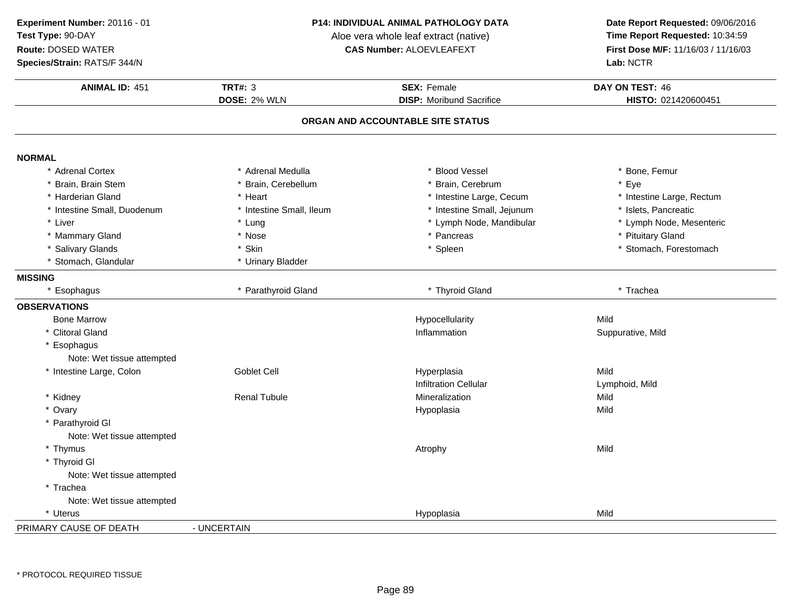**Species/Strain:** RATS/F 344/N

#### **P14: INDIVIDUAL ANIMAL PATHOLOGY DATA**

Aloe vera whole leaf extract (native)<br>**CAS Number:** ALOEVLEAFEXT

| <b>ANIMAL ID: 451</b>       | <b>TRT#: 3</b><br><b>DOSE: 2% WLN</b> | <b>SEX: Female</b><br><b>DISP:</b> Moribund Sacrifice | DAY ON TEST: 46<br>HISTO: 021420600451 |
|-----------------------------|---------------------------------------|-------------------------------------------------------|----------------------------------------|
|                             |                                       | ORGAN AND ACCOUNTABLE SITE STATUS                     |                                        |
|                             |                                       |                                                       |                                        |
| <b>NORMAL</b>               |                                       |                                                       |                                        |
| * Adrenal Cortex            | * Adrenal Medulla                     | * Blood Vessel                                        | * Bone, Femur                          |
| * Brain, Brain Stem         | * Brain, Cerebellum                   | * Brain, Cerebrum                                     | * Eye                                  |
| * Harderian Gland           | * Heart                               | * Intestine Large, Cecum                              | * Intestine Large, Rectum              |
| * Intestine Small, Duodenum | * Intestine Small, Ileum              | * Intestine Small, Jejunum                            | * Islets, Pancreatic                   |
| * Liver                     | * Lung                                | * Lymph Node, Mandibular                              | * Lymph Node, Mesenteric               |
| * Mammary Gland             | * Nose                                | * Pancreas                                            | * Pituitary Gland                      |
| * Salivary Glands           | * Skin                                | * Spleen                                              | * Stomach, Forestomach                 |
| * Stomach, Glandular        | * Urinary Bladder                     |                                                       |                                        |
| <b>MISSING</b>              |                                       |                                                       |                                        |
| * Esophagus                 | * Parathyroid Gland                   | * Thyroid Gland                                       | * Trachea                              |
| <b>OBSERVATIONS</b>         |                                       |                                                       |                                        |
| <b>Bone Marrow</b>          |                                       | Hypocellularity                                       | Mild                                   |
| * Clitoral Gland            |                                       | Inflammation                                          | Suppurative, Mild                      |
| Esophagus                   |                                       |                                                       |                                        |
| Note: Wet tissue attempted  |                                       |                                                       |                                        |
| * Intestine Large, Colon    | <b>Goblet Cell</b>                    | Hyperplasia                                           | Mild                                   |
|                             |                                       | <b>Infiltration Cellular</b>                          | Lymphoid, Mild                         |
| * Kidney                    | <b>Renal Tubule</b>                   | Mineralization                                        | Mild                                   |
| * Ovary                     |                                       | Hypoplasia                                            | Mild                                   |
| * Parathyroid GI            |                                       |                                                       |                                        |
| Note: Wet tissue attempted  |                                       |                                                       |                                        |
| * Thymus                    |                                       | Atrophy                                               | Mild                                   |
| * Thyroid Gl                |                                       |                                                       |                                        |
| Note: Wet tissue attempted  |                                       |                                                       |                                        |
| * Trachea                   |                                       |                                                       |                                        |
| Note: Wet tissue attempted  |                                       |                                                       |                                        |
| * Uterus                    |                                       | Hypoplasia                                            | Mild                                   |
| PRIMARY CAUSE OF DEATH      | - UNCERTAIN                           |                                                       |                                        |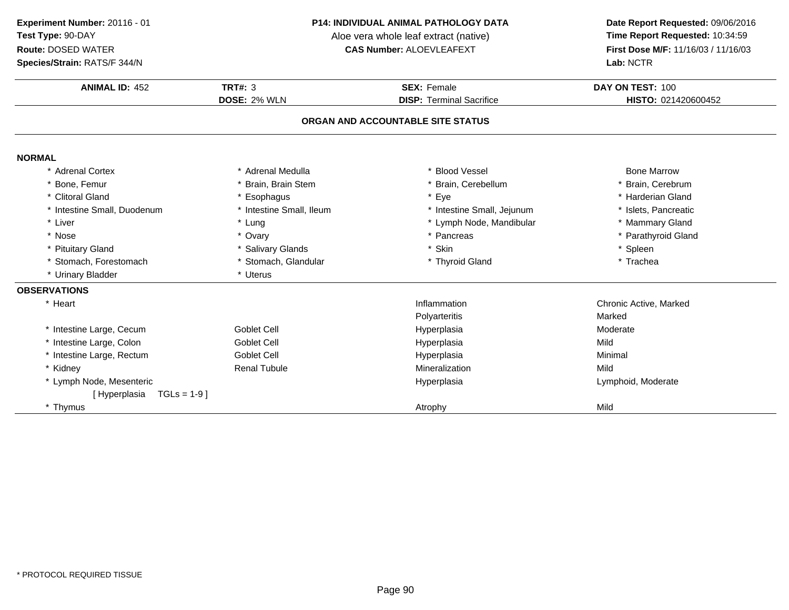**Species/Strain:** RATS/F 344/N

#### **P14: INDIVIDUAL ANIMAL PATHOLOGY DATA**

Aloe vera whole leaf extract (native)<br>**CAS Number:** ALOEVLEAFEXT

| <b>ANIMAL ID: 452</b>        | <b>TRT#: 3</b>           | <b>SEX: Female</b>                | DAY ON TEST: 100       |
|------------------------------|--------------------------|-----------------------------------|------------------------|
|                              | DOSE: 2% WLN             | <b>DISP: Terminal Sacrifice</b>   | HISTO: 021420600452    |
|                              |                          | ORGAN AND ACCOUNTABLE SITE STATUS |                        |
| <b>NORMAL</b>                |                          |                                   |                        |
| * Adrenal Cortex             | * Adrenal Medulla        | * Blood Vessel                    | <b>Bone Marrow</b>     |
| * Bone, Femur                | * Brain, Brain Stem      | * Brain, Cerebellum               | * Brain, Cerebrum      |
| * Clitoral Gland             | * Esophagus              | * Eye                             | * Harderian Gland      |
| * Intestine Small, Duodenum  | * Intestine Small, Ileum | * Intestine Small, Jejunum        | * Islets, Pancreatic   |
| * Liver                      | * Lung                   | * Lymph Node, Mandibular          | * Mammary Gland        |
| * Nose                       | * Ovary                  | * Pancreas                        | * Parathyroid Gland    |
| * Pituitary Gland            | * Salivary Glands        | Skin                              | * Spleen               |
| * Stomach, Forestomach       | * Stomach, Glandular     | * Thyroid Gland                   | * Trachea              |
| * Urinary Bladder            | * Uterus                 |                                   |                        |
| <b>OBSERVATIONS</b>          |                          |                                   |                        |
| * Heart                      |                          | Inflammation                      | Chronic Active, Marked |
|                              |                          | Polyarteritis                     | Marked                 |
| * Intestine Large, Cecum     | Goblet Cell              | Hyperplasia                       | Moderate               |
| * Intestine Large, Colon     | <b>Goblet Cell</b>       | Hyperplasia                       | Mild                   |
| * Intestine Large, Rectum    | <b>Goblet Cell</b>       | Hyperplasia                       | Minimal                |
| * Kidney                     | <b>Renal Tubule</b>      | Mineralization                    | Mild                   |
| * Lymph Node, Mesenteric     |                          | Hyperplasia                       | Lymphoid, Moderate     |
| $TGLs = 1-9$<br>[Hyperplasia |                          |                                   |                        |
| * Thymus                     |                          | Atrophy                           | Mild                   |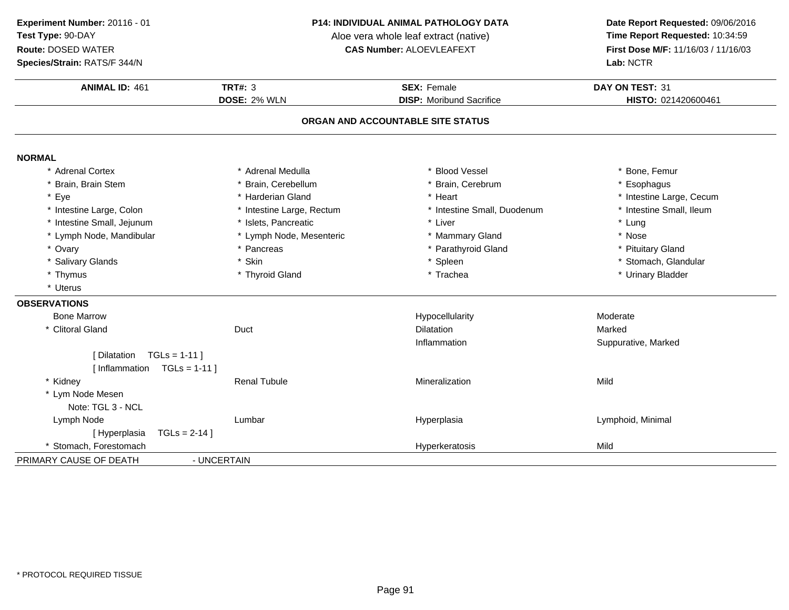**Species/Strain:** RATS/F 344/N

#### **P14: INDIVIDUAL ANIMAL PATHOLOGY DATA**

Aloe vera whole leaf extract (native)<br>**CAS Number:** ALOEVLEAFEXT

| <b>TRT#: 3</b><br><b>ANIMAL ID: 461</b><br><b>SEX: Female</b><br>DAY ON TEST: 31<br>DOSE: 2% WLN<br><b>DISP:</b> Moribund Sacrifice<br>HISTO: 021420600461<br>ORGAN AND ACCOUNTABLE SITE STATUS<br>* Adrenal Cortex<br>* Blood Vessel<br>* Bone, Femur<br>* Adrenal Medulla<br>* Brain, Cerebellum<br>* Brain, Cerebrum<br>* Brain, Brain Stem<br>* Esophagus<br>* Eye<br>* Harderian Gland<br>* Heart<br>* Intestine Large, Cecum<br>* Intestine Large, Colon<br>* Intestine Small, Ileum<br>* Intestine Large, Rectum<br>* Intestine Small, Duodenum<br>* Intestine Small, Jejunum<br>* Islets, Pancreatic<br>* Liver<br>* Lung<br>* Lymph Node, Mandibular<br>* Lymph Node, Mesenteric<br>* Mammary Gland<br>* Nose<br>* Ovary<br>* Parathyroid Gland<br>* Pancreas<br>* Pituitary Gland<br>* Stomach, Glandular<br>* Salivary Glands<br>* Skin<br>* Spleen<br>* Trachea<br>* Urinary Bladder<br>* Thymus<br>* Thyroid Gland<br>* Uterus<br><b>Bone Marrow</b><br>Hypocellularity<br>Moderate<br>* Clitoral Gland<br><b>Dilatation</b><br>Marked<br>Duct<br>Inflammation<br>Suppurative, Marked<br>$TGLs = 1-11$<br>[ Dilatation<br>[Inflammation $TGLs = 1-11$ ]<br>* Kidney<br><b>Renal Tubule</b><br>Mineralization<br>Mild<br>* Lym Node Mesen<br>Note: TGL 3 - NCL<br>Lymph Node<br>Lumbar<br>Hyperplasia<br>Lymphoid, Minimal | Species/Strain: RATS/F 344/N    |  | Lab: NCTR |  |  |
|----------------------------------------------------------------------------------------------------------------------------------------------------------------------------------------------------------------------------------------------------------------------------------------------------------------------------------------------------------------------------------------------------------------------------------------------------------------------------------------------------------------------------------------------------------------------------------------------------------------------------------------------------------------------------------------------------------------------------------------------------------------------------------------------------------------------------------------------------------------------------------------------------------------------------------------------------------------------------------------------------------------------------------------------------------------------------------------------------------------------------------------------------------------------------------------------------------------------------------------------------------------------------------------------------------------------------------------|---------------------------------|--|-----------|--|--|
|                                                                                                                                                                                                                                                                                                                                                                                                                                                                                                                                                                                                                                                                                                                                                                                                                                                                                                                                                                                                                                                                                                                                                                                                                                                                                                                                        |                                 |  |           |  |  |
|                                                                                                                                                                                                                                                                                                                                                                                                                                                                                                                                                                                                                                                                                                                                                                                                                                                                                                                                                                                                                                                                                                                                                                                                                                                                                                                                        |                                 |  |           |  |  |
|                                                                                                                                                                                                                                                                                                                                                                                                                                                                                                                                                                                                                                                                                                                                                                                                                                                                                                                                                                                                                                                                                                                                                                                                                                                                                                                                        |                                 |  |           |  |  |
|                                                                                                                                                                                                                                                                                                                                                                                                                                                                                                                                                                                                                                                                                                                                                                                                                                                                                                                                                                                                                                                                                                                                                                                                                                                                                                                                        | <b>NORMAL</b>                   |  |           |  |  |
|                                                                                                                                                                                                                                                                                                                                                                                                                                                                                                                                                                                                                                                                                                                                                                                                                                                                                                                                                                                                                                                                                                                                                                                                                                                                                                                                        |                                 |  |           |  |  |
|                                                                                                                                                                                                                                                                                                                                                                                                                                                                                                                                                                                                                                                                                                                                                                                                                                                                                                                                                                                                                                                                                                                                                                                                                                                                                                                                        |                                 |  |           |  |  |
|                                                                                                                                                                                                                                                                                                                                                                                                                                                                                                                                                                                                                                                                                                                                                                                                                                                                                                                                                                                                                                                                                                                                                                                                                                                                                                                                        |                                 |  |           |  |  |
|                                                                                                                                                                                                                                                                                                                                                                                                                                                                                                                                                                                                                                                                                                                                                                                                                                                                                                                                                                                                                                                                                                                                                                                                                                                                                                                                        |                                 |  |           |  |  |
|                                                                                                                                                                                                                                                                                                                                                                                                                                                                                                                                                                                                                                                                                                                                                                                                                                                                                                                                                                                                                                                                                                                                                                                                                                                                                                                                        |                                 |  |           |  |  |
|                                                                                                                                                                                                                                                                                                                                                                                                                                                                                                                                                                                                                                                                                                                                                                                                                                                                                                                                                                                                                                                                                                                                                                                                                                                                                                                                        |                                 |  |           |  |  |
|                                                                                                                                                                                                                                                                                                                                                                                                                                                                                                                                                                                                                                                                                                                                                                                                                                                                                                                                                                                                                                                                                                                                                                                                                                                                                                                                        |                                 |  |           |  |  |
|                                                                                                                                                                                                                                                                                                                                                                                                                                                                                                                                                                                                                                                                                                                                                                                                                                                                                                                                                                                                                                                                                                                                                                                                                                                                                                                                        |                                 |  |           |  |  |
|                                                                                                                                                                                                                                                                                                                                                                                                                                                                                                                                                                                                                                                                                                                                                                                                                                                                                                                                                                                                                                                                                                                                                                                                                                                                                                                                        |                                 |  |           |  |  |
|                                                                                                                                                                                                                                                                                                                                                                                                                                                                                                                                                                                                                                                                                                                                                                                                                                                                                                                                                                                                                                                                                                                                                                                                                                                                                                                                        |                                 |  |           |  |  |
|                                                                                                                                                                                                                                                                                                                                                                                                                                                                                                                                                                                                                                                                                                                                                                                                                                                                                                                                                                                                                                                                                                                                                                                                                                                                                                                                        | <b>OBSERVATIONS</b>             |  |           |  |  |
|                                                                                                                                                                                                                                                                                                                                                                                                                                                                                                                                                                                                                                                                                                                                                                                                                                                                                                                                                                                                                                                                                                                                                                                                                                                                                                                                        |                                 |  |           |  |  |
|                                                                                                                                                                                                                                                                                                                                                                                                                                                                                                                                                                                                                                                                                                                                                                                                                                                                                                                                                                                                                                                                                                                                                                                                                                                                                                                                        |                                 |  |           |  |  |
|                                                                                                                                                                                                                                                                                                                                                                                                                                                                                                                                                                                                                                                                                                                                                                                                                                                                                                                                                                                                                                                                                                                                                                                                                                                                                                                                        |                                 |  |           |  |  |
|                                                                                                                                                                                                                                                                                                                                                                                                                                                                                                                                                                                                                                                                                                                                                                                                                                                                                                                                                                                                                                                                                                                                                                                                                                                                                                                                        |                                 |  |           |  |  |
|                                                                                                                                                                                                                                                                                                                                                                                                                                                                                                                                                                                                                                                                                                                                                                                                                                                                                                                                                                                                                                                                                                                                                                                                                                                                                                                                        |                                 |  |           |  |  |
|                                                                                                                                                                                                                                                                                                                                                                                                                                                                                                                                                                                                                                                                                                                                                                                                                                                                                                                                                                                                                                                                                                                                                                                                                                                                                                                                        |                                 |  |           |  |  |
|                                                                                                                                                                                                                                                                                                                                                                                                                                                                                                                                                                                                                                                                                                                                                                                                                                                                                                                                                                                                                                                                                                                                                                                                                                                                                                                                        |                                 |  |           |  |  |
|                                                                                                                                                                                                                                                                                                                                                                                                                                                                                                                                                                                                                                                                                                                                                                                                                                                                                                                                                                                                                                                                                                                                                                                                                                                                                                                                        |                                 |  |           |  |  |
|                                                                                                                                                                                                                                                                                                                                                                                                                                                                                                                                                                                                                                                                                                                                                                                                                                                                                                                                                                                                                                                                                                                                                                                                                                                                                                                                        |                                 |  |           |  |  |
|                                                                                                                                                                                                                                                                                                                                                                                                                                                                                                                                                                                                                                                                                                                                                                                                                                                                                                                                                                                                                                                                                                                                                                                                                                                                                                                                        | [Hyperplasia<br>$TGLs = 2-14$ ] |  |           |  |  |
| * Stomach, Forestomach<br>Hyperkeratosis<br>Mild                                                                                                                                                                                                                                                                                                                                                                                                                                                                                                                                                                                                                                                                                                                                                                                                                                                                                                                                                                                                                                                                                                                                                                                                                                                                                       |                                 |  |           |  |  |
| - UNCERTAIN                                                                                                                                                                                                                                                                                                                                                                                                                                                                                                                                                                                                                                                                                                                                                                                                                                                                                                                                                                                                                                                                                                                                                                                                                                                                                                                            | PRIMARY CAUSE OF DEATH          |  |           |  |  |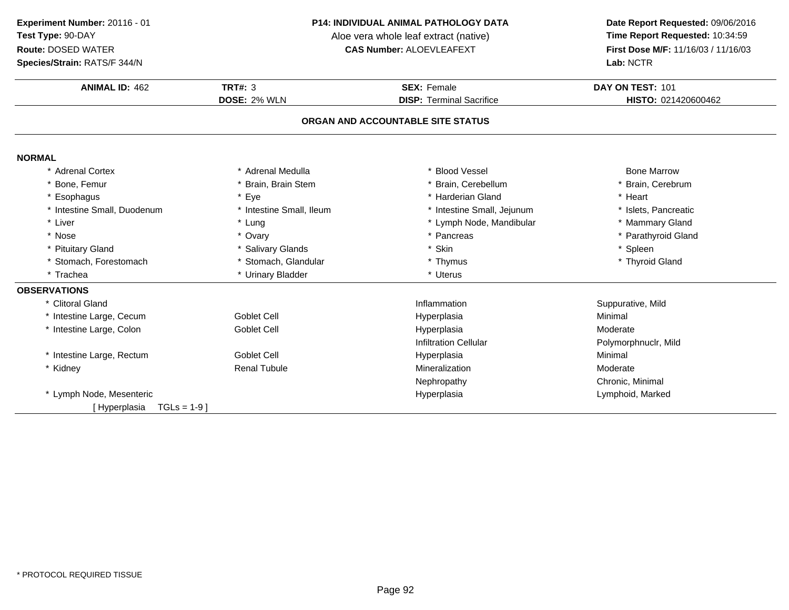**Species/Strain:** RATS/F 344/N

#### **P14: INDIVIDUAL ANIMAL PATHOLOGY DATA**

Aloe vera whole leaf extract (native)<br>**CAS Number:** ALOEVLEAFEXT

| <b>ANIMAL ID: 462</b>             | TRT#: $3$                | <b>SEX: Female</b>              | DAY ON TEST: 101     |  |  |
|-----------------------------------|--------------------------|---------------------------------|----------------------|--|--|
|                                   | DOSE: 2% WLN             | <b>DISP: Terminal Sacrifice</b> | HISTO: 021420600462  |  |  |
| ORGAN AND ACCOUNTABLE SITE STATUS |                          |                                 |                      |  |  |
| <b>NORMAL</b>                     |                          |                                 |                      |  |  |
| * Adrenal Cortex                  | * Adrenal Medulla        | * Blood Vessel                  | <b>Bone Marrow</b>   |  |  |
| * Bone, Femur                     | * Brain, Brain Stem      | * Brain, Cerebellum             | * Brain, Cerebrum    |  |  |
| * Esophagus                       | * Eye                    | * Harderian Gland               | * Heart              |  |  |
| * Intestine Small, Duodenum       | * Intestine Small, Ileum | * Intestine Small, Jejunum      | * Islets, Pancreatic |  |  |
| * Liver                           | * Lung                   | * Lymph Node, Mandibular        | * Mammary Gland      |  |  |
| * Nose                            | * Ovary                  | * Pancreas                      | * Parathyroid Gland  |  |  |
| * Pituitary Gland                 | * Salivary Glands        | Skin                            | * Spleen             |  |  |
| * Stomach, Forestomach            | * Stomach, Glandular     | * Thymus                        | * Thyroid Gland      |  |  |
| * Trachea                         | * Urinary Bladder        | * Uterus                        |                      |  |  |
| <b>OBSERVATIONS</b>               |                          |                                 |                      |  |  |
| * Clitoral Gland                  |                          | Inflammation                    | Suppurative, Mild    |  |  |
| * Intestine Large, Cecum          | Goblet Cell              | Hyperplasia                     | Minimal              |  |  |
| * Intestine Large, Colon          | <b>Goblet Cell</b>       | Hyperplasia                     | Moderate             |  |  |
|                                   |                          | <b>Infiltration Cellular</b>    | Polymorphnuclr, Mild |  |  |
| * Intestine Large, Rectum         | <b>Goblet Cell</b>       | Hyperplasia                     | Minimal              |  |  |
| * Kidney                          | <b>Renal Tubule</b>      | Mineralization                  | Moderate             |  |  |
|                                   |                          | Nephropathy                     | Chronic, Minimal     |  |  |
| * Lymph Node, Mesenteric          |                          | Hyperplasia                     | Lymphoid, Marked     |  |  |
| $TGLs = 1-9$<br>[Hyperplasia      |                          |                                 |                      |  |  |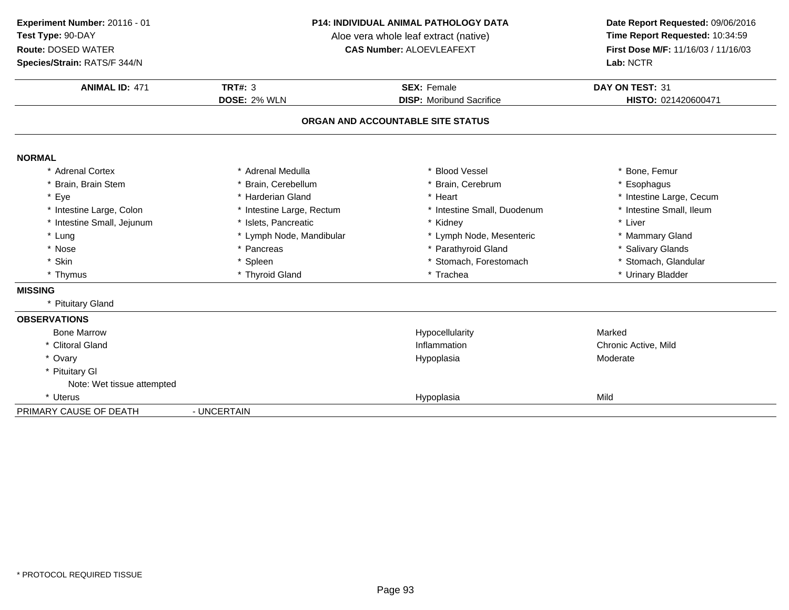**ANIMAL ID:** <sup>471</sup> **TRT#:** <sup>3</sup> **SEX:** Female **DAY ON TEST:** <sup>31</sup> **DOSE:** 2% WLN **DISP:** Moribund Sacrifice **HISTO:** <sup>021420600471</sup> **ORGAN AND ACCOUNTABLE SITE STATUSNORMAL** \* Adrenal Cortex\* Adrenal Medulla<br>\* Brain, Cerebellum a the second vessel that the second vertex  $\sim$  \* Bone, Femur \* Brain, Brain Stem \* Brain, Cerebellum \* Brain, Cerebrum \* Esophagus \* Eyee the second of the second term in the second term in the second term in the second term in the second term in the second term in the second term in the second term in the second term in the second term in the second term \* Intestine Small, Ileum \* Intestine Large, Colon\* Intestine Large, Rectum<br>\* Islets, Pancreatic \* Intestine Small, Duodenum \* \* Intest<br>\* Kidney \* \* Liver \* Intestine Small, Jejunum \* Islets, Pancreatic \* Kidney \* Liver \* Lung\* Lymph Node, Mandibular \* Mammary Gland \* Lymph Node, Mesenteric \* \* Mammary Gland<br>\* Pancreas \* Parathyroid Gland \* \* Salivary Glands \* Nosee the second of the second of the second of the second vertex  $\ast$  Parathyroid Gland  $\ast$  Salivary Glands \* Skinn that is the set of the Spleen term in the store of the store of the store of the store of the store of the store of the store of the store of the store of the store of the store of the store of the store of the store of \* Thymus \* Thyroid Gland\* Trachea \* \* Urinary Bladder **MISSING** \* Pituitary Gland**OBSERVATIONS** Bone Marroww the contract of the Hypocellularity that the Marked Marked Street and Marked Street and Marked Street and Marked Street and Marked Street and Marked Street and Marked Street and Marked Street and Marked Street and Marked \* Clitoral Glandd chronic Active, Mild \* Ovaryy and the contract of the contract of the contract of the contract of the contract of the contract of the contract of the contract of the contract of the contract of the contract of the contract of the contract of the cont Hypoplasia Moderate \* Pituitary Gl Note: Wet tissue attempted\* Uterus Hypoplasiaa Mild PRIMARY CAUSE OF DEATH - UNCERTAIN **Experiment Number:** 20116 - 01 **P14: INDIVIDUAL ANIMAL PATHOLOGY DATA Date Report Requested:** 09/06/2016 **Test Type:** 90-DAYAloe vera whole leaf extract (native)<br>**CAS Number:** ALOEVLEAFEXT **Route:** DOSED WATER**First Dose M/F:** 11/16/03 / 11/16/03<br>**Lab:** NCTR **Species/Strain:** RATS/F 344/N**Lab:** NCTR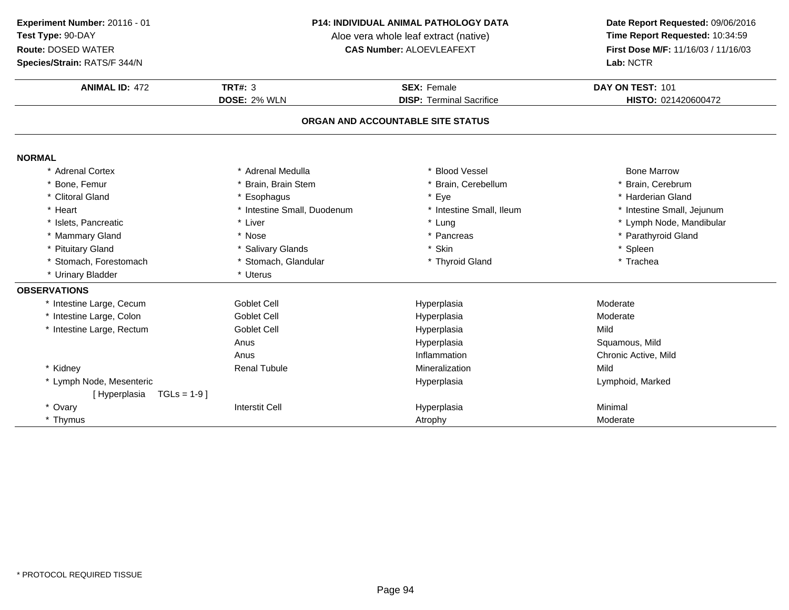**Experiment Number:** 20116 - 01**Test Type:** 90-DAY

### **Route:** DOSED WATER

**Species/Strain:** RATS/F 344/N

#### **P14: INDIVIDUAL ANIMAL PATHOLOGY DATA**

Aloe vera whole leaf extract (native)<br>**CAS Number:** ALOEVLEAFEXT

| <b>ANIMAL ID: 472</b>          | <b>TRT#: 3</b>              | <b>SEX: Female</b>                | DAY ON TEST: 101           |
|--------------------------------|-----------------------------|-----------------------------------|----------------------------|
|                                | DOSE: 2% WLN                | <b>DISP: Terminal Sacrifice</b>   | HISTO: 021420600472        |
|                                |                             | ORGAN AND ACCOUNTABLE SITE STATUS |                            |
|                                |                             |                                   |                            |
| <b>NORMAL</b>                  |                             |                                   |                            |
| * Adrenal Cortex               | * Adrenal Medulla           | * Blood Vessel                    | <b>Bone Marrow</b>         |
| * Bone, Femur                  | Brain, Brain Stem           | * Brain, Cerebellum               | * Brain, Cerebrum          |
| * Clitoral Gland               | Esophagus                   | * Eye                             | * Harderian Gland          |
| * Heart                        | * Intestine Small, Duodenum | * Intestine Small, Ileum          | * Intestine Small, Jejunum |
| * Islets, Pancreatic           | * Liver                     | * Lung                            | * Lymph Node, Mandibular   |
| * Mammary Gland                | * Nose                      | * Pancreas                        | * Parathyroid Gland        |
| * Pituitary Gland              | * Salivary Glands           | * Skin                            | * Spleen                   |
| * Stomach, Forestomach         | * Stomach, Glandular        | * Thyroid Gland                   | * Trachea                  |
| * Urinary Bladder              | * Uterus                    |                                   |                            |
| <b>OBSERVATIONS</b>            |                             |                                   |                            |
| * Intestine Large, Cecum       | Goblet Cell                 | Hyperplasia                       | Moderate                   |
| * Intestine Large, Colon       | Goblet Cell                 | Hyperplasia                       | Moderate                   |
| * Intestine Large, Rectum      | <b>Goblet Cell</b>          | Hyperplasia                       | Mild                       |
|                                | Anus                        | Hyperplasia                       | Squamous, Mild             |
|                                | Anus                        | Inflammation                      | Chronic Active, Mild       |
| * Kidney                       | <b>Renal Tubule</b>         | Mineralization                    | Mild                       |
| * Lymph Node, Mesenteric       |                             | Hyperplasia                       | Lymphoid, Marked           |
| $TGLs = 1-9$ ]<br>[Hyperplasia |                             |                                   |                            |
| * Ovary                        | <b>Interstit Cell</b>       | Hyperplasia                       | Minimal                    |
| * Thymus                       |                             | Atrophy                           | Moderate                   |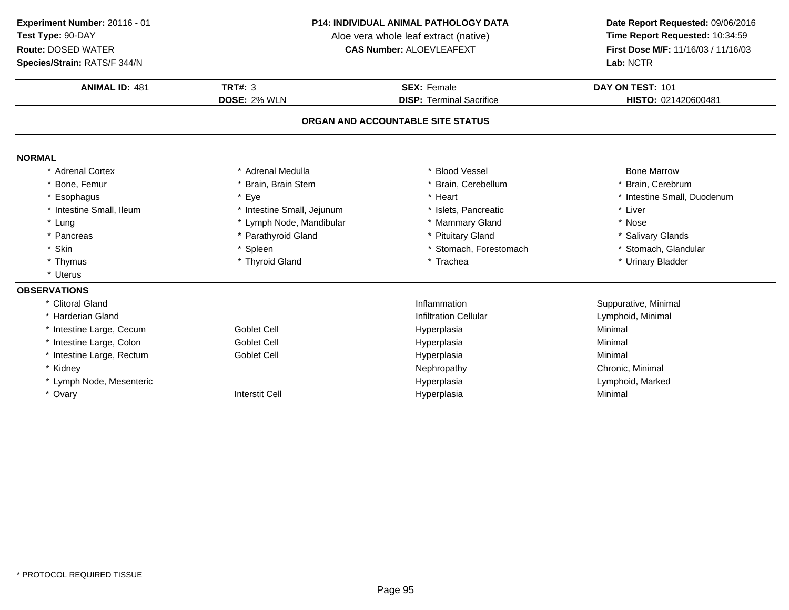**Species/Strain:** RATS/F 344/N

### **P14: INDIVIDUAL ANIMAL PATHOLOGY DATA**

Aloe vera whole leaf extract (native)<br>**CAS Number:** ALOEVLEAFEXT

| Species/Strain: RATS/F 344/N |                            |                                   | Lab: NCTR                   |
|------------------------------|----------------------------|-----------------------------------|-----------------------------|
| <b>ANIMAL ID: 481</b>        | <b>TRT#: 3</b>             | <b>SEX: Female</b>                | DAY ON TEST: 101            |
|                              | <b>DOSE: 2% WLN</b>        | <b>DISP: Terminal Sacrifice</b>   | HISTO: 021420600481         |
|                              |                            | ORGAN AND ACCOUNTABLE SITE STATUS |                             |
| <b>NORMAL</b>                |                            |                                   |                             |
| <b>Adrenal Cortex</b>        | * Adrenal Medulla          | <b>Blood Vessel</b>               | <b>Bone Marrow</b>          |
| * Bone, Femur                | * Brain, Brain Stem        | * Brain, Cerebellum               | * Brain, Cerebrum           |
| * Esophagus                  | * Eye                      | * Heart                           | * Intestine Small, Duodenum |
| * Intestine Small, Ileum     | * Intestine Small, Jejunum | * Islets, Pancreatic              | * Liver                     |
| * Lung                       | * Lymph Node, Mandibular   | * Mammary Gland                   | * Nose                      |
| * Pancreas                   | * Parathyroid Gland        | * Pituitary Gland                 | * Salivary Glands           |
| * Skin                       | * Spleen                   | * Stomach, Forestomach            | * Stomach, Glandular        |
| * Thymus                     | * Thyroid Gland            | * Trachea                         | * Urinary Bladder           |
| * Uterus                     |                            |                                   |                             |
| <b>OBSERVATIONS</b>          |                            |                                   |                             |
| * Clitoral Gland             |                            | Inflammation                      | Suppurative, Minimal        |
| * Harderian Gland            |                            | <b>Infiltration Cellular</b>      | Lymphoid, Minimal           |
| * Intestine Large, Cecum     | <b>Goblet Cell</b>         | Hyperplasia                       | Minimal                     |
| * Intestine Large, Colon     | <b>Goblet Cell</b>         | Hyperplasia                       | Minimal                     |
| * Intestine Large, Rectum    | <b>Goblet Cell</b>         | Hyperplasia                       | Minimal                     |
| * Kidney                     |                            | Nephropathy                       | Chronic, Minimal            |
| * Lymph Node, Mesenteric     |                            | Hyperplasia                       | Lymphoid, Marked            |
| * Ovary                      | <b>Interstit Cell</b>      | Hyperplasia                       | Minimal                     |